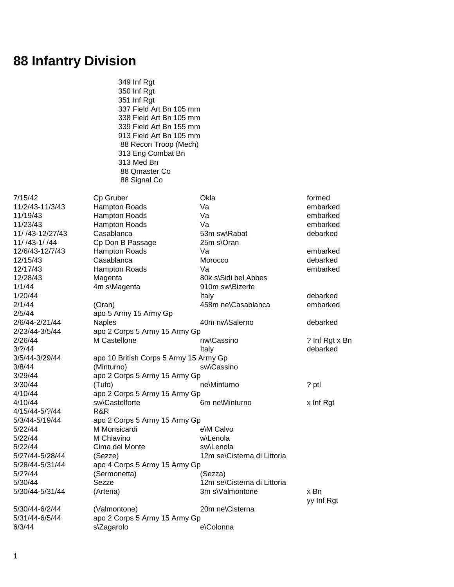## **88 Infantry Division**

 349 Inf Rgt 350 Inf Rgt 351 Inf Rgt 337 Field Art Bn 105 mm 338 Field Art Bn 105 mm 339 Field Art Bn 155 mm 913 Field Art Bn 105 mm 88 Recon Troop (Mech) 313 Eng Combat Bn 313 Med Bn 88 Qmaster Co 88 Signal Co

11/ /43-1/ /44 Cp Don B Passage 25m s\Oran 12/28/43 Magenta 80k s\Sidi bel Abbes 1/1/44 4m s\Magenta 910m sw\Bizerte 2/5/44 apo 5 Army 15 Army Gp 2/23/44-3/5/44 apo 2 Corps 5 Army 15 Army Gp 3/5/44-3/29/44 apo 10 British Corps 5 Army 15 Army Gp 3/8/44 (Minturno) sw\Cassino 3/29/44 apo 2 Corps 5 Army 15 Army Gp 4/10/44 apo 2 Corps 5 Army 15 Army Gp 4/15/44-5/?/44 R&R 5/3/44-5/19/44 apo 2 Corps 5 Army 15 Army Gp 5/22/44 M Monsicardi e\M Calvo 5/22/44 M Chiavino w\Lenola

5/22/44 Cima del Monte sw\Lenola 5/27/44-5/28/44 (Sezze) 12m se\Cisterna di Littoria 5/28/44-5/31/44 apo 4 Corps 5 Army 15 Army Gp 5/2?/44 (Sermonetta) (Sezza) 5/30/44 Sezze 12m se\Cisterna di Littoria 5/30/44-5/31/44 (Artena) 3m s\Valmontone x Bn 5/30/44-6/2/44 (Valmontone) 20m ne\Cisterna 5/31/44-6/5/44 apo 2 Corps 5 Army 15 Army Gp 6/3/44 s\Zagarolo e\Colonna

7/15/42 Cp Gruber Cp Cp Contact Contact Contact Contact Contact Contact Contact Contact Contact Contact Contact Contact Contact Contact Contact Contact Contact Contact Contact Contact Contact Contact Contact Contact Contac 11/2/43-11/3/43 Hampton Roads Va embarked 11/19/43 Hampton Roads Va Va van Marked 11/23/43 Hampton Roads Va embarked 11/ /43-12/27/43 Casablanca 53m sw\Rabat debarked 12/6/43-12/7/43 Hampton Roads Va embarked 12/15/43 Casablanca Morocco debarked 12/17/43 Hampton Roads Va embarked 1/20/44 Italy debarked 2/1/44 (Oran) 458m ne\Casablanca embarked 2/6/44-2/21/44 Naples 40m nw\Salerno debarked 2/26/44 M Castellone nw\Cassino ? Inf Rgt x Bn 3/?/44 Italy debarked 3/30/44 (Tufo) ne\Minturno ? ptl 4/10/44 sw\Castelforte 6m ne\Minturno x Inf Rgt

yy Inf Rgt

1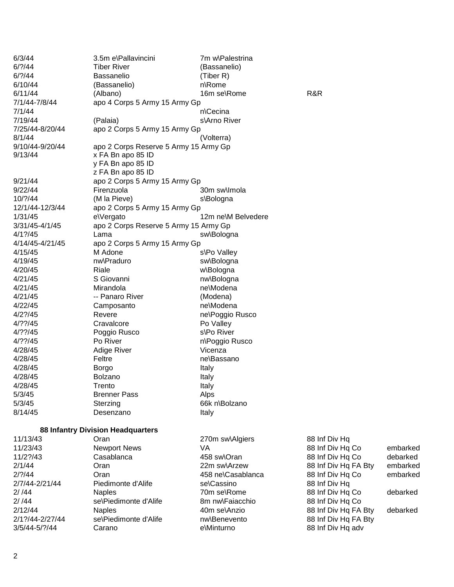| 6/3/44               | 3.5m e\Pallavincini                   | 7m w\Palestrina    |                      |          |
|----------------------|---------------------------------------|--------------------|----------------------|----------|
| 6/? / 44             | <b>Tiber River</b>                    | (Bassanelio)       |                      |          |
| $6/?\frac{44}{3}$    | Bassanelio                            | (Tiber R)          |                      |          |
| 6/10/44              | (Bassanelio)                          | n\Rome             |                      |          |
| 6/11/44              | (Albano)                              | 16m se\Rome        | R&R                  |          |
| 7/1/44-7/8/44        | apo 4 Corps 5 Army 15 Army Gp         |                    |                      |          |
| 7/1/44               |                                       | n\Cecina           |                      |          |
| 7/19/44              | (Palaia)                              | s\Arno River       |                      |          |
| 7/25/44-8/20/44      | apo 2 Corps 5 Army 15 Army Gp         |                    |                      |          |
| 8/1/44               |                                       | (Volterra)         |                      |          |
| 9/10/44-9/20/44      | apo 2 Corps Reserve 5 Army 15 Army Gp |                    |                      |          |
| 9/13/44              | x FA Bn apo 85 ID                     |                    |                      |          |
|                      | y FA Bn apo 85 ID                     |                    |                      |          |
|                      | z FA Bn apo 85 ID                     |                    |                      |          |
| 9/21/44              | apo 2 Corps 5 Army 15 Army Gp         |                    |                      |          |
| 9/22/44              | Firenzuola                            | 30m sw\lmola       |                      |          |
| 10/?/44              | (M la Pieve)                          | s\Bologna          |                      |          |
| 12/1/44-12/3/44      | apo 2 Corps 5 Army 15 Army Gp         |                    |                      |          |
| 1/31/45              | e\Vergato                             | 12m ne\M Belvedere |                      |          |
| 3/31/45-4/1/45       | apo 2 Corps Reserve 5 Army 15 Army Gp |                    |                      |          |
| $4/1$ ?/45           | Lama                                  | sw\Bologna         |                      |          |
| 4/14/45-4/21/45      | apo 2 Corps 5 Army 15 Army Gp         |                    |                      |          |
| 4/15/45              | M Adone                               | s\Po Valley        |                      |          |
| 4/19/45              | nw\Praduro                            |                    |                      |          |
|                      | Riale                                 | sw\Bologna         |                      |          |
| 4/20/45              | S Giovanni                            | w\Bologna          |                      |          |
| 4/21/45              |                                       | nw\Bologna         |                      |          |
| 4/21/45              | Mirandola                             | ne\Modena          |                      |          |
| 4/21/45              | -- Panaro River                       | (Modena)           |                      |          |
| 4/22/45              | Camposanto                            | ne\Modena          |                      |          |
| $4/2$ ?/45           | Revere                                | ne\Poggio Rusco    |                      |          |
| $4/?$ ?/45           | Cravalcore                            | Po Valley          |                      |          |
| $4/?$ ?/45           | Poggio Rusco                          | s\Po River         |                      |          |
| $4/?$ ?/45           | Po River                              | n\Poggio Rusco     |                      |          |
| 4/28/45              | <b>Adige River</b>                    | Vicenza            |                      |          |
| 4/28/45              | Feltre                                | ne\Bassano         |                      |          |
| 4/28/45              | Borgo                                 | Italy              |                      |          |
| 4/28/45              | Bolzano                               | Italy              |                      |          |
| 4/28/45              | Trento                                | Italy              |                      |          |
| 5/3/45               | <b>Brenner Pass</b>                   | Alps               |                      |          |
| 5/3/45               | Sterzing                              | 66k n\Bolzano      |                      |          |
| 8/14/45              | Desenzano                             | Italy              |                      |          |
|                      |                                       |                    |                      |          |
|                      | 88 Infantry Division Headquarters     |                    |                      |          |
| 11/13/43             | Oran                                  | 270m sw\Algiers    | 88 Inf Div Hq        |          |
| 11/23/43<br>11/2?/43 | <b>Newport News</b>                   | VA                 | 88 Inf Div Hq Co     | embarked |
|                      | Casablanca                            | 458 sw\Oran        | 88 Inf Div Hq Co     | debarked |
| 2/1/44               | Oran                                  | 22m sw\Arzew       | 88 Inf Div Hq FA Bty | embarked |
| 2/? / 44             | Oran                                  | 458 ne\Casablanca  | 88 Inf Div Hq Co     | embarked |
| 2/7/44-2/21/44       | Piedimonte d'Alife                    | se\Cassino         | 88 Inf Div Hq        |          |
| 2/144                | <b>Naples</b>                         | 70m se\Rome        | 88 Inf Div Hq Co     | debarked |
| 2/144                | se\Piedimonte d'Alife                 | 8m nw\Faiacchio    | 88 Inf Div Hq Co     |          |
| 2/12/44              | <b>Naples</b>                         | 40m se\Anzio       | 88 Inf Div Hq FA Bty | debarked |
| 2/1?/44-2/27/44      | se\Piedimonte d'Alife                 | nw\Benevento       | 88 Inf Div Hq FA Bty |          |
| 3/5/44-5/?/44        | Carano                                | e\Minturno         | 88 Inf Div Hq adv    |          |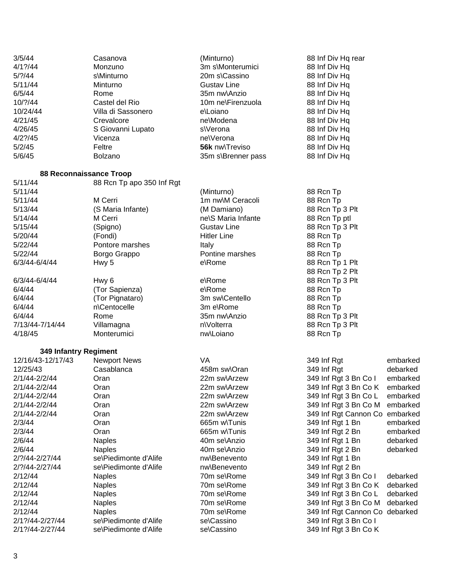| 3/5/44                | Casanova                       | (Minturno)                         | 88 Inf Div Hq rear             |          |
|-----------------------|--------------------------------|------------------------------------|--------------------------------|----------|
| $4/1$ ?/44            | Monzuno                        | 3m s\Monterumici                   | 88 Inf Div Hq                  |          |
| $5/$ ?/44             | s\Minturno                     | 20m s\Cassino                      | 88 Inf Div Hq                  |          |
| 5/11/44               |                                |                                    |                                |          |
| 6/5/44                | Minturno<br>Rome               | <b>Gustav Line</b><br>35m nw\Anzio | 88 Inf Div Hq                  |          |
|                       |                                |                                    | 88 Inf Div Hq                  |          |
| 10/?/44               | Castel del Rio                 | 10m ne\Firenzuola                  | 88 Inf Div Hq                  |          |
| 10/24/44              | Villa di Sassonero             | e\Loiano                           | 88 Inf Div Hq                  |          |
| 4/21/45               | Crevalcore                     | ne\Modena                          | 88 Inf Div Hq                  |          |
| 4/26/45               | S Giovanni Lupato              | s\Verona                           | 88 Inf Div Hq                  |          |
| $4/2$ ?/45            | Vicenza                        | ne\Verona                          | 88 Inf Div Hq                  |          |
| 5/2/45                | Feltre                         | 56k nw\Treviso                     | 88 Inf Div Hq                  |          |
| 5/6/45                | <b>Bolzano</b>                 | 35m s\Brenner pass                 | 88 Inf Div Hq                  |          |
|                       | <b>88 Reconnaissance Troop</b> |                                    |                                |          |
| 5/11/44               | 88 Rcn Tp apo 350 Inf Rgt      |                                    |                                |          |
| 5/11/44               |                                | (Minturno)                         | 88 Rcn Tp                      |          |
| 5/11/44               | M Cerri                        | 1m nw\M Ceracoli                   | 88 Rcn Tp                      |          |
| 5/13/44               | (S Maria Infante)              | (M Damiano)                        | 88 Rcn Tp 3 Plt                |          |
| 5/14/44               | M Cerri                        | ne\S Maria Infante                 | 88 Rcn Tp ptl                  |          |
| 5/15/44               | (Spigno)                       | <b>Gustav Line</b>                 | 88 Rcn Tp 3 Plt                |          |
| 5/20/44               | (Fondi)                        | <b>Hitler Line</b>                 | 88 Rcn Tp                      |          |
| 5/22/44               | Pontore marshes                |                                    | 88 Rcn Tp                      |          |
|                       |                                | Italy                              |                                |          |
| 5/22/44               | Borgo Grappo                   | Pontine marshes<br>e\Rome          | 88 Rcn Tp                      |          |
| 6/3/44-6/4/44         | Hwy 5                          |                                    | 88 Rcn Tp 1 Plt                |          |
|                       |                                |                                    | 88 Rcn Tp 2 Plt                |          |
| 6/3/44-6/4/44         | Hwy <sub>6</sub>               | e\Rome                             | 88 Rcn Tp 3 Plt                |          |
| 6/4/44                | (Tor Sapienza)                 | e\Rome                             | 88 Rcn Tp                      |          |
| 6/4/44                | (Tor Pignataro)                | 3m sw\Centello                     | 88 Rcn Tp                      |          |
| 6/4/44                | n\Centocelle                   | 3m e\Rome                          | 88 Rcn Tp                      |          |
| 6/4/44                | Rome                           | 35m nw\Anzio                       | 88 Rcn Tp 3 Plt                |          |
| 7/13/44-7/14/44       | Villamagna                     | n\Volterra                         | 88 Rcn Tp 3 Plt                |          |
| 4/18/45               | Monterumici                    | nw\Loiano                          | 88 Rcn Tp                      |          |
| 349 Infantry Regiment |                                |                                    |                                |          |
| 12/16/43-12/17/43     | <b>Newport News</b>            | VA                                 | 349 Inf Rgt                    | embarked |
| 12/25/43              | Casablanca                     | 458m sw\Oran                       | 349 Inf Rgt                    | debarked |
| 2/1/44-2/2/44         | Oran                           | 22m sw\Arzew                       | 349 Inf Rgt 3 Bn Co I          | embarked |
| 2/1/44-2/2/44         | Oran                           | 22m sw\Arzew                       | 349 Inf Rgt 3 Bn Co K          | embarked |
| 2/1/44-2/2/44         | Oran                           | 22m sw\Arzew                       | 349 Inf Rgt 3 Bn Co L          | embarked |
| 2/1/44-2/2/44         | Oran                           | 22m sw\Arzew                       | 349 Inf Rgt 3 Bn Co M          | embarked |
| 2/1/44-2/2/44         | Oran                           | 22m sw\Arzew                       | 349 Inf Rgt Cannon Co          | embarked |
| 2/3/44                | Oran                           | 665m w\Tunis                       | 349 Inf Rgt 1 Bn               | embarked |
| 2/3/44                |                                | 665m w\Tunis                       | 349 Inf Rgt 2 Bn               |          |
| 2/6/44                | Oran                           | 40m se\Anzio                       | 349 Inf Rgt 1 Bn               | embarked |
|                       | <b>Naples</b>                  |                                    |                                | debarked |
| 2/6/44                | <b>Naples</b>                  | 40m se\Anzio                       | 349 Inf Rgt 2 Bn               | debarked |
| 2/?/44-2/27/44        | se\Piedimonte d'Alife          | nw\Benevento                       | 349 Inf Rgt 1 Bn               |          |
| 2/?/44-2/27/44        | se\Piedimonte d'Alife          | nw\Benevento                       | 349 Inf Rgt 2 Bn               |          |
| 2/12/44               | <b>Naples</b>                  | 70m se\Rome                        | 349 Inf Rgt 3 Bn Co I          | debarked |
| 2/12/44               | <b>Naples</b>                  | 70m se\Rome                        | 349 Inf Rgt 3 Bn Co K          | debarked |
| 2/12/44               | <b>Naples</b>                  | 70m se\Rome                        | 349 Inf Rgt 3 Bn Co L          | debarked |
| 2/12/44               | <b>Naples</b>                  | 70m se\Rome                        | 349 Inf Rgt 3 Bn Co M          | debarked |
| 2/12/44               | <b>Naples</b>                  | 70m se\Rome                        | 349 Inf Rgt Cannon Co debarked |          |
| 2/1?/44-2/27/44       | se\Piedimonte d'Alife          | se\Cassino                         | 349 Inf Rgt 3 Bn Co I          |          |
| 2/1?/44-2/27/44       | se\Piedimonte d'Alife          | se\Cassino                         | 349 Inf Rgt 3 Bn Co K          |          |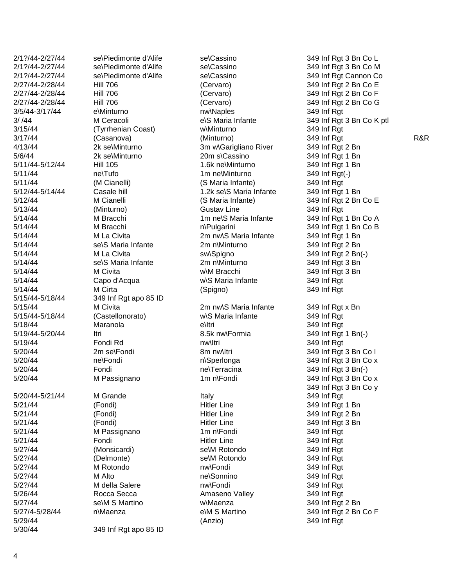2/1?/44 -2/27/44 se 2/1?/44 -2/27/44 se 2/1?/44 -2/27/44 se 2/27/44-2/28/44 2/27/44-2/28/44 2/27/44-2/28/44 3/5/44 -3/17/44 3/ /44 M Ceracoli 4/13/44 2k se  $5/6/44$ 5/11/44 ne\Tufo 5/12/44 5/14/44 M Bracchi  $5/14/44$  $5/14/44$ 5/14/44 M Civita 5/14/44 Capo d'Acqua 5/15/44-5/18/44 5/15/44-5/18/44 5/18/44 Maranola 5/19/44 5/20/44 2m se  $5/20/44$ 5/20/44-5/21/44  $5/27/44$ 5/27/4 -5/28/44

se\Piedimonte d'Alife se\Cassino se\Piedimonte d'Alife se\Cassino se\Piedimonte d'Alife se\Cassino e\Minturno 3/15/44 (Tyrrhenian Coast ) 2k se\Minturno 20m s\Cassino 5/11/44 -5/12/44 Hill 105 1.6k ne se\S Maria Infante 2m n\Minturno se\S Maria Infante 349 Inf Rgt apo 85 ID (Castellonorato) ne\Fondi 5/20/44 Fondi Fondi Pressure Fondi Pressure Pressure nel 5/20/44 M Passignano 1m n\Fondi M Grande Italy 5/21/44 M Passignano 1m n\Fondi 5/2?/44 (Monsicardi) selM Rotondo 5/2?/44 (Delmonte) se 5/2?/44 M Alto ne se\M S Martino n \Maenza 5/30/44 349 Inf Rgt apo 85 ID

-2/28/44 Hill 706 (Cervaro) 349 Inf Rgt 2 Bn Co E -2/28/44 Hill 706 (Cervaro) 349 Inf Rgt 2 Bn Co F -2/28/44 Hill 706 (Cervaro) 349 Inf Rgt 2 Bn Co G nw\Naples 349 Inf Rat e\S Maria Infante w\Minturno 349 Inf Rgt 3m w\Garigliano River 349 Inf Rgt 2 Bn 1.6k ne\Minturno 349 Inf Rgt 1 Bn 1m ne\Minturno \Minturno 349 Inf Rgt ( - ) 5/11/44 (M Cianelli) (S Maria Infante) 349 Inf Rgt Casale hill **Casale hill** 1.2k se\S Maria Infante 5/12/44 M Cianelli (S Maria Infante) 349 Inf Rgt 2 Bn Co E 5/13/44 (Minturno) Gustav Line 349 Inf Rgt 5/14/44 **M Bracchi** 1m ne\S Maria Infante n\Pulgarini 5/14/44 M La Civita 2m nw\S Maria Infante 349 Inf Rgt 1 Bn 5/14/44 M La Civita sw\Spigno 349 Inf Rgt 2 Bn( - ) 2m n\Minturno w\M Bracchi 349 Inf Rgt 3 Bn w\S Maria Infante 349 Inf Rgt 5/14/44 M Cirta (Spigno) 349 Inf Rgt 5/15/44 M Civita 2m nw\S Maria Infante 349 Inf Rgt x Bn w\S Maria Infante 349 Inf Rgt e\Itri -5/20/44 Itri 8.5k nw\Formia 349 Inf Rgt 1 Bn(-) 5/19/44 Fondi Rd nw\Itri 349 Inf Rgt 8m nw\Itri n\Sperlonga \Terracina 349 Inf Rgt 3 Bn( - ) 5/21/44 (Fondi) Hitler Line 349 Inf Rgt 1 Bn 5/21/44 (Fondi) Hitler Line 349 Inf Rgt 2 Bn 5/21/44 (Fondi) Hitler Line 349 Inf Rgt 3 Bn 5/21/44 Fondi Hitler Line 349 Inf Rgt 5/2?/44 M Rotondo nw\Fondi 349 Inf Rgt ne\Sonnino 349 Inf Rgt 5/2?/44 M della Salere nw\Fondi 349 Inf Rgt 5/26/44 Rocca Secca Amaseno Valley 349 Inf Rgt w\Maenza 349 Inf Rgt 2 Bn e\M S Martino 5/29/44 (Anzio) 349 Inf Rgt

349 Inf Rgt 3 Bn Co L 349 Inf Rgt 3 Bn Co M 349 Inf Rgt Cannon Co 349 Inf Rgt 3 Bn Co K ptl 3/17/44 (Casanova) (Minturno) 349 Inf Rgt R&R 349 Inf Rgt 1 Bn 349 Inf Rgt 1 Bn 349 Inf Rgt 1 Bn Co A 349 Inf Rat 1 Bn Co B 349 Inf Rgt 2 Bn 349 Inf Rgt 3 Bn \Itri 349 Inf Rgt 349 Inf Rgt 3 Bn Co I  $349$  Inf Rgt 3 Bn Co x  $349$  Inf Rgt 3 Bn Co x 349 Inf Rgt 3 Bn Co y 349 Inf Rgt \Fondi 349 Inf Rgt 349 Inf Rgt 349 Inf Rgt 349 Inf Rgt 2 Bn Co F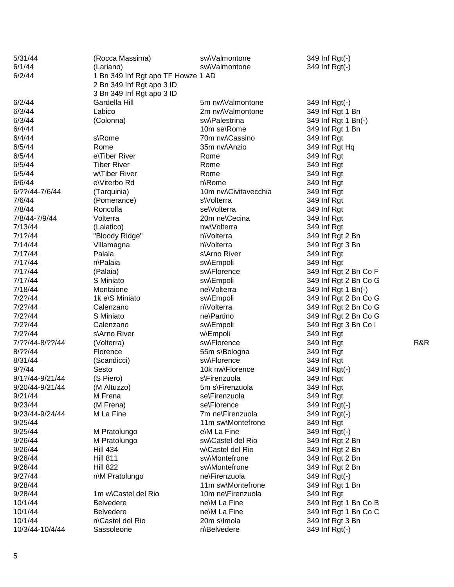| 6/1/44<br>sw\Valmontone<br>349 Inf Rgt(-)<br>(Lariano)<br>6/2/44<br>1 Bn 349 Inf Rgt apo TF Howze 1 AD<br>2 Bn 349 Inf Rgt apo 3 ID<br>3 Bn 349 Inf Rgt apo 3 ID<br>6/2/44<br>Gardella Hill<br>5m nw\Valmontone<br>349 Inf Rgt(-)<br>6/3/44<br>Labico<br>2m nw\Valmontone<br>349 Inf Rgt 1 Bn<br>6/3/44<br>sw\Palestrina<br>349 Inf Rgt 1 Bn(-)<br>(Colonna)<br>6/4/44<br>10m se\Rome<br>349 Inf Rgt 1 Bn<br>6/4/44<br>70m nw\Cassino<br>s\Rome<br>349 Inf Rgt<br>6/5/44<br>35m nw\Anzio<br>Rome<br>349 Inf Rgt Hq<br>6/5/44<br>e\Tiber River<br>349 Inf Rgt<br>Rome<br>6/5/44<br><b>Tiber River</b><br>349 Inf Rgt<br>Rome<br>6/5/44<br>w\Tiber River<br>Rome<br>349 Inf Rgt<br>6/6/44<br>e\Viterbo Rd<br>n\Rome<br>349 Inf Rgt<br>6/??/44-7/6/44<br>10m nw\Civitavecchia<br>(Tarquinia)<br>349 Inf Rgt<br>7/6/44<br>s\Volterra<br>349 Inf Rgt<br>(Pomerance)<br>7/8/44<br>Roncolla<br>se\Volterra<br>349 Inf Rgt<br>7/8/44-7/9/44<br>Volterra<br>20m ne\Cecina<br>349 Inf Rgt<br>7/13/44<br>nw\Volterra<br>349 Inf Rgt<br>(Laiatico)<br>$7/1$ ?/44<br>"Bloody Ridge"<br>n\Volterra<br>349 Inf Rgt 2 Bn<br>7/14/44<br>n\Volterra<br>Villamagna<br>349 Inf Rgt 3 Bn<br>Palaia<br>7/17/44<br>s\Arno River<br>349 Inf Rgt<br>7/17/44<br>n\Palaia<br>349 Inf Rgt<br>sw\Empoli<br>7/17/44<br>sw\Florence<br>349 Inf Rgt 2 Bn Co F<br>(Palaia)<br>7/17/44<br>S Miniato<br>sw\Empoli<br>349 Inf Rgt 2 Bn Co G<br>7/18/44<br>ne\Volterra<br>349 Inf Rgt 1 Bn(-)<br>Montaione<br>7/2?/44<br>1k e\S Miniato<br>sw\Empoli<br>349 Inf Rgt 2 Bn Co G<br>7/2?/44<br>n\Volterra<br>349 Inf Rgt 2 Bn Co G<br>Calenzano<br>7/2?/44<br>S Miniato<br>ne\Partino<br>349 Inf Rgt 2 Bn Co G<br>7/2?/44<br>Calenzano<br>sw\Empoli<br>349 Inf Rgt 3 Bn Co I<br>7/2?/44<br>s\Arno River<br>w\Empoli<br>349 Inf Rgt<br>7/??/44-8/??/44<br>sw\Florence<br>349 Inf Rgt<br>R&R<br>(Volterra)<br>$8/?$ ?/44<br>55m s\Bologna<br>Florence<br>349 Inf Rgt<br>8/31/44<br>sw\Florence<br>349 Inf Rgt<br>(Scandicci)<br>9/? / 44<br>10k nw\Florence<br>349 Inf Rgt(-)<br>Sesto<br>9/1?/44-9/21/44<br>(S Piero)<br>s\Firenzuola<br>349 Inf Rgt<br>(M Altuzzo)<br>349 Inf Rgt<br>9/20/44-9/21/44<br>5m s\Firenzuola<br>M Frena<br>se\Firenzuola<br>9/21/44<br>349 Inf Rgt<br>9/23/44<br>(M Frena)<br>se\Florence<br>349 Inf Rgt(-)<br>7m ne\Firenzuola<br>9/23/44-9/24/44<br>M La Fine<br>349 Inf Rgt(-)<br>9/25/44<br>11m sw\Montefrone<br>349 Inf Rgt<br>9/25/44<br>e\M La Fine<br>349 Inf Rgt(-)<br>M Pratolungo<br>9/26/44<br>sw\Castel del Rio<br>349 Inf Rgt 2 Bn<br>M Pratolungo<br>9/26/44<br><b>Hill 434</b><br>w\Castel del Rio<br>349 Inf Rgt 2 Bn<br>9/26/44<br><b>Hill 811</b><br>sw\Montefrone<br>349 Inf Rgt 2 Bn<br><b>Hill 822</b><br>9/26/44<br>sw\Montefrone<br>349 Inf Rgt 2 Bn<br>9/27/44<br>ne\Firenzuola<br>349 Inf Rgt(-)<br>n\M Pratolungo<br>9/28/44<br>11m sw\Montefrone<br>349 Inf Rgt 1 Bn<br>9/28/44<br>1m w\Castel del Rio<br>10m ne\Firenzuola<br>349 Inf Rgt<br>10/1/44<br>ne\M La Fine<br>349 Inf Rgt 1 Bn Co B<br><b>Belvedere</b><br>10/1/44<br>ne\M La Fine<br>349 Inf Rgt 1 Bn Co C<br><b>Belvedere</b><br>10/1/44<br>n\Castel del Rio<br>20m s\lmola<br>349 Inf Rgt 3 Bn | 5/31/44         | (Rocca Massima) | sw\Valmontone | 349 Inf Rgt(-) |  |  |  |
|-----------------------------------------------------------------------------------------------------------------------------------------------------------------------------------------------------------------------------------------------------------------------------------------------------------------------------------------------------------------------------------------------------------------------------------------------------------------------------------------------------------------------------------------------------------------------------------------------------------------------------------------------------------------------------------------------------------------------------------------------------------------------------------------------------------------------------------------------------------------------------------------------------------------------------------------------------------------------------------------------------------------------------------------------------------------------------------------------------------------------------------------------------------------------------------------------------------------------------------------------------------------------------------------------------------------------------------------------------------------------------------------------------------------------------------------------------------------------------------------------------------------------------------------------------------------------------------------------------------------------------------------------------------------------------------------------------------------------------------------------------------------------------------------------------------------------------------------------------------------------------------------------------------------------------------------------------------------------------------------------------------------------------------------------------------------------------------------------------------------------------------------------------------------------------------------------------------------------------------------------------------------------------------------------------------------------------------------------------------------------------------------------------------------------------------------------------------------------------------------------------------------------------------------------------------------------------------------------------------------------------------------------------------------------------------------------------------------------------------------------------------------------------------------------------------------------------------------------------------------------------------------------------------------------------------------------------------------------------------------------------------------------------------------------------------------------------------------------------------------------------------------------------------------------------|-----------------|-----------------|---------------|----------------|--|--|--|
|                                                                                                                                                                                                                                                                                                                                                                                                                                                                                                                                                                                                                                                                                                                                                                                                                                                                                                                                                                                                                                                                                                                                                                                                                                                                                                                                                                                                                                                                                                                                                                                                                                                                                                                                                                                                                                                                                                                                                                                                                                                                                                                                                                                                                                                                                                                                                                                                                                                                                                                                                                                                                                                                                                                                                                                                                                                                                                                                                                                                                                                                                                                                                                             |                 |                 |               |                |  |  |  |
|                                                                                                                                                                                                                                                                                                                                                                                                                                                                                                                                                                                                                                                                                                                                                                                                                                                                                                                                                                                                                                                                                                                                                                                                                                                                                                                                                                                                                                                                                                                                                                                                                                                                                                                                                                                                                                                                                                                                                                                                                                                                                                                                                                                                                                                                                                                                                                                                                                                                                                                                                                                                                                                                                                                                                                                                                                                                                                                                                                                                                                                                                                                                                                             |                 |                 |               |                |  |  |  |
|                                                                                                                                                                                                                                                                                                                                                                                                                                                                                                                                                                                                                                                                                                                                                                                                                                                                                                                                                                                                                                                                                                                                                                                                                                                                                                                                                                                                                                                                                                                                                                                                                                                                                                                                                                                                                                                                                                                                                                                                                                                                                                                                                                                                                                                                                                                                                                                                                                                                                                                                                                                                                                                                                                                                                                                                                                                                                                                                                                                                                                                                                                                                                                             |                 |                 |               |                |  |  |  |
|                                                                                                                                                                                                                                                                                                                                                                                                                                                                                                                                                                                                                                                                                                                                                                                                                                                                                                                                                                                                                                                                                                                                                                                                                                                                                                                                                                                                                                                                                                                                                                                                                                                                                                                                                                                                                                                                                                                                                                                                                                                                                                                                                                                                                                                                                                                                                                                                                                                                                                                                                                                                                                                                                                                                                                                                                                                                                                                                                                                                                                                                                                                                                                             |                 |                 |               |                |  |  |  |
|                                                                                                                                                                                                                                                                                                                                                                                                                                                                                                                                                                                                                                                                                                                                                                                                                                                                                                                                                                                                                                                                                                                                                                                                                                                                                                                                                                                                                                                                                                                                                                                                                                                                                                                                                                                                                                                                                                                                                                                                                                                                                                                                                                                                                                                                                                                                                                                                                                                                                                                                                                                                                                                                                                                                                                                                                                                                                                                                                                                                                                                                                                                                                                             |                 |                 |               |                |  |  |  |
|                                                                                                                                                                                                                                                                                                                                                                                                                                                                                                                                                                                                                                                                                                                                                                                                                                                                                                                                                                                                                                                                                                                                                                                                                                                                                                                                                                                                                                                                                                                                                                                                                                                                                                                                                                                                                                                                                                                                                                                                                                                                                                                                                                                                                                                                                                                                                                                                                                                                                                                                                                                                                                                                                                                                                                                                                                                                                                                                                                                                                                                                                                                                                                             |                 |                 |               |                |  |  |  |
|                                                                                                                                                                                                                                                                                                                                                                                                                                                                                                                                                                                                                                                                                                                                                                                                                                                                                                                                                                                                                                                                                                                                                                                                                                                                                                                                                                                                                                                                                                                                                                                                                                                                                                                                                                                                                                                                                                                                                                                                                                                                                                                                                                                                                                                                                                                                                                                                                                                                                                                                                                                                                                                                                                                                                                                                                                                                                                                                                                                                                                                                                                                                                                             |                 |                 |               |                |  |  |  |
|                                                                                                                                                                                                                                                                                                                                                                                                                                                                                                                                                                                                                                                                                                                                                                                                                                                                                                                                                                                                                                                                                                                                                                                                                                                                                                                                                                                                                                                                                                                                                                                                                                                                                                                                                                                                                                                                                                                                                                                                                                                                                                                                                                                                                                                                                                                                                                                                                                                                                                                                                                                                                                                                                                                                                                                                                                                                                                                                                                                                                                                                                                                                                                             |                 |                 |               |                |  |  |  |
|                                                                                                                                                                                                                                                                                                                                                                                                                                                                                                                                                                                                                                                                                                                                                                                                                                                                                                                                                                                                                                                                                                                                                                                                                                                                                                                                                                                                                                                                                                                                                                                                                                                                                                                                                                                                                                                                                                                                                                                                                                                                                                                                                                                                                                                                                                                                                                                                                                                                                                                                                                                                                                                                                                                                                                                                                                                                                                                                                                                                                                                                                                                                                                             |                 |                 |               |                |  |  |  |
|                                                                                                                                                                                                                                                                                                                                                                                                                                                                                                                                                                                                                                                                                                                                                                                                                                                                                                                                                                                                                                                                                                                                                                                                                                                                                                                                                                                                                                                                                                                                                                                                                                                                                                                                                                                                                                                                                                                                                                                                                                                                                                                                                                                                                                                                                                                                                                                                                                                                                                                                                                                                                                                                                                                                                                                                                                                                                                                                                                                                                                                                                                                                                                             |                 |                 |               |                |  |  |  |
|                                                                                                                                                                                                                                                                                                                                                                                                                                                                                                                                                                                                                                                                                                                                                                                                                                                                                                                                                                                                                                                                                                                                                                                                                                                                                                                                                                                                                                                                                                                                                                                                                                                                                                                                                                                                                                                                                                                                                                                                                                                                                                                                                                                                                                                                                                                                                                                                                                                                                                                                                                                                                                                                                                                                                                                                                                                                                                                                                                                                                                                                                                                                                                             |                 |                 |               |                |  |  |  |
|                                                                                                                                                                                                                                                                                                                                                                                                                                                                                                                                                                                                                                                                                                                                                                                                                                                                                                                                                                                                                                                                                                                                                                                                                                                                                                                                                                                                                                                                                                                                                                                                                                                                                                                                                                                                                                                                                                                                                                                                                                                                                                                                                                                                                                                                                                                                                                                                                                                                                                                                                                                                                                                                                                                                                                                                                                                                                                                                                                                                                                                                                                                                                                             |                 |                 |               |                |  |  |  |
|                                                                                                                                                                                                                                                                                                                                                                                                                                                                                                                                                                                                                                                                                                                                                                                                                                                                                                                                                                                                                                                                                                                                                                                                                                                                                                                                                                                                                                                                                                                                                                                                                                                                                                                                                                                                                                                                                                                                                                                                                                                                                                                                                                                                                                                                                                                                                                                                                                                                                                                                                                                                                                                                                                                                                                                                                                                                                                                                                                                                                                                                                                                                                                             |                 |                 |               |                |  |  |  |
|                                                                                                                                                                                                                                                                                                                                                                                                                                                                                                                                                                                                                                                                                                                                                                                                                                                                                                                                                                                                                                                                                                                                                                                                                                                                                                                                                                                                                                                                                                                                                                                                                                                                                                                                                                                                                                                                                                                                                                                                                                                                                                                                                                                                                                                                                                                                                                                                                                                                                                                                                                                                                                                                                                                                                                                                                                                                                                                                                                                                                                                                                                                                                                             |                 |                 |               |                |  |  |  |
|                                                                                                                                                                                                                                                                                                                                                                                                                                                                                                                                                                                                                                                                                                                                                                                                                                                                                                                                                                                                                                                                                                                                                                                                                                                                                                                                                                                                                                                                                                                                                                                                                                                                                                                                                                                                                                                                                                                                                                                                                                                                                                                                                                                                                                                                                                                                                                                                                                                                                                                                                                                                                                                                                                                                                                                                                                                                                                                                                                                                                                                                                                                                                                             |                 |                 |               |                |  |  |  |
|                                                                                                                                                                                                                                                                                                                                                                                                                                                                                                                                                                                                                                                                                                                                                                                                                                                                                                                                                                                                                                                                                                                                                                                                                                                                                                                                                                                                                                                                                                                                                                                                                                                                                                                                                                                                                                                                                                                                                                                                                                                                                                                                                                                                                                                                                                                                                                                                                                                                                                                                                                                                                                                                                                                                                                                                                                                                                                                                                                                                                                                                                                                                                                             |                 |                 |               |                |  |  |  |
|                                                                                                                                                                                                                                                                                                                                                                                                                                                                                                                                                                                                                                                                                                                                                                                                                                                                                                                                                                                                                                                                                                                                                                                                                                                                                                                                                                                                                                                                                                                                                                                                                                                                                                                                                                                                                                                                                                                                                                                                                                                                                                                                                                                                                                                                                                                                                                                                                                                                                                                                                                                                                                                                                                                                                                                                                                                                                                                                                                                                                                                                                                                                                                             |                 |                 |               |                |  |  |  |
|                                                                                                                                                                                                                                                                                                                                                                                                                                                                                                                                                                                                                                                                                                                                                                                                                                                                                                                                                                                                                                                                                                                                                                                                                                                                                                                                                                                                                                                                                                                                                                                                                                                                                                                                                                                                                                                                                                                                                                                                                                                                                                                                                                                                                                                                                                                                                                                                                                                                                                                                                                                                                                                                                                                                                                                                                                                                                                                                                                                                                                                                                                                                                                             |                 |                 |               |                |  |  |  |
|                                                                                                                                                                                                                                                                                                                                                                                                                                                                                                                                                                                                                                                                                                                                                                                                                                                                                                                                                                                                                                                                                                                                                                                                                                                                                                                                                                                                                                                                                                                                                                                                                                                                                                                                                                                                                                                                                                                                                                                                                                                                                                                                                                                                                                                                                                                                                                                                                                                                                                                                                                                                                                                                                                                                                                                                                                                                                                                                                                                                                                                                                                                                                                             |                 |                 |               |                |  |  |  |
|                                                                                                                                                                                                                                                                                                                                                                                                                                                                                                                                                                                                                                                                                                                                                                                                                                                                                                                                                                                                                                                                                                                                                                                                                                                                                                                                                                                                                                                                                                                                                                                                                                                                                                                                                                                                                                                                                                                                                                                                                                                                                                                                                                                                                                                                                                                                                                                                                                                                                                                                                                                                                                                                                                                                                                                                                                                                                                                                                                                                                                                                                                                                                                             |                 |                 |               |                |  |  |  |
|                                                                                                                                                                                                                                                                                                                                                                                                                                                                                                                                                                                                                                                                                                                                                                                                                                                                                                                                                                                                                                                                                                                                                                                                                                                                                                                                                                                                                                                                                                                                                                                                                                                                                                                                                                                                                                                                                                                                                                                                                                                                                                                                                                                                                                                                                                                                                                                                                                                                                                                                                                                                                                                                                                                                                                                                                                                                                                                                                                                                                                                                                                                                                                             |                 |                 |               |                |  |  |  |
|                                                                                                                                                                                                                                                                                                                                                                                                                                                                                                                                                                                                                                                                                                                                                                                                                                                                                                                                                                                                                                                                                                                                                                                                                                                                                                                                                                                                                                                                                                                                                                                                                                                                                                                                                                                                                                                                                                                                                                                                                                                                                                                                                                                                                                                                                                                                                                                                                                                                                                                                                                                                                                                                                                                                                                                                                                                                                                                                                                                                                                                                                                                                                                             |                 |                 |               |                |  |  |  |
|                                                                                                                                                                                                                                                                                                                                                                                                                                                                                                                                                                                                                                                                                                                                                                                                                                                                                                                                                                                                                                                                                                                                                                                                                                                                                                                                                                                                                                                                                                                                                                                                                                                                                                                                                                                                                                                                                                                                                                                                                                                                                                                                                                                                                                                                                                                                                                                                                                                                                                                                                                                                                                                                                                                                                                                                                                                                                                                                                                                                                                                                                                                                                                             |                 |                 |               |                |  |  |  |
|                                                                                                                                                                                                                                                                                                                                                                                                                                                                                                                                                                                                                                                                                                                                                                                                                                                                                                                                                                                                                                                                                                                                                                                                                                                                                                                                                                                                                                                                                                                                                                                                                                                                                                                                                                                                                                                                                                                                                                                                                                                                                                                                                                                                                                                                                                                                                                                                                                                                                                                                                                                                                                                                                                                                                                                                                                                                                                                                                                                                                                                                                                                                                                             |                 |                 |               |                |  |  |  |
|                                                                                                                                                                                                                                                                                                                                                                                                                                                                                                                                                                                                                                                                                                                                                                                                                                                                                                                                                                                                                                                                                                                                                                                                                                                                                                                                                                                                                                                                                                                                                                                                                                                                                                                                                                                                                                                                                                                                                                                                                                                                                                                                                                                                                                                                                                                                                                                                                                                                                                                                                                                                                                                                                                                                                                                                                                                                                                                                                                                                                                                                                                                                                                             |                 |                 |               |                |  |  |  |
|                                                                                                                                                                                                                                                                                                                                                                                                                                                                                                                                                                                                                                                                                                                                                                                                                                                                                                                                                                                                                                                                                                                                                                                                                                                                                                                                                                                                                                                                                                                                                                                                                                                                                                                                                                                                                                                                                                                                                                                                                                                                                                                                                                                                                                                                                                                                                                                                                                                                                                                                                                                                                                                                                                                                                                                                                                                                                                                                                                                                                                                                                                                                                                             |                 |                 |               |                |  |  |  |
|                                                                                                                                                                                                                                                                                                                                                                                                                                                                                                                                                                                                                                                                                                                                                                                                                                                                                                                                                                                                                                                                                                                                                                                                                                                                                                                                                                                                                                                                                                                                                                                                                                                                                                                                                                                                                                                                                                                                                                                                                                                                                                                                                                                                                                                                                                                                                                                                                                                                                                                                                                                                                                                                                                                                                                                                                                                                                                                                                                                                                                                                                                                                                                             |                 |                 |               |                |  |  |  |
|                                                                                                                                                                                                                                                                                                                                                                                                                                                                                                                                                                                                                                                                                                                                                                                                                                                                                                                                                                                                                                                                                                                                                                                                                                                                                                                                                                                                                                                                                                                                                                                                                                                                                                                                                                                                                                                                                                                                                                                                                                                                                                                                                                                                                                                                                                                                                                                                                                                                                                                                                                                                                                                                                                                                                                                                                                                                                                                                                                                                                                                                                                                                                                             |                 |                 |               |                |  |  |  |
|                                                                                                                                                                                                                                                                                                                                                                                                                                                                                                                                                                                                                                                                                                                                                                                                                                                                                                                                                                                                                                                                                                                                                                                                                                                                                                                                                                                                                                                                                                                                                                                                                                                                                                                                                                                                                                                                                                                                                                                                                                                                                                                                                                                                                                                                                                                                                                                                                                                                                                                                                                                                                                                                                                                                                                                                                                                                                                                                                                                                                                                                                                                                                                             |                 |                 |               |                |  |  |  |
|                                                                                                                                                                                                                                                                                                                                                                                                                                                                                                                                                                                                                                                                                                                                                                                                                                                                                                                                                                                                                                                                                                                                                                                                                                                                                                                                                                                                                                                                                                                                                                                                                                                                                                                                                                                                                                                                                                                                                                                                                                                                                                                                                                                                                                                                                                                                                                                                                                                                                                                                                                                                                                                                                                                                                                                                                                                                                                                                                                                                                                                                                                                                                                             |                 |                 |               |                |  |  |  |
|                                                                                                                                                                                                                                                                                                                                                                                                                                                                                                                                                                                                                                                                                                                                                                                                                                                                                                                                                                                                                                                                                                                                                                                                                                                                                                                                                                                                                                                                                                                                                                                                                                                                                                                                                                                                                                                                                                                                                                                                                                                                                                                                                                                                                                                                                                                                                                                                                                                                                                                                                                                                                                                                                                                                                                                                                                                                                                                                                                                                                                                                                                                                                                             |                 |                 |               |                |  |  |  |
|                                                                                                                                                                                                                                                                                                                                                                                                                                                                                                                                                                                                                                                                                                                                                                                                                                                                                                                                                                                                                                                                                                                                                                                                                                                                                                                                                                                                                                                                                                                                                                                                                                                                                                                                                                                                                                                                                                                                                                                                                                                                                                                                                                                                                                                                                                                                                                                                                                                                                                                                                                                                                                                                                                                                                                                                                                                                                                                                                                                                                                                                                                                                                                             |                 |                 |               |                |  |  |  |
|                                                                                                                                                                                                                                                                                                                                                                                                                                                                                                                                                                                                                                                                                                                                                                                                                                                                                                                                                                                                                                                                                                                                                                                                                                                                                                                                                                                                                                                                                                                                                                                                                                                                                                                                                                                                                                                                                                                                                                                                                                                                                                                                                                                                                                                                                                                                                                                                                                                                                                                                                                                                                                                                                                                                                                                                                                                                                                                                                                                                                                                                                                                                                                             |                 |                 |               |                |  |  |  |
|                                                                                                                                                                                                                                                                                                                                                                                                                                                                                                                                                                                                                                                                                                                                                                                                                                                                                                                                                                                                                                                                                                                                                                                                                                                                                                                                                                                                                                                                                                                                                                                                                                                                                                                                                                                                                                                                                                                                                                                                                                                                                                                                                                                                                                                                                                                                                                                                                                                                                                                                                                                                                                                                                                                                                                                                                                                                                                                                                                                                                                                                                                                                                                             |                 |                 |               |                |  |  |  |
|                                                                                                                                                                                                                                                                                                                                                                                                                                                                                                                                                                                                                                                                                                                                                                                                                                                                                                                                                                                                                                                                                                                                                                                                                                                                                                                                                                                                                                                                                                                                                                                                                                                                                                                                                                                                                                                                                                                                                                                                                                                                                                                                                                                                                                                                                                                                                                                                                                                                                                                                                                                                                                                                                                                                                                                                                                                                                                                                                                                                                                                                                                                                                                             |                 |                 |               |                |  |  |  |
|                                                                                                                                                                                                                                                                                                                                                                                                                                                                                                                                                                                                                                                                                                                                                                                                                                                                                                                                                                                                                                                                                                                                                                                                                                                                                                                                                                                                                                                                                                                                                                                                                                                                                                                                                                                                                                                                                                                                                                                                                                                                                                                                                                                                                                                                                                                                                                                                                                                                                                                                                                                                                                                                                                                                                                                                                                                                                                                                                                                                                                                                                                                                                                             |                 |                 |               |                |  |  |  |
|                                                                                                                                                                                                                                                                                                                                                                                                                                                                                                                                                                                                                                                                                                                                                                                                                                                                                                                                                                                                                                                                                                                                                                                                                                                                                                                                                                                                                                                                                                                                                                                                                                                                                                                                                                                                                                                                                                                                                                                                                                                                                                                                                                                                                                                                                                                                                                                                                                                                                                                                                                                                                                                                                                                                                                                                                                                                                                                                                                                                                                                                                                                                                                             |                 |                 |               |                |  |  |  |
|                                                                                                                                                                                                                                                                                                                                                                                                                                                                                                                                                                                                                                                                                                                                                                                                                                                                                                                                                                                                                                                                                                                                                                                                                                                                                                                                                                                                                                                                                                                                                                                                                                                                                                                                                                                                                                                                                                                                                                                                                                                                                                                                                                                                                                                                                                                                                                                                                                                                                                                                                                                                                                                                                                                                                                                                                                                                                                                                                                                                                                                                                                                                                                             |                 |                 |               |                |  |  |  |
|                                                                                                                                                                                                                                                                                                                                                                                                                                                                                                                                                                                                                                                                                                                                                                                                                                                                                                                                                                                                                                                                                                                                                                                                                                                                                                                                                                                                                                                                                                                                                                                                                                                                                                                                                                                                                                                                                                                                                                                                                                                                                                                                                                                                                                                                                                                                                                                                                                                                                                                                                                                                                                                                                                                                                                                                                                                                                                                                                                                                                                                                                                                                                                             |                 |                 |               |                |  |  |  |
|                                                                                                                                                                                                                                                                                                                                                                                                                                                                                                                                                                                                                                                                                                                                                                                                                                                                                                                                                                                                                                                                                                                                                                                                                                                                                                                                                                                                                                                                                                                                                                                                                                                                                                                                                                                                                                                                                                                                                                                                                                                                                                                                                                                                                                                                                                                                                                                                                                                                                                                                                                                                                                                                                                                                                                                                                                                                                                                                                                                                                                                                                                                                                                             |                 |                 |               |                |  |  |  |
|                                                                                                                                                                                                                                                                                                                                                                                                                                                                                                                                                                                                                                                                                                                                                                                                                                                                                                                                                                                                                                                                                                                                                                                                                                                                                                                                                                                                                                                                                                                                                                                                                                                                                                                                                                                                                                                                                                                                                                                                                                                                                                                                                                                                                                                                                                                                                                                                                                                                                                                                                                                                                                                                                                                                                                                                                                                                                                                                                                                                                                                                                                                                                                             |                 |                 |               |                |  |  |  |
|                                                                                                                                                                                                                                                                                                                                                                                                                                                                                                                                                                                                                                                                                                                                                                                                                                                                                                                                                                                                                                                                                                                                                                                                                                                                                                                                                                                                                                                                                                                                                                                                                                                                                                                                                                                                                                                                                                                                                                                                                                                                                                                                                                                                                                                                                                                                                                                                                                                                                                                                                                                                                                                                                                                                                                                                                                                                                                                                                                                                                                                                                                                                                                             |                 |                 |               |                |  |  |  |
|                                                                                                                                                                                                                                                                                                                                                                                                                                                                                                                                                                                                                                                                                                                                                                                                                                                                                                                                                                                                                                                                                                                                                                                                                                                                                                                                                                                                                                                                                                                                                                                                                                                                                                                                                                                                                                                                                                                                                                                                                                                                                                                                                                                                                                                                                                                                                                                                                                                                                                                                                                                                                                                                                                                                                                                                                                                                                                                                                                                                                                                                                                                                                                             |                 |                 |               |                |  |  |  |
|                                                                                                                                                                                                                                                                                                                                                                                                                                                                                                                                                                                                                                                                                                                                                                                                                                                                                                                                                                                                                                                                                                                                                                                                                                                                                                                                                                                                                                                                                                                                                                                                                                                                                                                                                                                                                                                                                                                                                                                                                                                                                                                                                                                                                                                                                                                                                                                                                                                                                                                                                                                                                                                                                                                                                                                                                                                                                                                                                                                                                                                                                                                                                                             |                 |                 |               |                |  |  |  |
|                                                                                                                                                                                                                                                                                                                                                                                                                                                                                                                                                                                                                                                                                                                                                                                                                                                                                                                                                                                                                                                                                                                                                                                                                                                                                                                                                                                                                                                                                                                                                                                                                                                                                                                                                                                                                                                                                                                                                                                                                                                                                                                                                                                                                                                                                                                                                                                                                                                                                                                                                                                                                                                                                                                                                                                                                                                                                                                                                                                                                                                                                                                                                                             |                 |                 |               |                |  |  |  |
|                                                                                                                                                                                                                                                                                                                                                                                                                                                                                                                                                                                                                                                                                                                                                                                                                                                                                                                                                                                                                                                                                                                                                                                                                                                                                                                                                                                                                                                                                                                                                                                                                                                                                                                                                                                                                                                                                                                                                                                                                                                                                                                                                                                                                                                                                                                                                                                                                                                                                                                                                                                                                                                                                                                                                                                                                                                                                                                                                                                                                                                                                                                                                                             |                 |                 |               |                |  |  |  |
|                                                                                                                                                                                                                                                                                                                                                                                                                                                                                                                                                                                                                                                                                                                                                                                                                                                                                                                                                                                                                                                                                                                                                                                                                                                                                                                                                                                                                                                                                                                                                                                                                                                                                                                                                                                                                                                                                                                                                                                                                                                                                                                                                                                                                                                                                                                                                                                                                                                                                                                                                                                                                                                                                                                                                                                                                                                                                                                                                                                                                                                                                                                                                                             |                 |                 |               |                |  |  |  |
|                                                                                                                                                                                                                                                                                                                                                                                                                                                                                                                                                                                                                                                                                                                                                                                                                                                                                                                                                                                                                                                                                                                                                                                                                                                                                                                                                                                                                                                                                                                                                                                                                                                                                                                                                                                                                                                                                                                                                                                                                                                                                                                                                                                                                                                                                                                                                                                                                                                                                                                                                                                                                                                                                                                                                                                                                                                                                                                                                                                                                                                                                                                                                                             |                 |                 |               |                |  |  |  |
|                                                                                                                                                                                                                                                                                                                                                                                                                                                                                                                                                                                                                                                                                                                                                                                                                                                                                                                                                                                                                                                                                                                                                                                                                                                                                                                                                                                                                                                                                                                                                                                                                                                                                                                                                                                                                                                                                                                                                                                                                                                                                                                                                                                                                                                                                                                                                                                                                                                                                                                                                                                                                                                                                                                                                                                                                                                                                                                                                                                                                                                                                                                                                                             |                 |                 |               |                |  |  |  |
|                                                                                                                                                                                                                                                                                                                                                                                                                                                                                                                                                                                                                                                                                                                                                                                                                                                                                                                                                                                                                                                                                                                                                                                                                                                                                                                                                                                                                                                                                                                                                                                                                                                                                                                                                                                                                                                                                                                                                                                                                                                                                                                                                                                                                                                                                                                                                                                                                                                                                                                                                                                                                                                                                                                                                                                                                                                                                                                                                                                                                                                                                                                                                                             |                 |                 |               |                |  |  |  |
|                                                                                                                                                                                                                                                                                                                                                                                                                                                                                                                                                                                                                                                                                                                                                                                                                                                                                                                                                                                                                                                                                                                                                                                                                                                                                                                                                                                                                                                                                                                                                                                                                                                                                                                                                                                                                                                                                                                                                                                                                                                                                                                                                                                                                                                                                                                                                                                                                                                                                                                                                                                                                                                                                                                                                                                                                                                                                                                                                                                                                                                                                                                                                                             |                 |                 |               |                |  |  |  |
|                                                                                                                                                                                                                                                                                                                                                                                                                                                                                                                                                                                                                                                                                                                                                                                                                                                                                                                                                                                                                                                                                                                                                                                                                                                                                                                                                                                                                                                                                                                                                                                                                                                                                                                                                                                                                                                                                                                                                                                                                                                                                                                                                                                                                                                                                                                                                                                                                                                                                                                                                                                                                                                                                                                                                                                                                                                                                                                                                                                                                                                                                                                                                                             |                 |                 |               |                |  |  |  |
|                                                                                                                                                                                                                                                                                                                                                                                                                                                                                                                                                                                                                                                                                                                                                                                                                                                                                                                                                                                                                                                                                                                                                                                                                                                                                                                                                                                                                                                                                                                                                                                                                                                                                                                                                                                                                                                                                                                                                                                                                                                                                                                                                                                                                                                                                                                                                                                                                                                                                                                                                                                                                                                                                                                                                                                                                                                                                                                                                                                                                                                                                                                                                                             |                 |                 |               |                |  |  |  |
|                                                                                                                                                                                                                                                                                                                                                                                                                                                                                                                                                                                                                                                                                                                                                                                                                                                                                                                                                                                                                                                                                                                                                                                                                                                                                                                                                                                                                                                                                                                                                                                                                                                                                                                                                                                                                                                                                                                                                                                                                                                                                                                                                                                                                                                                                                                                                                                                                                                                                                                                                                                                                                                                                                                                                                                                                                                                                                                                                                                                                                                                                                                                                                             | 10/3/44-10/4/44 | Sassoleone      | n\Belvedere   | 349 Inf Rgt(-) |  |  |  |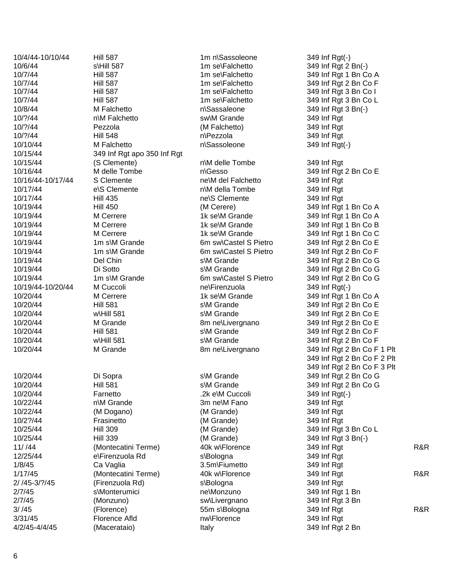10/4/44 -10/10/44 Hill 587 1m n 10/6/44 s \Hill 587 1m se 10/7/44 Hill 587 Hill 587 Hill 587 Hill 587 Hill 587 Hill Solution and the Hall of Hill Solution of the Hill S 10/7/44 **Hill 587** 1m se 10/7/44 Hill 587 Hill 587 http://www.falchetto 10/7/44 **Hill 587 1m se** 10/8/44 M Falchetto 10/?/44 n\M Falchetto 10/?/44 Pezzola (M Falchetto) 349 Inf Rgt 10/?/44 Hill 548 10/10/44 M Falchetto 10/15/44 349 Inf Rgt apo 350 Inf Rgt 10/15/44 (S Clemente) 10/16/44 M delle Tombe 10/16/44 S Clemente 10/17/44 e \S Clemente 10/17/44 Hill 435 10/19/44 Hill 450 (M Cerere) 349 Inf Rgt 1 Bn Co A 10/19/44 M Cerrere 1k se\M Grande 10/19/44 M Cerrere 1k se\M Grande 10/19/44 M Cerrere 1k se\M Grande 10/19/44 1m s\M Grande 10/19/44 1m s\M Grande 10/19/44 Del Chin 10/19/44 Di Sotto 10/19/44 1m s\M Grande 10/19/44 M Cuccoli **mellet and mellet and mellet and mellet and mellet and mellet and mellet and mellet and mellet and mellet and mellet and mellet and mellet and mellet and mellet and mellet and mellet and mellet and mellet and me** 10/20/44 M Cerrere 1k selM Grande 10/20/44 Hill 581 10/20/44 w\Hill 581 10/20/44 M Grande 8m ne\Livergnano 10/20/44 Hill 581 10/20/44 w\Hill 581 10/20/44 M Grande 8m ne\Livergnano 10/20/44 Di Sopra 10/20/44 Hill 581 10/20/44 **Farnetto Example 10/20/44 Farnetto** .2k eM Cuccoli 10/22/44 n\M Grande 3m ne 10/22/44 (M Dogano) (M Grande) 349 Inf Rgt 10/2?/44 Frasinetto 10/25/44 Hill 309 (M Grande) 349 Inf Rgt 3 Bn Co L 10/25/44 Hill 339 (M Grande) 349 Inf Rgt 3 Bn( - ) 11//44 (Montecatini Terme) 40k w\Florence 349 Inf Rgt 349 Inf Rgt R&R 12/25/44 e \Firenzuola Rd 1/8/45 Ca Vaglia 3.5m\Fiumetto 1/17/45 (Montecatini Terme) 40k w\Florence 349 Inf Rgt 349 Inf Rgt R&R 2/ /45-3/?/45 -3/?/45 (Firenzuola Rd ) 2/7/45 s \Monterumici ne 2/7/45 (Monzuno) sw\Livergnano 349 Inf Rgt 3 Bn  $3/ /45$  (Florence) 3/31/45 Florence Afld nw\Florence 349 Inf Rgt 4/2/45-4/4/45 (Macerataio) Italy Italy 349 Inf Rgt 2 Bn

n\Sassaleone \Sassaleone 349 Inf Rgt 3 Bn(-) sw\M Grande 349 Inf Rgt n\Pezzola n\Sassoleone \Sassoleone 349 Inf Rgt ( - ) n \M delle Tombe 349 Inf Rgt n\Gesso ne\M del Falchetto 349 Inf Rgt n \M della Tombe 349 Inf Rgt ne\S Clemente 349 Inf Rat s\M Grande s\M Grande \Firenzuola 349 Inf Rgt ( - ) s\M Grande s\M Grande s\M Grande s\M Grande s\M Grande s\M Grande \M Cuccoli 349 Inf Rgt ( - ) 3m ne\M Fano 349 Inf Rgt (M Grande) 349 Inf Rgt s\Bologna s\Bologna ne\Monzuno 349 Inf Rgt 1 Bn 55m s\Bologna

\Sassoleone 349 Inf Rgt(-) \Falchetto 349 Inf Rgt 2 Bn( - ) 349 Inf Rat 1 Bn Co A 1m se\Falchetto 349 Inf Rgt 2 Bn Co F 349 Inf Rgt 3 Bn Co I 1m se\Falchetto 349 Inf Rgt 3 Bn Co L 349 Inf Rgt 349 Inf Rgt 2 Bn Co E 349 Inf Rgt 1 Bn Co A 349 Inf Rgt 1 Bn Co B 349 Inf Rgt 1 Bn Co C 6m sw\Castel S Pietro 349 Inf Rgt 2 Bn Co E 6m sw\Castel S Pietro 349 Inf Rgt 2 Bn Co F 349 Inf Rgt 2 Bn Co G 349 Inf Rgt 2 Bn Co G 6m sw\Castel S Pietro 349 Inf Rgt 2 Bn Co G 349 Inf Rgt 1 Bn Co A 349 Inf Rgt 2 Bn Co E 349 Inf Rgt 2 Bn Co E 349 Inf Rgt 2 Bn Co E 349 Inf Rgt 2 Bn Co F 349 Inf Rgt 2 Bn Co F 349 Inf Rgt 2 Bn Co F 1 Plt 349 Inf Rgt 2 Bn Co F 2 Plt 349 Inf Rgt 2 Bn Co F 3 Plt 349 Inf Rgt 2 Bn Co G 349 Inf Rgt 2 Bn Co G 349 Inf Rgt 349 Inf Rgt 349 Inf Rgt 349 Inf Rgt R&R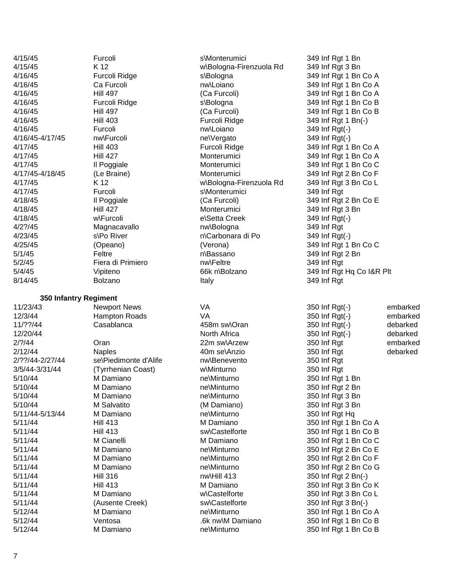| 4/15/45               | Furcoli                    | s\Monterumici           | 349 Inf Rgt 1 Bn                     |
|-----------------------|----------------------------|-------------------------|--------------------------------------|
| 4/15/45               | K 12                       | w\Bologna-Firenzuola Rd | 349 Inf Rgt 3 Bn                     |
| 4/16/45               | Furcoli Ridge              | s\Bologna               | 349 Inf Rgt 1 Bn Co A                |
| 4/16/45               | Ca Furcoli                 | nw\Loiano               | 349 Inf Rgt 1 Bn Co A                |
| 4/16/45               | <b>Hill 497</b>            | (Ca Furcoli)            | 349 Inf Rgt 1 Bn Co A                |
| 4/16/45               | Furcoli Ridge              | s\Bologna               | 349 Inf Rgt 1 Bn Co B                |
| 4/16/45               | <b>Hill 497</b>            | (Ca Furcoli)            | 349 Inf Rgt 1 Bn Co B                |
|                       |                            |                         |                                      |
| 4/16/45               | <b>Hill 403</b><br>Furcoli | Furcoli Ridge           | 349 Inf Rgt 1 Bn(-)                  |
| 4/16/45               |                            | nw\Loiano               | 349 Inf Rgt(-)                       |
| 4/16/45-4/17/45       | nw\Furcoli                 | ne\Vergato              | 349 Inf Rgt(-)                       |
| 4/17/45               | <b>Hill 403</b>            | Furcoli Ridge           | 349 Inf Rgt 1 Bn Co A                |
| 4/17/45               | <b>Hill 427</b>            | Monterumici             | 349 Inf Rgt 1 Bn Co A                |
| 4/17/45               | Il Poggiale                | Monterumici             | 349 Inf Rgt 1 Bn Co C                |
| 4/17/45-4/18/45       | (Le Braine)                | Monterumici             | 349 Inf Rgt 2 Bn Co F                |
| 4/17/45               | K 12                       | w\Bologna-Firenzuola Rd | 349 Inf Rgt 3 Bn Co L                |
| 4/17/45               | Furcoli                    | s\Monterumici           | 349 Inf Rgt                          |
| 4/18/45               | Il Poggiale                | (Ca Furcoli)            | 349 Inf Rgt 2 Bn Co E                |
| 4/18/45               | <b>Hill 427</b>            | Monterumici             | 349 Inf Rgt 3 Bn                     |
| 4/18/45               | w\Furcoli                  | e\Setta Creek           | 349 Inf Rgt(-)                       |
| $4/2$ ?/45            | Magnacavallo               | nw\Bologna              | 349 Inf Rgt                          |
| 4/23/45               | s\Po River                 | n\Carbonara di Po       | 349 Inf Rgt(-)                       |
| 4/25/45               | (Opeano)                   | (Verona)                | 349 Inf Rgt 1 Bn Co C                |
| 5/1/45                | Feltre                     | n\Bassano               | 349 Inf Rgt 2 Bn                     |
| 5/2/45                | Fiera di Primiero          | nw\Feltre               | 349 Inf Rgt                          |
| 5/4/45                | Vipiteno                   | 66k n\Bolzano           | 349 Inf Rgt Hq Co I&R Plt            |
| 8/14/45               | <b>Bolzano</b>             | Italy                   | 349 Inf Rgt                          |
|                       |                            |                         |                                      |
| 350 Infantry Regiment |                            |                         |                                      |
| 11/23/43              | <b>Newport News</b>        | VA                      | 350 Inf Rgt(-)<br>embarked           |
| 12/3/44               | <b>Hampton Roads</b>       | <b>VA</b>               | 350 Inf Rgt(-)<br>embarked           |
| 11/??/44              | Casablanca                 | 458m sw\Oran            | 350 Inf Rgt(-)<br>debarked           |
| 12/20/44              |                            | North Africa            | 350 Inf Rgt(-)<br>debarked           |
| 2/? / 44              | Oran                       | 22m sw\Arzew            | 350 Inf Rgt<br>embarked              |
| 2/12/44               | <b>Naples</b>              | 40m se\Anzio            | 350 Inf Rgt<br>debarked              |
| 2/??/44-2/27/44       | se\Piedimonte d'Alife      | nw\Benevento            | 350 Inf Rgt                          |
| 3/5/44-3/31/44        | (Tyrrhenian Coast)         | w\Minturno              | 350 Inf Rgt                          |
| 5/10/44               | M Damiano                  | ne\Minturno             | 350 Inf Rgt 1 Bn                     |
| 5/10/44               | M Damiano                  | ne\Minturno             |                                      |
| 5/10/44               |                            |                         | 350 Inf Rgt 2 Bn<br>350 Inf Rgt 3 Bn |
|                       | M Damiano                  | ne\Minturno             |                                      |
| 5/10/44               | M Salvatito                | (M Damiano)             | 350 Inf Rgt 3 Bn                     |
| 5/11/44-5/13/44       | M Damiano                  | ne\Minturno             | 350 Inf Rgt Hq                       |
| 5/11/44               | <b>Hill 413</b>            | M Damiano               | 350 Inf Rgt 1 Bn Co A                |
| 5/11/44               | <b>Hill 413</b>            | sw\Castelforte          | 350 Inf Rgt 1 Bn Co B                |
| 5/11/44               | M Cianelli                 | M Damiano               | 350 Inf Rgt 1 Bn Co C                |
| 5/11/44               | M Damiano                  | ne\Minturno             | 350 Inf Rgt 2 Bn Co E                |
| 5/11/44               | M Damiano                  | ne\Minturno             | 350 Inf Rgt 2 Bn Co F                |
| 5/11/44               | M Damiano                  | ne\Minturno             | 350 Inf Rgt 2 Bn Co G                |
| 5/11/44               | <b>Hill 316</b>            | nw\Hill 413             | 350 Inf Rgt 2 Bn(-)                  |
| 5/11/44               | <b>Hill 413</b>            | M Damiano               | 350 Inf Rgt 3 Bn Co K                |
| 5/11/44               | M Damiano                  | w\Castelforte           | 350 Inf Rgt 3 Bn Co L                |
| 5/11/44               | (Ausente Creek)            | sw\Castelforte          | 350 Inf Rgt 3 Bn(-)                  |
| 5/12/44               | M Damiano                  | ne\Minturno             | 350 Inf Rgt 1 Bn Co A                |
|                       |                            |                         |                                      |
| 5/12/44               | Ventosa                    | .6k nw\M Damiano        | 350 Inf Rgt 1 Bn Co B                |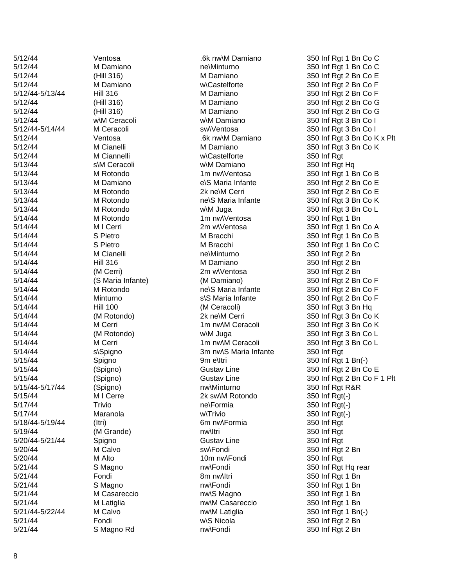| 5/12/44         | Ventosa           | .6ŀ            |
|-----------------|-------------------|----------------|
| 5/12/44         | M Damiano         | ne             |
| 5/12/44         | (Hill 316)        | М              |
| 5/12/44         | M Damiano         | w١             |
| 5/12/44-5/13/44 | <b>Hill 316</b>   | М              |
| 5/12/44         | (Hill 316)        | М              |
| 5/12/44         | (Hill 316)        | М              |
| 5/12/44         | w\M Ceracoli      | w۱             |
| 5/12/44-5/14/44 | M Ceracoli        | SW             |
| 5/12/44         | Ventosa           | .6ŀ            |
| 5/12/44         | M Cianelli        | М              |
| 5/12/44         | M Ciannelli       | w١             |
| 5/13/44         | s\M Ceracoli      | w۱             |
| 5/13/44         | M Rotondo         | 1 <sub>m</sub> |
| 5/13/44         | M Damiano         | e              |
| 5/13/44         | M Rotondo         | 2k             |
| 5/13/44         | M Rotondo         | ne             |
| 5/13/44         | M Rotondo         | w۱             |
| 5/14/44         | M Rotondo         | 1 <sub>m</sub> |
| 5/14/44         | M I Cerri         | 2n             |
| 5/14/44         | S Pietro          | М              |
| 5/14/44         | S Pietro          | М              |
| 5/14/44         | M Cianelli        | ne             |
| 5/14/44         | <b>Hill 316</b>   | м              |
| 5/14/44         | (M Cerri)         | 2n             |
| 5/14/44         | (S Maria Infante) | (M             |
| 5/14/44         | M Rotondo         | ne             |
| 5/14/44         | Minturno          | s              |
| 5/14/44         | <b>Hill 100</b>   | (M             |
| 5/14/44         | (M Rotondo)       | 2k             |
| 5/14/44         | M Cerri           | 1 <sub>m</sub> |
| 5/14/44         | (M Rotondo)       | w۱             |
| 5/14/44         | M Cerri           | 1n             |
| 5/14/44         | s\Spigno          | 3n             |
| 5/15/44         | Spigno            | 9n             |
| 5/15/44         | (Spigno)          | Gι             |
| 5/15/44         | (Spigno)          | Gι             |
| 5/15/44-5/17/44 | (Spigno)          | nw             |
| 5/15/44         | M I Cerre         | 2k             |
| 5/17/44         | Trivio            | ne             |
| 5/17/44         | Maranola          | w۱,            |
| 5/18/44-5/19/44 | (Itri)            | 6n             |
| 5/19/44         | (M Grande)        | nw             |
| 5/20/44-5/21/44 | Spigno            | Gι             |
| 5/20/44         | M Calvo           | SW             |
| 5/20/44         | M Alto            | 10             |
| 5/21/44         | S Magno           | nw             |
| 5/21/44         | Fondi             | 8n             |
| 5/21/44         | S Magno           | nw             |
| 5/21/44         | M Casareccio      | nw             |
| 5/21/44         | M Latiglia        | nw             |
| 5/21/44-5/22/44 | M Calvo           | nw             |
| 5/21/44         | Fondi             | w۱             |
| 5/21/44         | S Magno Rd        | nw             |

M Damiano **netalla metalla di magnitura di magnitur**a di magnitura di magnitura di magnitura di magnitura di magni M Damiano w\M Ceracoli M Ciannelli s \M Ceracoli M Damiano M Rotondo 2k ne\M Cerri M Rotondo M Cianelli ne\Minturno Minturno (M Rotondo) 2k ne M Cerri (M Rotondo) s\Spigno Spigno 9m e\ltri Maranola Fondi

w\Castelforte 350 Inf Rgt w\M Damiano 350 Inf Rgt Hq e\S Maria Infante M Rotondo **next** nel S Maria Infante M Rotondo 1m nw\Ventosa 350 Inf Rgt 1 Bn 5/14/44 Hill 316 M Damiano 350 Inf Rgt 2 Bn (M Cerri) 2m w\Ventosa 350 Inf Rgt 2 Bn M Rotondo **next** nels Maria Infante s\S Maria Infante 5/14/44 Hill 100 (M Ceracoli) 350 Inf Rgt 3 Bn Hq 3m nw\S Maria Infante 350 Inf Rgt -5/17/44 (Spigno) nw\Minturno 350 Inf Rgt R&R M I Cerre 2k sw\M Rotondo \Formia 350 Inf Rgt ( - ) w\Trivio 350 Inf Rgt ( - ) -5/19/44 (Itri) 6m nw\Formia 350 Inf Rgt (M Grande) **nw** Itri 350 Inf Rgt ات التي توني التي اتراك التي تي التي تي التي تون التي تي التي تي التي تي التي تي التي تي التي تي التي تي التي<br>التي تي التي تي التي تي التي تي التي تي تي التي تي التي تي التي تي التي تي التي تي التي تي التي تي التي تي الت<br> M Calvo **SW** SwlFondi 350 Inf Rgt 2 Bn M Alto 10m nw\Fondi 350 Inf Rgt S Magno **b** The MCFondi 350 Inf Rgt Hq rear 5/21/44 Fondi 8m nw\Itri 350 Inf Rgt 1 Bn S Magno **b** The Multimum of the number of the Magno state of the Multimum of State 1 Bn M Casareccio **compared in the Strutter M Casareccio** nw\S Magno 350 Inf Rgt 1 Bn 5/21/44 M Latiglia nw\M Casareccio 350 Inf Rgt 1 Bn -5/22/44 M Calvo nw\M Latiglia 350 Inf Rgt 1 Bn(-) w\S Nicola 350 Inf Rgt 2 Bn 5/21/44 S Magno Rd nw\Fondi 350 Inf Rgt 2 Bn

5/12/44 Ventosa .6k nw\M Damiano 350 Inf Rgt 1 Bn Co C 350 Inf Rat 1 Bn Co C 5/12/44 (Hill 316) M Damiano 350 Inf Rgt 2 Bn Co E w\Castelforte 350 Inf Rgt 2 Bn Co F -5/13/44 Hill 316 M Damiano 350 Inf Rgt 2 Bn Co F 5/12/44 (Hill 316) M Damiano 350 Inf Rgt 2 Bn Co G 5/12/44 (Hill 316) M Damiano 350 Inf Rgt 2 Bn Co G w\M Damiano 350 Inf Rgt 3 Bn Co I M Ceracoli **1200 SWA CERACOL** Sw\Ventosa 350 Inf Rgt 3 Bn Co I 5/12/44 Ventosa .6k nw\M Damiano 350 Inf Rgt 3 Bn Co K x Plt M Cianelli **M** Damiano 350 Inf Rgt 3 Bn Co K M Rotondo 1m nw\Ventosa 350 Inf Rgt 1 Bn Co B 350 Inf Rgt 2 Bn Co E 350 Inf Rgt 2 Bn Co E 350 Inf Rgt 3 Bn Co K w\M Juga 350 Inf Rgt 3 Bn Co L M I Cerri 2m w\Ventosa 350 Inf Rgt 1 Bn Co A S Pietro **M Bracchi** 350 Inf Rgt 1 Bn Co B S Pietro **M Bracchi** 350 Inf Rgt 1 Bn Co C 350 Inf Rgt 2 Bn 5/14/44 (S Maria Infante) (M Damiano) 350 Inf Rgt 2 Bn Co F 350 Inf Rgt 2 Bn Co F 350 Inf Rgt 2 Bn Co F 350 Inf Rgt 3 Bn Co K M Cerri 1m nw\M Ceracoli 350 Inf Rgt 3 Bn Co K w\M Juga 350 Inf Rgt 3 Bn Co L M Cerri 1m nw\M Ceracoli 350 Inf Rgt 3 Bn Co L \Itri 350 Inf Rgt 1 Bn( - ) (Spigno) **Gustav Line 350 Inf Rgt 2 Bn Co E** (Spigno) **Gustav Line** 350 Inf Rgt 2 Bn Co F 1 Plt  $(\cdot)$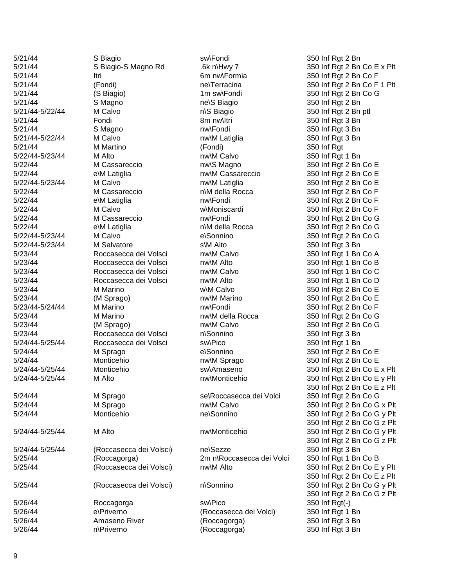5/21/44-5/22/44 5/21/44 5/22/44-5/23/44 5/22/44 5/22/44-5/23/44 5/22/44 M Cassareccio 5/22/44 5/22/44 M Calvo 5/22/44 5/22/44 -5/23/44 M Calvo 5/22/44-5/23/44 5/23/44 M Marino 5/23/44-5/24/44 5/24/44-5/25/44 5/24/44 M Sprago 5/24/44-5/25/44 5/24/44-5/25/44 5/24/44 Monticehio 5/24/44-5/25/44 5/24/44 5/26/44

5/21/44 S Biagio -S Magno Rd .6k n 5/21/44 (Fondi) re\Terracina 5/21/44 S Magno<br>
S Magno<br>
S Magno M Calvo e\M Latiglia e\M Latiglia e \M Latiglia M Salvatore 5/23/44 Roccasecca dei Volsci (Roccasecca dei Volsci) nel Sezze 5/25/44 (Roccasecca dei Volsci) e\Priverno n\Priverno

57/44<br>
57/44 S Biagio Swhpno Rd<br>
57/44 S Biagio Swhpno Rd<br>
257/44 S Biagio Swhpno Rd<br>
257/44 Processors and the method and the method and the problem<br>
257/44 Processors and the method and the method and the problem<br>
257/ 5/21/44 Itri Itri 6m nw\Formia 350 Inf Rgt 2 Bn Co F 5/21/44 (S Biagio) 1m sw\Fondi 350 Inf Rgt 2 Bn Co G n\S Biagio 5/21/44 Fondi 8m nw\Itri 350 Inf Rgt 3 Bn 5/21/44 S Magno nw\Fondi 350 Inf Rgt 3 Bn M Calvo **No. 22/44 M** Calvo nw\M Latiglia 350 Inf Rgt 3 Bn 5/21/44 M Martino (Fondi) 350 Inf Rgt M Alto **Mature 2018** M Alto **M** Alto 250 Inf Rgt 1 Bn 5/22/44 M Cassareccio nw\S Magno 350 Inf Rgt 2 Bn Co E nw\M Cassareccio 350 Inf Rgt 2 Bn Co E M Calvo **Notainglia** 250 Inf Rgt 2 Bn Co E n\M della Rocca nw\Fondi 350 Inf Rgt 2 Bn Co F w\Moniscardi 350 Inf Rgt 2 Bn Co F 5/22/44 M Cassareccio nw\Fondi 350 Inf Rgt 2 Bn Co G n\M della Rocca e\Sonnino s\M Alto 5/23/44 Roccasecca dei Volsci nw\M Calvo 350 Inf Rgt 1 Bn Co A 5/23/44 Roccasecca dei Volsci nw\M Alto 350 Inf Rgt 1 Bn Co B 5/23/44 Roccasecca dei Volsci nw\M Calvo 350 Inf Rgt 1 Bn Co C 5/23/44 Roccasecca dei Volsci nw\M Alto 350 Inf Rgt 1 Bn Co D w\M Calvo 350 Inf Rgt 2 Bn Co E 5/23/44 (M Sprago) and the munic munic of the state of the state of the state of the state of the state of the state of the state of the state of the state of the state of the state of the state of the state of the state o -5/24/44 M Marino nw\Fondi 350 Inf Rgt 2 Bn Co F 5/23/44 M Marino nw\M della Rocca 350 Inf Rgt 2 Bn Co G 5/23/44 (M Sprago) nw\M Calvo 350 Inf Rgt 2 Bn Co G n\Sonnino Roccasecca dei Volsci sw\Pico 350 Inf Rgt 1 Bn e\Sonnino 5/24/44 Monticehio nw\M Sprago 350 Inf Rgt 2 Bn Co E 5/24/44 M Sprago se\Roccasecca dei Volci ne\Sonnino 5/25/44 (Roccagorga) 2m n\Roccasecca dei Volci n\Sonnino 5/26/44 Roccagorga sw\Pico 350 Inf Rgt (Roccasecca dei Volci) 350 Inf Rgt 1 Bn 5/26/44 Amaseno River (Roccagorga) 350 Inf Rgt 3 Bn \Priverno (Roccagorga) 350 Inf Rgt 3 Bn

 $\frac{1}{10}$  -6k n\Hwy 7 350 Inf Rgt 2 Bn Co E x Plt 350 Inf Rgt 2 Bn Co F 1 Plt 350 Inf Rgt 2 Bn 350 Inf Rat 2 Bn ptl 350 Inf Rgt 2 Bn Co F 350 Inf Rgt 2 Bn Co G 350 Inf Rgt 2 Bn Co G 350 Inf Rgt 3 Bn 350 Inf Rgt 3 Bn 350 Inf Rgt 2 Bn Co E Monticehio  $-5$  sw\Amaseno 350 Inf Rgt 2 Bn Co E x Plt M Alto **No. 250 M** Alto nw\Monticehio 350 Inf Rgt 2 Bn Co E y Plt 350 Inf Rgt 2 Bn Co E z Plt 350 Inf Rgt 2 Bn Co G 5/24/44 M Sprago nw\M Calvo 350 Inf Rgt 2 Bn Co G x Plt 350 Inf Rgt 2 Bn Co G y Plt 350 Inf Rgt 2 Bn Co G z Plt M Alto **M** Alto **nw**\Monticehio 350 Inf Rgt 2 Bn Co G y Plt 350 Inf Rgt 2 Bn Co G z Plt 350 Inf Rgt 3 Bn 350 Inf Rgt 1 Bn Co B 5/25/44 (Roccasecca dei Volsci) nw\M Alto 350 Inf Rgt 2 Bn Co E y Plt 350 Inf Rgt 2 Bn Co E z Plt 350 Inf Rgt 2 Bn Co G y Plt 350 Inf Rgt 2 Bn Co G z Plt  $(-)$ 

5/26/44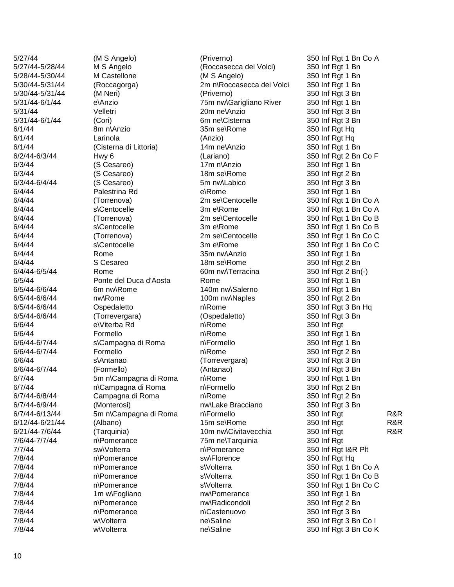5/27/44-5/28/44 5/28/44-5/30/44 5/30/44-5/31/44 5/30/44-5/31/44 5/31/44 -6/1/44 6/1/44 8m n\Anzio 6/2/44-6/3/44 6/3/44-6/4/44 6/4/44 Palestrina Rd 6/4/44 6/4/44 6/4/44 6/4/44-6/5/44 6/6/44 6/6/44 6/5/44-6/6/44 6/5/44-6/6/44 6/6/44 6/6/44 Formello 6/6/44 -6/7/44 6/6/44-6/7/44 6/6/44 6/6/44-6/7/44  $6/7/44$ 6/7/44 6/7/44-6/8/44 6/7/44-6/9/44 6/7/44 -6/13/44 5m n 6/12/44-6/21/44 6/21/44-7/6/44 7/6/44 -7/7/44 7/7/44 sw\Volterra 7/8/44 7/8/44 7/8/44 7/8/44 7/8/44 7/8/44 7/8/44 7/8/44

M S Angelo (Roccasecca dei Volci) M Castellone  $(M S \text{ Angelo})$  350 Inf Rgt 1 Bn (Roccagorga) (M Neri)  $(Piverno)$  350 Inf Rgt 3 Bn e\Anzio 5/31/44 Velletri 20m ne 5/31/44 -6/1/44 (Cori) 6m ne 6/1/44 Larinola (Anzio) 350 Inf Rgt Hq 6/1/44 (Cisterna di Littoria) 14m ne\Anzio -6/3/44 Hwy 6 (Lariano) 350 Inf Rgt 2 Bn Co F 6/3/44 (S Cesareo) 6/3/44 17m n\Anzio 6/3/44 (S Cesareo) 18m sel Rome -6/4/44 (S Cesareo) 5m nw\Labico 350 Inf Rgt 3 Bn 6/4/44 (Torrenova) 2m selCentocelle s\Centocelle 3m e 6/4/44 (Torrenova) 2m se s\Centocelle 3m e 6/4/44 (Torrenova) 2m selCentocelle s\Centocelle 3m e 6/4/44 Rome 35m nw\Anzio 350 Inf Rgt 1 Bn 6/4/44 S Cesareo 18m sel Rome -6/5/44 Rome 60m nw\Terracina 350 Inf Rgt 2 Bn( - ) 6/5/44 Ponte del Duca d'Aosta Rome 350 Inf Rgt 1 Bn -6/6/44 6m nw\Rome 140m nw\Salerno 350 Inf Rgt 1 Bn nw\Rome 100m nw\Naples 350 Inf Rgt 2 Bn Ospedaletto -6/6/44 (Torrevergara) (Ospedaletto) 350 Inf Rgt 3 Bn e \Viterba Rd s \Campagna di Roma Formello s\Antanao -6/7/44 (Formello) (Antanao) 350 Inf Rgt 3 Bn 5m n\Campagna di Roma n \Campagna di Roma Campagna di Roma -6/9/44 (Monterosi) nw\Lake Bracciano 350 Inf Rgt 3 Bn 5m n\Campagna di Roma (Albano) 15m se\Rome -7/6/44 (Tarquinia) 10m nw\Civitavecchia n \Pomerance 75m ne n\Pomerance n \Pomerance n \Pomerance n \Pomerance 7/8/44 1m w\Fogliano 1m nw\Pomerance 350 Inf Rgt 1 Bn n\Pomerance n \Pomerance w\Volterra ne\Saline w\Volterra ne\Saline

2m n\Roccasecca dei Volci 350 Inf Rgt 1 Bn 75m nw\Garigliano River 350 Inf Rgt 1 Bn 20m ne\Anzio 350 Inf Rat 3 Bn 6m ne\Cisterna 350 Inf Rgt 3 Bn 35m se\Rome e\Rome n \Rom n\Rome n\Rome n\Formello n\Rome \Antanao (Torrevergara) 350 Inf Rgt 3 Bn n\Rome n\Formello n\Rome n\Formello 75m ne\Tarquinia 350 Inf Rgt n\Pomerance sw\Florence 350 Inf Rgt Hq s\Volterra s\Volterra s\Volterra nw\Radicondoli 350 Inf Rgt 2 Bn n\Castenuovo

5/27/44 (M S Angelo) (Priverno) 350 Inf Rgt 1 Bn Co A 350 Inf Rat 1 Bn 350 Inf Rgt Hq 350 Inf Rgt 1 Bn 350 Inf Rat 1 Bn 350 Inf Rgt 2 Bn 350 Inf Rgt 1 Bn 350 Inf Rgt 1 Bn Co A 3m e\Rome 350 Inf Rat 1 Bn Co A \Centocelle 350 Inf Rgt 1 Bn Co B 3m e\Rome 350 Inf Rat 1 Bn Co B 350 Inf Rgt 1 Bn Co C 3m e\Rome 350 Inf Rgt 1 Bn Co C \Rome 350 Inf Rgt 2 B n 350 Inf Rat 3 Bn Ha 350 Inf Rgt 350 Inf Rgt 1 Bn 350 Inf Rgt 1 Bn 350 Inf Rat 2 Bn 350 Inf Rgt 1 Bn 350 Inf Rgt 2 Bn 350 Inf Rgt 2 Bn \Formello 350 Inf Rgt R&R \Rome 350 Inf Rgt R&R 350 Inf Rgt R&R 350 Inf Rgt I&R Plt 350 Inf Rgt 1 Bn Co A 350 Inf Rgt 1 Bn Co B 350 Inf Rgt 1 Bn Co C 350 Inf Rgt 3 Bn 350 Inf Rgt 3 Bn Co I 350 Inf Rgt 3 Bn Co K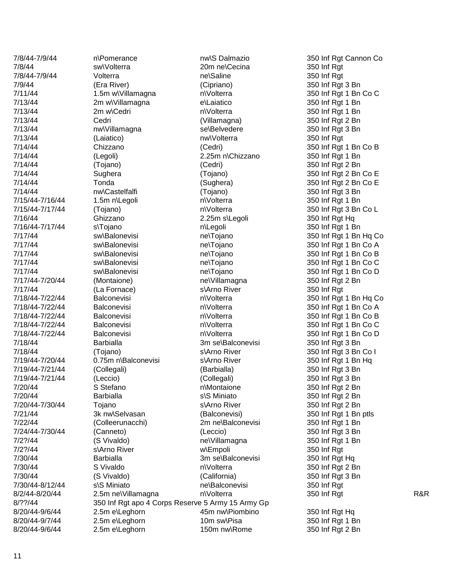7/8/44 -7/9/44 7/8/44-7/9/44 7/11/44 1.5m w\Villamagna 7/13/44 2m w\Villamagna 7/13/44 2m w\Cedri 7/14/44 7/15/44 -7/16/44 1.5m n 7/15/44 7/16/44 -7/17/44 7/17/44-7/20/44 7/17/44 (La Fornace) 7/18/44-7/22/44 7/18/44-7/22/44 7/18/44-7/22/44 7/18/44-7/22/44 7/18/44-7/22/44 7/18/44 (Tojano) 7/19/44 -7/20/44 7/19/44-7/21/44 7/19/44-7/21/44 7/20/44 S Stefano 7/20/44 Barbialla 7/20/44 -7/30/44 Tojano 7/24/44-7/30/44 7/2?/44 7/30/44 S Vivaldo 7/30/44 -8/12/44 8/2/44-8/20/44 8/20/44-9/6/44 8/20/44-9/7/44 8/20/44 -9/6/44 2.5m e

n\Pomerance 7/8/44 sw\Volterra 20m ne Volterra 7/13/44 nw\Villamagna se\Belvedere 1.5m n\Legoli (Tojano) 7/16/44 Ghizzano 2.25m s\Legoli s \Tojano 7/17/44 sw\Balonevisi ne\Tojano 7/17/44 sw\Balonevisi ne\Tojano 7/17/44 sw\Balonevisi ne\Tojano 7/17/44 sw\Balonevisi ne\Tojano 7/17/44 sw\Balonevisi ne\Tojano (Montaione) nel Villamagna Balconevisi **Balconevisi** Balconevisi **Balconevisi** Balconevisi 0.75m n \Balconevisi 7/2?/44 (S Vivaldo) entrancemental nel Villamagna s \Arno River s \S Miniato ne -8/20/44 2.5m ne \Villamagna 2.5m elLeghorn 2.5m elLeghorn

ne\Saline 7/9/44 (Era River) (Cipriano) 350 Inf Rgt 3 Bn n\Volterra e\Laiatico n\Volterra 7/13/44 Cedri (Villamagna) 350 Inf Rgt 2 Bn 7/13/44 (Laiatico) nw\Volterra 350 Inf Rgt 7/14/44 (Legoli) 2.25m n\Chizzano 7/14/44 (Tojano) (Cedri) 350 Inf Rgt 2 Bn 7/14/44 nw\Castelfalfi (Tojano) 350 Inf Rgt 3 Bn n\Volterra n\Volterra n\Legoli s\Arno River n\Volterra n\Volterra n\Volterra n\Volterra n\Volterra 7/18/44 Barbialla 3m se s\Arno River s\Arno River -7/21/44 (Collegali) (Barbialla) 350 Inf Rgt 3 Bn -7/21/44 (Leccio) (Collegali) 350 Inf Rgt 3 Bn n\Montaione s\S Miniato s\Arno River 7/21/44 3k nw\Selvasan (Balconevisi) 350 Inf Rgt 1 Bn ptls 7/22/44 (Colleerunacchi) 2m ne (Canneto) (Leccio) 350 Inf Rgt 3 Bn w\Empoli 350 Inf Rgt 7/30/44 **Barbialla** 3m selBalconevisi n\Volterra 7/30/44 (S Vivaldo) (California) 350 Inf Rgt 3 Bn ne\Balconevisi 350 Inf Rgt n\Volterra 8/??/44 350 Inf Rgt apo 4 Corps Reserve 5 Army 15 Army Gp \Leghorn 45m nw\Piombino 350 Inf Rgt Hq 10m sw\Pisa 350 Inf Rgt 1 Bn 2.5m e\Leghorn 150m nw\Rome 350 Inf Rgt 2 Bn

nw\S Dalmazio 350 Inf Rgt Cannon Co \Cecina 350 Inf Rgt 350 Inf Rgt 350 Inf Rgt 1 Bn Co C 350 Inf Rgt 1 Bn 350 Inf Rat 1 Bn 350 Inf Rgt 3 Bn 7/14/44 Chizzano (Cedri) 350 Inf Rgt 1 Bn Co B 350 Inf Rgt 1 Bn Sughera (Tojano) 350 Inf Rgt 2 Bn Co E 7/14/44 Tonda (Sughera) 350 Inf Rgt 2 Bn Co E 350 Inf Rgt 1 Bn 350 Inf Rat 3 Bn Co L 350 Inf Rgt Hq 350 Inf Rat 1 Bn 350 Inf Rgt 1 Bn Hq Co 350 Inf Rgt 1 Bn Co A 350 Inf Rgt 1 Bn Co B 350 Inf Rat 1 Bn Co C 350 Inf Rgt 1 Bn Co D 350 Inf Rgt 2 Bn 350 Inf Rgt 350 Inf Rgt 1 Bn Hq Co 350 Inf Rat 1 Bn Co A 350 Inf Rgt 1 Bn Co B 350 Inf Rgt 1 Bn Co C 350 Inf Rgt 1 Bn Co D 350 Inf Rgt 3 Bn 350 Inf Rgt 3 Bn Co I 350 Inf Rgt 1 Bn Hq 350 Inf Rgt 2 Bn 350 Inf Rgt 2 Bn 350 Inf Rat 2 Bn  $350$  Inf Rgt 1 Bn 350 Inf Rgt 1 Bn 350 Inf Rgt Hq 350 Inf Rgt 2 Bn 350 Inf Rgt **R&R**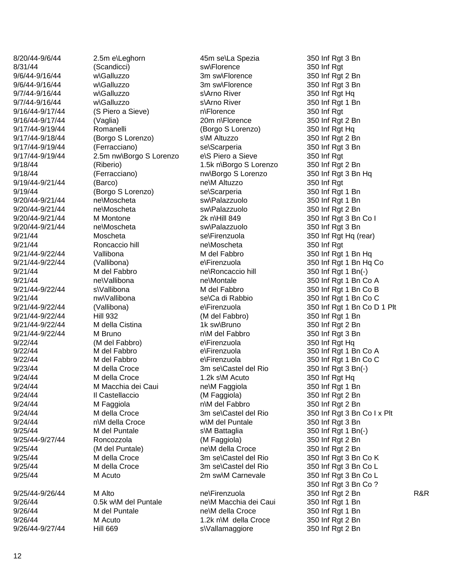8/20/44-9/6/44 9/6/44 -9/16/44 9/6/44 -9/16/44 9/7/44 -9/16/44 9/7/44 -9/16/44 9/17/44 9/16/44-9/17/44 9/17/44-9/19/44 9/17/44-9/18/44 9/17/4 4 9/17/44-9/19/44 9/18/44 (Riberio) 9/19/44-9/21/44 9/20/44 -9/21/44 ne 9/20/44 -9/21/44 ne 9/20/44-9/21/44 9/20/44 -9/21/44 ne 9/21/44-9/22/44 9/21/44-9/22/44  $9/21/44$ 9/21/44 -9/22/44 9/21/44-9/22/44 9/21/44-9/22/44 9/21/44-9/22/44 9/21/44 -9/22/44 M Bruno 9/22/44 (M del Fabbro) 9/22/44 M del Fabbro 9/22/44 M del Fabbro 9/24/44 M Faggiola 9/24/44 9/25/44 M del Puntale 9/25/44-9/27/44 9/26/44 -9/27/44 Hill 669

-9/6/44 2.5m e \Leghorn 45m se w\Galluzzo w\Galluzzo (S Piero a Sieve) (Vaglia) 20m n\Florence (Borgo S Lorenzo) (Ferracciano) sel Scarperia 2.5m nw\Borgo S Lorenzo (Barco) ne\M Altuzzo 9/19/44 (Borgo S Lorenzo) sel Scarperia M Montone 2k n\Hill 849 9/21/44 Moscheta selFirenzuola 9/21/44 Roncaccio hill nelMoscheta (Vallibona) 9/21/44 M del Fabbro **ne** Roncaccio hill ne\Vallibona ne\Montale s\Vallibona 9/21/44 **nw\Vallibona** se\Ca di Rabbio (Vallibona) 9/23/44 M della Croce 3m selCastel del Rio 9/24/44 M della Croce 1.2k s\M Acuto 9/24/44 MMacchia dei Caui ne\M Faggiola 9/24/44 M della Croce 3m selCastel del Rio n \M della Croce 9/25/44 (M del Puntale) ne\M della Croce 9/25/44 M della Croce 3m selCastel del Rio 9/25/44 M della Croce 3m selCastel del Rio 9/25/44 -9/26/44 M Alto ne  $9/26/44$  0.5k w\M del Puntale 9/26/44 M del Puntale ne\M della Croce 9/26/44 M Acuto 1.2k n\M della Croce

45m se\La Spezia 350 Inf Rgt 3 Bn 8/31/44 (Scandicci) sw\Florence 350 Inf Rgt w\Galluzzo 3m sw\Florence 350 Inf Rgt 2 Bn w\Galluzzo 3m sw\Florence 350 Inf Rgt 3 Bn s\Arno River s \Arno Rive n\Florence Romanelli (Borgo S Lorenzo) 350 Inf Rgt Hq s\M Altuzzo e\S Piero a Sieve 350 Inf Rgt 1.5k n\Borgo S Lorenzo 350 Inf Rgt 2 Bn 9/18/44 (Ferracciano) nw\Borgo S Lorenzo 350 Inf Rgt 3 Bn Hq ne\Moscheta **sw\Palazzuolo** 350 Inf Rgt 1 Bn \Moscheta sw\Palazzuolo 350 Inf Rgt 2 Bn ne\Moscheta sw\Palazzuolo 350 Inf Rgt 3 Bn Vallibona **M** del Fabbro 350 Inf Rgt 1 Bn Hq e\Firenzuola \Roncaccio hill 350 Inf Rgt 1 Bn( - ) M del Fabbro 350 Inf Rgt 1 Bn Co B e\Firenzuola -9/22/44 Hill 932 (M del Fabbro) 350 Inf Rgt 1 Bn M della Cistina  $\begin{array}{ccc} 1 & 1 \\ 2 & 50 \end{array}$  M della Cistina  $\begin{array}{ccc} 350 & 1 \end{array}$  M della Cistina n\M del Fabbro e\Firenzuola e\Firenzuola e\Firenzuola 9/24/44 Il Castellaccio (M Faggiola) 350 Inf Rgt 2 Bn n\M del Fabbro w\M del Puntale 350 Inf Rgt 3 Bn s\M Battaglia \M Battaglia 350 Inf Rgt 1 Bn( - ) -9/27/44 Roncozzola (M Faggiola) 350 Inf Rgt 2 Bn 9/25/44 M Acuto 2m sw\M Carnevale 350 Inf Rgt 3 Bn Co L ne\M Macchia dei Caui 350 Inf Rgt 1 Bn

350 Inf Rgt Hq 350 Inf Rgt 1 Bn 350 Inf Rat 350 Inf Rgt 2 Bn  $350$  Inf Rgt 2 Bn 350 Inf Rgt 3 Bn 350 Inf Rgt 350 Inf Rgt 1 Bn 350 Inf Rgt 3 Bn Co I 350 Inf Rgt Hq (rear) 350 Inf Rgt 350 Inf Rgt 1 Bn Hq Co 350 Inf Rgt 1 Bn Co A 350 Inf Rgt 1 Bn Co C 350 Inf Rat 1 Bn Co D 1 Plt 350 Inf Rgt 3 Bn 350 Inf Rat Ha 350 Inf Rgt 1 Bn Co A 350 Inf Rat 1 Bn Co C \Castel del Rio 350 Inf Rgt 3 Bn( - ) 350 Inf Rgt Hq 350 Inf Rgt 1 Bn 350 Inf Rgt 2 Bn 350 Inf Rgt 3 Bn Co I x Plt 350 Inf Rgt 2 Bn 350 Inf Rat 3 Bn Co K 350 Inf Rgt 3 Bn Co L 350 Inf Rgt 3 Bn Co ? ne\Firenzuola 350 Inf Rgt 2 Bn R&R  $350$  Inf Rat 1 Bn 350 Inf Rgt 2 Bn s \Vallamaggiore 350 Inf Rgt 2 Bn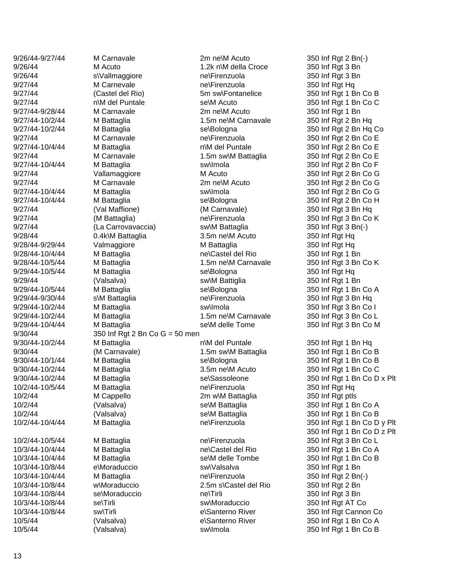9/30/44 350 Inf Rgt 2 Bn Co G = 50 men

9/26/44-9/27/44 M Carnavale 2m ne\M Acuto 350 Inf Rgt 2 Bn(-) 9/26/44 M Acuto 1.2k n\M della Croce 350 Inf Rgt 3 Bn 9/26/44 S\Vallmaggiore ne\Firenzuola 350 Inf Rgt 3 Bn 9/27/44 M Carnevale ne\Firenzuola 350 Inf Rgt Hq 9/27/44 (Castel del Rio) 5m sw\Fontanelice 350 Inf Rgt 1 Bn Co B 9/27/44 n\M del Puntale se\M Acuto 350 Inf Rgt 1 Bn Co C 9/27/44-9/28/44 M Carnavale 2m ne\M Acuto 350 Inf Rgt 1 Bn 9/27/44-10/2/44 M Battaglia 1.5m ne\M Carnavale 350 Inf Rgt 2 Bn Hq 9/27/44-10/2/44 M Battaglia se\Bologna 350 Inf Rgt 2 Bn Hq Co 9/27/44 M Carnavale **M** Carnavale ne\Firenzuola 350 Inf Rgt 2 Bn Co E 9/27/44-10/4/44 M Battaglia n\M del Puntale 350 Inf Rgt 2 Bn Co E 9/27/44 M Carnavale 1.5m sw\M Battaglia 350 Inf Rgt 2 Bn Co E 9/27/44-10/4/44 M Battaglia sw\Imola 350 Inf Rgt 2 Bn Co F 9/27/44 Vallamaggiore M Acuto 350 Inf Rgt 2 Bn Co G 9/27/44 M Carnavale 2m ne\M Acuto 350 Inf Rgt 2 Bn Co G 9/27/44-10/4/44 M Battaglia sw\Imola 350 Inf Rgt 2 Bn Co G 9/27/44-10/4/44 M Battaglia se\Bologna 350 Inf Rgt 2 Bn Co H 9/27/44 (Val Maffione) (M Carnavale) (M Carnavale) 350 Inf Rat 3 Bn Hq 9/27/44 (M Battaglia) ne\Firenzuola 350 Inf Rgt 3 Bn Co K 9/27/44 (La Carrovavaccia) swww. Battaglia 350 Inf Rgt 3 Bn(-) 9/28/44 0.4k\M Battaglia 3.5m ne\M Acuto 350 Inf Rgt Hq 9/28/44-9/29/44 Valmaggiore M Battaglia 350 Inf Rgt Hq 9/28/44-10/4/44 M Battaglia **ne**\Castel del Rio 350 Inf Rgt 1 Bn 9/28/44-10/5/44 M Battaglia 1.5m ne\M Carnavale 350 Inf Rgt 3 Bn Co K 9/29/44-10/5/44 M Battaglia se\Bologna 350 Inf Rgt Hq 9/29/44 (Valsalva) sw\M Battiglia 350 Inf Rgt 1 Bn 9/29/44-10/5/44 M Battaglia se\Bologna 350 Inf Rgt 1 Bn Co A 9/29/44-9/30/44 s\M Battaglia ne\Firenzuola 350 Inf Rgt 3 Bn Hq 9/29/44-10/2/44 M Battaglia sw\Imola 350 Inf Rgt 3 Bn Co I 9/29/44-10/2/44 M Battaglia 1.5m ne\M Carnavale 350 Inf Rgt 3 Bn Co L 9/29/44-10/4/44 M Battaglia se\M delle Tome 350 Inf Rgt 3 Bn Co M 9/30/44-10/2/44 M Battaglia n\M del Puntale 350 Inf Rgt 1 Bn Hq 9/30/44 (M Carnavale) 1.5m sw\M Battaglia 350 Inf Rgt 1 Bn Co B 9/30/44-10/1/44 M Battaglia se\Bologna 350 Inf Rgt 1 Bn Co B 9/30/44-10/2/44 M Battaglia 3.5m ne\M Acuto 350 Inf Rgt 1 Bn Co C 10/2/44-10/5/44 M Battaglia ne\Firenzuola 350 Inf Rgt Hq 10/2/44 M Cappello 2m w\M Battaglia 350 Inf Rgt ptls 10/2/44 (Valsalva) se\M Battaglia 350 Inf Rgt 1 Bn Co A 10/2/44 (Valsalva) se\M Battaglia 350 Inf Rgt 1 Bn Co B 10/2/44-10/5/44 M Battaglia ne\Firenzuola 350 Inf Rgt 3 Bn Co L 10/3/44-10/4/44 M Battaglia ne\Castel del Rio 350 Inf Rgt 1 Bn Co A 10/3/44-10/4/44 M Battaglia se\M delle Tombe 350 Inf Rgt 1 Bn Co B 10/3/44-10/8/44 e\Moraduccio sw\Valsalva 350 Inf Rgt 1 Bn 10/3/44-10/4/44 M Battaglia ne\Firenzuola 350 Inf Rgt 2 Bn(-) 10/3/44-10/8/44 w\Moraduccio 2.5m s\Castel del Rio 350 Inf Rgt 2 Bn 10/3/44-10/8/44 se\Moraduccio ne\Tirli 350 Inf Rgt 3 Bn 10/3/44-10/8/44 se\Tirli sw\Moraduccio 350 Inf Rgt AT Co 10/3/44-10/8/44 sw\Tirli e\Santerno River 350 Inf Rgt Cannon Co 10/5/44 (Valsalva) e\Santerno River 350 Inf Rgt 1 Bn Co A 10/5/44 (Valsalva) sw\Imola 350 Inf Rgt 1 Bn Co B

9/30/44-10/2/44 M Battaglia se\Sassoleone 350 Inf Rgt 1 Bn Co D x Plt 10/2/44-10/4/44 M Battaglia ne\Firenzuola 350 Inf Rgt 1 Bn Co D y Plt 350 Inf Rgt 1 Bn Co D z Plt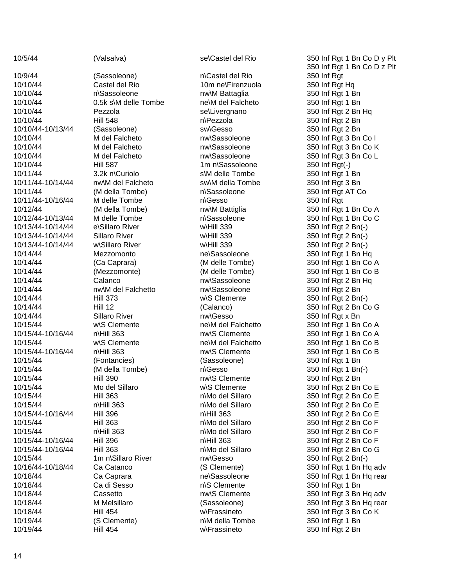10/9/44 (Sassoleone) 10/10/44 Castel del Rio 10m ne 10/10/44 10/10/44 10/10/44 Pezzola selLivergnano 10/10/44 Hill 548 10/10/44 10/10/44 Hill 587 10/11/44 10/11/44 10/11/44 (M della Tombe) 10/11/44-10/16/44 10/12/44 10/13/44 -10/14/44 10/13/44 10/13/44 -10/14/44 10/14/44 Mezzomonto nel Sassoleone 10/14/44 (Mezzomonte) 10/14/44 nw\M del Falchetto nw\Sassoleone 350 Inf Rgt 2 Bn 10/14/44 Hill 373 10/14/44 **Sillaro River 12 Sillaro River 12 Sillaro River 12 Sillaro River 20 Sillaro River 20 Sillaro River 1** 10/15/44 10/15/44 -10/16/44 10/15/44 10/15/44 -10/16/44 10/15/44 (Fontancies) (Sassoleone) 350 Inf Rgt 1 Bn 10/15/44 (M della Tombe) 10/15/44 Hill 390 nw\S Clemente 350 Inf Rgt 2 Bn 10/15/44 Mo del Sillaro 10/15/44 Hill 363 10/15/44 10/15/44 -10/16/44 Hill 396 10/15/44 Hill 363 10/15/44 10/15/44 -10/16/44 Hill 396 10/15/44 -10/16/44 Hill 363 10/15/44 1m n\Sillaro River 10/16/44 10/18/44 Ca Caprara Care nel Sassoleone 10/18/44 Ca di Sesso 10/18/44 10/19/44 (S Clemente) 10/19/44 Hill 454

10/5/44 (Valsalva) selCastel del Rio

n\Sassoleone 0.5k s \M delle Tombe ne -10/13/44 (Sassoleone) sw\Gesso 350 Inf Rgt 2 Bn 3.2k n\Curiolo nw\M del Falcheto **300 sw\M della Tombe** 350 Inf Rgt 3 Bn M delle Tombe M delle Tombe e \Sillaro River Sillaro River w\Sillaro River w\S Clemente ne\M del Falchetto n\Hill 363 w\S Clemente ne\M del Falchetto n\Hill 363 n \Hill 363 n \Hill 363 Hill 454

n \Castel del Rio 350 Inf Rgt nw\M Battaglia 350 Inf Rgt 1 Bn ne\M del Falcheto 350 Inf Rgt 1 Bn n\Pezzola  $1m$  n\Sassoleone s\M delle Tombe n\Sassoleone n\Gesso n\Sassoleone n\Gesso n\Mo del Sillaro n\Mo del Sillaro  $n$ Hill 363 n \Mo del Sillaro 350 Inf Rg n\Mo del Sillaro n\Hill 363 n\Mo del Sillaro n\S Clemente n\M della Tombe w\Frassineto 350 Inf Rgt 2 Bn

350 Inf Rgt 1 Bn Co D y Plt 350 Inf Rgt 1 Bn Co D z Plt 350 Inf Rgt Hq 350 Inf Rgt 2 Bn Hq 350 Inf Rgt 2 Bn 10/10/44 M del Falcheto nw\Sassoleone 350 Inf Rgt 3 Bn Co I 10/10/44 M del Falcheto nw\Sassoleone 350 Inf Rgt 3 Bn Co K 10/10/44 M del Falcheto nw\Sassoleone 350 Inf Rgt 3 Bn Co L  $(\cdot)$ 350 Inf Rgt 1 Bn 350 Inf Rgt AT Co \Gesso 350 Inf Rgt 10/12/44 (M della Tombe) nw\M Battiglia 350 Inf Rgt 1 Bn Co A 350 Inf Rgt 1 Bn Co C w\Hill 339 350 Inf Rgt 2 Bn(-) w\Hill 339 350 Inf Rgt 2 Bn(-) w\Hill 339 350 Inf Rgt 2 Bn(-) 350 Inf Rgt 1 Bn Hq 10/14/44 (Ca Caprara) (M delle Tombe) 350 Inf Rgt 1 Bn Co A (M delle Tombe) 350 Inf Rgt 1 Bn Co B 10/14/44 Calanco nw\Sassoleone 350 Inf Rgt 2 Bn Hq w\S Clemente 350 Inf Rgt 2 Bn(-) 10/14/44 Hill 12 (Calanco) 350 Inf Rgt 2 Bn Co G 350 Inf Rgt 1 Bn Co A nw\S Clemente 350 Inf Rgt 1 Bn Co A 350 Inf Rgt 1 Bn Co B nw\S Clemente 350 Inf Rgt 1 Bn Co B \Gesso 350 Inf Rgt 1 Bn( - ) w\S Clemente 350 Inf Rgt 2 Bn Co E 350 Inf Rgt 2 Bn Co E 350 Inf Rgt 2 Bn Co E 350 Inf Rgt 2 Bn Co E 350 Inf Rgt 2 Bn Co F 350 Inf Rgt 2 Bn Co F 350 Inf Rgt 2 Bn Co F 350 Inf Rgt 2 Bn Co G \Sillaro River nw\Gesso 350 Inf Rgt 2 Bn( - ) Ca Catanco (S Clemente) 350 Inf Rgt 1 Bn Hq adv 350 Inf Rgt 1 Bn Hq rear 350 Inf Rgt 1 Bn 10/18/44 Cassetto nw\S Clemente 350 Inf Rgt 3 Bn Hq adv 10/18/44 M Melsillaro (Sassoleone) 350 Inf Rgt 3 Bn Hq rear w\Frassineto 350 Inf Rgt 3 Bn Co K  $350$  Inf Rgt 1 Bn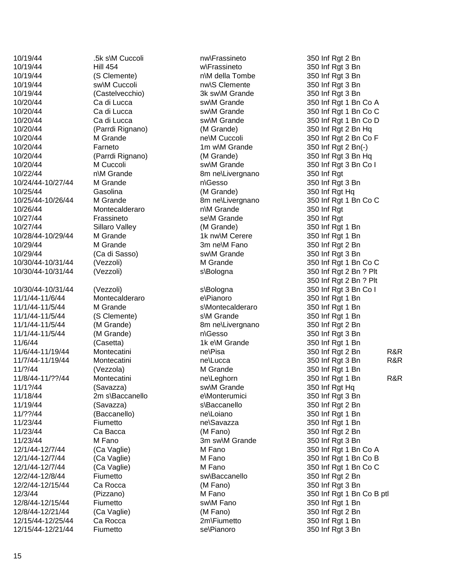10/19/44 .5k s\M Cuccoli 10/19/44 Hill 454 10/19/44 (S Clemente) 10/19/44 Sw\M Cuccoli nw\S Clemente 350 Inf Rgt 3 Bn 10/19/44 (Castelvecchio) 3k sw\M Grande 350 Inf Rgt 3 Bn 10/20/44 (Parrdi Rignano) (M Grande) 350 Inf Rgt 2 Bn Hq 10/20/44 M Grande ne\M Cuccoli 10/20/44 Farneto 1m w\M Grande 350 Inf Rgt 2 Bn( - ) 10/20/44 (Parrdi Rignano) (M Grande) 350 Inf Rgt 3 Bn Hq 10/22/44 10/24/44 -10/27/44 M Grande 10/25/44 Gasolina (M Grande) 350 Inf Rgt Hq 10/25/44 - 10/26/44 M Grande 8m ne 10/26/44 Montecalderaro 10/27/44 **Frassineto** Frassineto SelM Grande 10/27/44 Sillaro Valley (M Grande) 350 Inf Rgt 1 Bn 10/28/44 10/29/44 M Grande 3m ne\M Fano 10/29/44 (Ca di Sasso) sw\M Grande 350 Inf Rgt 3 Bn 10/30/44-10/31/44 10/30/44 -10/31/44 (Vezzoli) 10/30/44 - 11/1/44 11/1/44 11/1/44 11/1/44 11/1/44 11/6/44 (Casetta) (Casetta 11/6/44 (Casetta 11/6/44 (Casetta 1) 11/6/44-11/19/44 11/7/44 11/?/44 (Vezzola) M Grande 350 Inf Rgt 1 Bn 11/8/44-11/??/44 11/1?/44 (Savazza) sw\M Grande 350 Inf Rgt Hq 11/18/44 11/19/44 (Savazza) 11/??/44 (Baccanello) nel nel original 11/23/44 Fiumetto ne 11/23/44 Ca Bacca (M Fano) 350 Inf Rgt 2 Bn 11/23/44 M Fano 3m sw\M Grande 350 Inf Rgt 3 Bn 12/1/44 12/1/44 12/1/44-12/7/44 12/2/44 12/2/44-12/15/44 12/8/44-12/15/44 Fiumetto sw\M Fano 350 Inf Rgt 1 Bn 12/8/44-12/21/44 12/15/44 12/15/44 -12/21/44 Fiumetto se

n\M Grande 8m ne (Vezzoli) Montecalderaro M Grande (S Clemente) (M Grande) (M Grande) Montecatini nelelelasa nelenga melenga mengenakan anak mengenakan anak mengenakan anak mengenak mengenak menge Montecatini nelLucca Montecatini nelleghorn 2m s\Baccanello Ca Rocca 2m\Fiumetto

nw\Frassineto 350 Inf Rgt 2 Bn w\Frassineto 350 Inf Rgt 3 Bn n\M della Tombe 8m ne\Livergnano 350 Inf Rgt n\Gesso n\M Grande M Grande **18 M Grande** 1k nw\M Cerere 350 Inf Rgt 1 Bn s\Bologna s\Bologna e\Pianoro s\Montecalderaro s\M Grande 8m ne\Livergnano n\Gesso e\Monterumici s\Baccanello Fiumetto Sw\Baccanello 350 Inf Rgt 2 Bn -12/15/44 Ca Rocca (M Fano) 350 Inf Rgt 3 Bn -12/21/44 (Ca Vaglie) (M Fano) 350 Inf Rgt 2 Bn se\Pianoro 350 Inf Rgt 3 Bn

350 Inf Rgt 3 Bn 10/20/44 Ca di Lucca sw\M Grande 350 Inf Rgt 1 Bn Co A 10/20/44 Ca di Lucca sw\M Grande 350 Inf Rgt 1 Bn Co C 10/20/44 Ca di Lucca sw\M Grande 350 Inf Rgt 1 Bn Co D 350 Inf Rgt 2 Bn Co F 10/20/44 M Cuccoli sw\M Grande 350 Inf Rgt 3 Bn Co I 350 Inf Rgt 3 Bn 8m ne\Livergnano 350 Inf Rgt 1 Bn Co C 350 Inf Rat 350 Inf Rgt 350 Inf Rgt 2 Bn -10/31/44 (Vezzoli) M Grande 350 Inf Rgt 1 Bn Co C 350 Inf Rgt 2 Bn ? Plt 350 Inf Rgt 2 Bn ? Plt 350 Inf Rgt 3 Bn Co I 350 Inf Rgt 1 Bn 350 Inf Rat 1 Bn 350 Inf Rgt 1 Bn 350 Inf Rgt 2 Bn 350 Inf Rgt 3 Bn 350 Inf Rgt 1 Bn \Pisa 350 Inf Rgt 2 Bn R&R 350 Inf Rgt 3 Bn R&R 350 Inf Rgt 1 Bn R&R 350 Inf Rgt 3 Bn 350 Inf Rat 2 Bn 350 Inf Rgt 1 Bn \Savazza 350 Inf Rgt 1 Bn -12/7/44 (Ca Vaglie) M Fano 350 Inf Rgt 1 Bn Co A (Ca Vaglie) M Fano 350 Inf Rgt 1 Bn Co B -12/7/44 (Ca Vaglie) M Fano 350 Inf Rgt 1 Bn Co C 12/3/44 (Pizzano) M Fano 350 Inf Rgt 1 Bn Co B ptl  $350$  Inf Rgt 1 Bn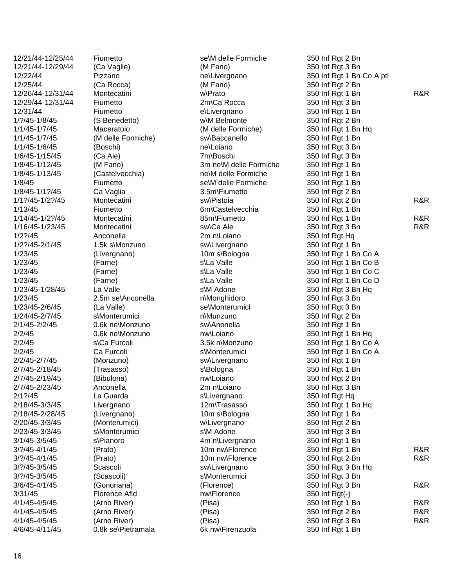12/21/44 -12/25/44 Fiumetto se 12/21/44 12/26/44 12/29/44 -12/31/4 12/31/44 Fiumetto 1/?/45-1/8/45 1/1/45-1/7/45 1/1/45 1/1/45-1/6/45 1/8/45-1/12/45 1/8/45-1/13/45 1/8/45 1/8/45-1/1?/45 1/1?/45-1/2?/45 1/14/45-1/2?/45 1/16/45-1/23/45 1/2?/45 -2/1/45 1.5k s 1/23/45 (Farne) 1/23/45 (Farne) 1/23/45 (Farne) 1/23/45 -1/28/45 La Valle 1/23/45 2.5m se \Anconella 1/23/45 1/24/45 -2/7/45 2/1/45-2/2/45 2/2/45 0.6k ne 2/2/45 2/2/45 Ca Furcoli 2/2/45-2/7/45 2/7/45-2/18/45 2/7/45-2/19/45 2/7/45-2/23/45 2/1?/45 La Guarda 2/18/45-3/3/45 2/18/45-2/28/45 2/20/45-3/3/45 2/23/45 -3/3/45 3/1/45 -3/5/45 3/?/45-4/1/45  $3/2/45 - 4/1/45$ 3/?/45-3/5/45 3/?/45-3/5/45 3/6/45-4/1/45 4/1/45-4/5/45 4/1/45-4/5/45 4/1/45-4/5/45 4/6/45 -4/11/45

12/22/44 Pizzano Pe\Livergnano Montecatini Fiumetto 2m\Ca Rocca (S Benedetto) (Boschi) nelloiano 1/6/45 -1/15/45 (Ca Aie) 7m (M Fano) (Castelvecchia) Ca Vaglia **1988** Ca Vaglia 1999 1/13/45 **Fiumetto** Fiumetto 6m\Castelvecchia Montecatini 85m\Fiumetto 1/2?/45 Anconella 2m n\Loiano 1/23/45 (Livergnano) 10m s\Bologna (La Valle) se\Monterumici s \Monterumici 0.6k ne\Monzuno s \Ca Furcoli 3.5k n (Trasasso) Anconella 2m n\Loiano Livergnano 12m\Trasasso (Livergnano) 10m s\Bologna (Monterumici) s \Monterumici s \Pianoro 4m n (Scascoli) 3/31/45 Florence Afld nw\Florence 0.8k se\Pietramala

se\M delle Formiche 350 Inf Rgt 2 Bn -12/29/44 (Ca Vaglie) (M Fano) 350 Inf Rgt 3 Bn 12/25/44 (Ca Rocca) (M Fano) 350 Inf Rgt 2 Bn e\Livergnano w\M Belmonte 350 Inf Rgt 2 Bn Maceratoio **11/7/45 Maceratoio** (M delle Formiche) 350 Inf Rgt 1 Bn Hq (M delle Formiche) sw\Baccanello 350 Inf Rgt 1 Bn 7m\Boschi 350 Inf Rgt 3 Bn 3m ne\M delle Formiche 350 Inf Rgt 1 Bn ne\M delle Formiche 350 Inf Rgt 1 Bn Fiumetto se\M delle Formiche 1.5k s\Monzuno sw\Livergnano 350 Inf Rgt 1 Bn s\La Valle s\La Valle s\La Valle s\M Adone n\Monghidoro n\Munzuno sw\Anonella 350 Inf Rgt 1 Bn nw\Loiano 350 Inf Rgt 1 Bn Hq 3.5k n\Monzuno 350 Inf Rgt 1 Bn Co A s\Monterumici -2/7/45 (Monzuno) sw\Livergnano 350 Inf Rgt 1 Bn s\Bologna -2/19/45 (Bibulona) nw\Loiano 350 Inf Rgt 2 Bn s\Livergnano w\Livergnano 350 Inf Rgt 2 Bn s\M Adone 4m n\Livergnano 350 Inf Rgt 1 Bn -3/5/45 Scascoli sw\Livergnano 350 Inf Rgt 3 Bn Hq s\Monterumici 6k nw\Firenzuola 350 Inf Rgt 1 Bn

350 Inf Rgt 1 Bn Co A ptl w\Prato 350 Inf Rgt 1 Bn R&R 350 Inf Rgt 3 Bn 350 Inf Rat 1 Bn 350 Inf Rgt 3 Bn 350 Inf Rgt 1 Bn 350 Inf Rgt 2 Bn Montecatini Sw\Pistoia 350 Inf Rgt 2 Bn R&R 350 Inf Rat 1 Bn 350 Inf Rgt 1 Bn R&R Montecatini Sw\Ca Aie 350 Inf Rgt 3 Bn R&R 350 Inf Rgt Hq 350 Inf Rgt 1 Bn Co A 350 Inf Rgt 1 Bn Co B 350 Inf Rgt 1 Bn Co C 350 Inf Rgt 1 Bn Co D 350 Inf Rgt 3 Bn Hq 350 Inf Rgt 3 Bn 350 Inf Rat 3 Bn 350 Inf Rgt 2 Bn 350 Inf Rgt 1 Bn Co A 350 Inf Rgt 1 Bn 350 Inf Rgt 3 Bn 350 Inf Rgt Hq \Trasasso 350 Inf Rgt 1 Bn Hq 350 Inf Rgt 1 Bn 350 Inf Rgt 3 Bn -4/1/45 (Prato) 10m nw\Florence 350 Inf Rgt 1 Bn R&R -4/1/45 (Prato) 10m nw\Florence 350 Inf Rgt 2 Bn R&R 350 Inf Rgt 3 Bn -4/1/45 (Gonoriana) (Florence) 350 Inf Rgt 3 Bn R&R  $(-)$ -4/5/45 (Arno River) (Pisa) 350 Inf Rgt 1 Bn R&R -4/5/45 (Arno River) (Pisa) 350 Inf Rgt 2 Bn R&R -4/5/45 (Arno River) (Pisa) 350 Inf Rgt 3 Bn R&R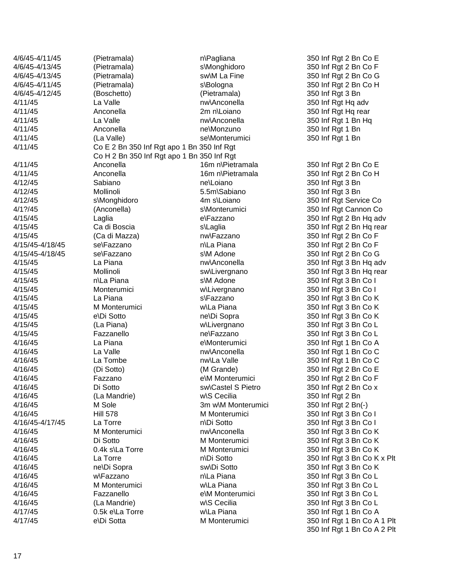| 4/6/45-4/11/45     | (Pietramala)                               | n\Pagliana             | 350 Inf Rgt 2 Bn Co E       |
|--------------------|--------------------------------------------|------------------------|-----------------------------|
| 4/6/45-4/13/45     | (Pietramala)                               | s\Monghidoro           | 350 Inf Rgt 2 Bn Co F       |
| 4/6/45-4/13/45     | (Pietramala)                               | sw\M La Fine           | 350 Inf Rgt 2 Bn Co G       |
| 4/6/45-4/11/45     | (Pietramala)                               | s\Bologna              | 350 Inf Rgt 2 Bn Co H       |
| 4/6/45-4/12/45     | (Boschetto)                                | (Pietramala)           | 350 Inf Rgt 3 Bn            |
| 4/11/45            | La Valle                                   | nw\Anconella           | 350 Inf Rgt Hq adv          |
| 4/11/45            | Anconella                                  | 2m n\Loiano            | 350 Inf Rgt Hq rear         |
| 4/11/45            | La Valle                                   | nw\Anconella           | 350 Inf Rgt 1 Bn Hq         |
| 4/11/45            | Anconella                                  | ne\Monzuno             | 350 Inf Rgt 1 Bn            |
| 4/11/45            | (La Valle)                                 | se\Monterumici         | 350 Inf Rgt 1 Bn            |
| 4/11/45            | Co E 2 Bn 350 Inf Rgt apo 1 Bn 350 Inf Rgt |                        |                             |
|                    | Co H 2 Bn 350 Inf Rgt apo 1 Bn 350 Inf Rgt |                        |                             |
| 4/11/45            | Anconella                                  | 16m n\Pietramala       | 350 Inf Rgt 2 Bn Co E       |
| 4/11/45            | Anconella                                  | 16m n\Pietramala       | 350 Inf Rgt 2 Bn Co H       |
| 4/12/45            | Sabiano                                    | ne\Loiano              | 350 Inf Rgt 3 Bn            |
| 4/12/45            | Mollinoli                                  | 5.5m\Sabiano           | 350 Inf Rgt 3 Bn            |
| 4/12/45            | s\Monghidoro                               | 4m s\Loiano            | 350 Inf Rgt Service Co      |
| $4/1$ ?/45         | (Anconella)                                | s\Monterumici          | 350 Inf Rgt Cannon Co       |
| 4/15/45            | Laglia                                     | e\Fazzano              |                             |
|                    | Ca di Boscia                               |                        | 350 Inf Rgt 2 Bn Hq adv     |
| 4/15/45<br>4/15/45 |                                            | s\Laglia<br>nw\Fazzano | 350 Inf Rgt 2 Bn Hq rear    |
|                    | (Ca di Mazza)                              |                        | 350 Inf Rgt 2 Bn Co F       |
| 4/15/45-4/18/45    | se\Fazzano                                 | n\La Piana             | 350 Inf Rgt 2 Bn Co F       |
| 4/15/45-4/18/45    | se\Fazzano                                 | s\M Adone              | 350 Inf Rgt 2 Bn Co G       |
| 4/15/45            | La Piana                                   | nw\Anconella           | 350 Inf Rgt 3 Bn Hq adv     |
| 4/15/45            | Mollinoli                                  | sw\Livergnano          | 350 Inf Rgt 3 Bn Hq rear    |
| 4/15/45            | n\La Piana                                 | s\M Adone              | 350 Inf Rgt 3 Bn Co I       |
| 4/15/45            | Monterumici                                | w\Livergnano           | 350 Inf Rgt 3 Bn Co I       |
| 4/15/45            | La Piana                                   | s\Fazzano              | 350 Inf Rgt 3 Bn Co K       |
| 4/15/45            | M Monterumici                              | w\La Piana             | 350 Inf Rgt 3 Bn Co K       |
| 4/15/45            | e\Di Sotto                                 | ne\Di Sopra            | 350 Inf Rgt 3 Bn Co K       |
| 4/15/45            | (La Piana)                                 | w\Livergnano           | 350 Inf Rgt 3 Bn Co L       |
| 4/15/45            | Fazzanello                                 | ne\Fazzano             | 350 Inf Rgt 3 Bn Co L       |
| 4/16/45            | La Piana                                   | e\Monterumici          | 350 Inf Rgt 1 Bn Co A       |
| 4/16/45            | La Valle                                   | nw\Anconella           | 350 Inf Rgt 1 Bn Co C       |
| 4/16/45            | La Tombe                                   | nw\La Valle            | 350 Inf Rgt 1 Bn Co C       |
| 4/16/45            | (Di Sotto)                                 | (M Grande)             | 350 Inf Rgt 2 Bn Co E       |
| 4/16/45            | Fazzano                                    | e\M Monterumici        | 350 Inf Rgt 2 Bn Co F       |
| 4/16/45            | Di Sotto                                   | sw\Castel S Pietro     | 350 Inf Rgt 2 Bn Co x       |
| 4/16/45            | (La Mandrie)                               | w\S Cecilia            | 350 Inf Rgt 2 Bn            |
| 4/16/45            | M Sole                                     | 3m w\M Monterumici     | 350 Inf Rgt 2 Bn(-)         |
| 4/16/45            | <b>Hill 578</b>                            | M Monterumici          | 350 Inf Rgt 3 Bn Co I       |
| 4/16/45-4/17/45    | La Torre                                   | n\Di Sotto             | 350 Inf Rgt 3 Bn Co I       |
| 4/16/45            | M Monterumici                              | nw\Anconella           | 350 Inf Rgt 3 Bn Co K       |
| 4/16/45            | Di Sotto                                   | M Monterumici          | 350 Inf Rgt 3 Bn Co K       |
| 4/16/45            | 0.4k s\La Torre                            | M Monterumici          | 350 Inf Rgt 3 Bn Co K       |
| 4/16/45            | La Torre                                   | n\Di Sotto             | 350 Inf Rgt 3 Bn Co K x Plt |
| 4/16/45            | ne\Di Sopra                                | sw\Di Sotto            | 350 Inf Rgt 3 Bn Co K       |
| 4/16/45            | w\Fazzano                                  | n\La Piana             | 350 Inf Rgt 3 Bn Co L       |
| 4/16/45            | M Monterumici                              | w\La Piana             | 350 Inf Rgt 3 Bn Co L       |
| 4/16/45            | Fazzanello                                 | e\M Monterumici        | 350 Inf Rgt 3 Bn Co L       |
| 4/16/45            | (La Mandrie)                               | w\S Cecilia            | 350 Inf Rgt 3 Bn Co L       |
| 4/17/45            | 0.5k e\La Torre                            | w\La Piana             | 350 Inf Rgt 1 Bn Co A       |
| 4/17/45            | e\Di Sotta                                 | M Monterumici          | 350 Inf Rgt 1 Bn Co A 1 Plt |
|                    |                                            |                        | 350 Inf Rgt 1 Bn Co A 2 Plt |
|                    |                                            |                        |                             |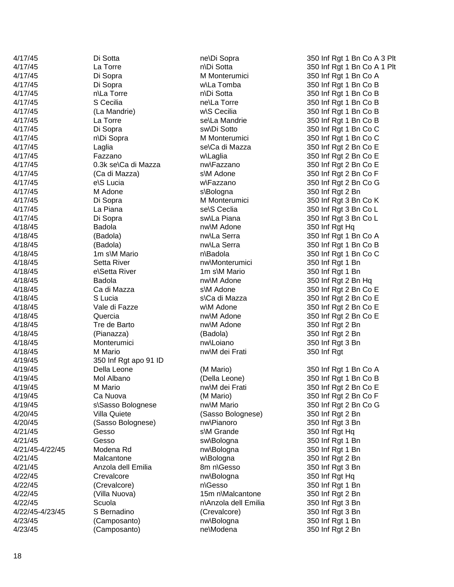| 4/17/45         | Di Sotta              | ne\Di Sopra          | 350 Inf Rgt 1 Bn Co A 3 Plt |
|-----------------|-----------------------|----------------------|-----------------------------|
| 4/17/45         | La Torre              | n\Di Sotta           | 350 Inf Rgt 1 Bn Co A 1 Plt |
| 4/17/45         | Di Sopra              | M Monterumici        | 350 Inf Rgt 1 Bn Co A       |
| 4/17/45         | Di Sopra              | w\La Tomba           | 350 Inf Rgt 1 Bn Co B       |
| 4/17/45         | n\La Torre            | n\Di Sotta           | 350 Inf Rgt 1 Bn Co B       |
| 4/17/45         | S Cecilia             | ne\La Torre          | 350 Inf Rgt 1 Bn Co B       |
| 4/17/45         | (La Mandrie)          | w\S Cecilia          | 350 Inf Rgt 1 Bn Co B       |
| 4/17/45         | La Torre              | se\La Mandrie        | 350 Inf Rgt 1 Bn Co B       |
| 4/17/45         | Di Sopra              | sw\Di Sotto          | 350 Inf Rgt 1 Bn Co C       |
| 4/17/45         | n\Di Sopra            | M Monterumici        | 350 Inf Rgt 1 Bn Co C       |
| 4/17/45         | Laglia                | se\Ca di Mazza       | 350 Inf Rgt 2 Bn Co E       |
| 4/17/45         | Fazzano               | w\Laglia             | 350 Inf Rgt 2 Bn Co E       |
| 4/17/45         | 0.3k se\Ca di Mazza   | nw\Fazzano           | 350 Inf Rgt 2 Bn Co E       |
| 4/17/45         | (Ca di Mazza)         | s\M Adone            | 350 Inf Rgt 2 Bn Co F       |
| 4/17/45         | e\S Lucia             | w\Fazzano            | 350 Inf Rgt 2 Bn Co G       |
| 4/17/45         | M Adone               | s\Bologna            | 350 Inf Rgt 2 Bn            |
| 4/17/45         | Di Sopra              | M Monterumici        | 350 Inf Rgt 3 Bn Co K       |
| 4/17/45         | La Piana              | se\S Ceclia          | 350 Inf Rgt 3 Bn Co L       |
| 4/17/45         | Di Sopra              | sw\La Piana          | 350 Inf Rgt 3 Bn Co L       |
| 4/18/45         | Badola                | nw\M Adone           | 350 Inf Rgt Hq              |
| 4/18/45         | (Badola)              | nw\La Serra          | 350 Inf Rgt 1 Bn Co A       |
| 4/18/45         | (Badola)              | nw\La Serra          | 350 Inf Rgt 1 Bn Co B       |
| 4/18/45         | 1m s\M Mario          | n\Badola             |                             |
|                 |                       |                      | 350 Inf Rgt 1 Bn Co C       |
| 4/18/45         | Setta River           | nw\Monterumici       | 350 Inf Rgt 1 Bn            |
| 4/18/45         | e\Setta River         | 1m s\M Mario         | 350 Inf Rgt 1 Bn            |
| 4/18/45         | Badola                | nw\M Adone           | 350 Inf Rgt 2 Bn Hq         |
| 4/18/45         | Ca di Mazza           | s\M Adone            | 350 Inf Rgt 2 Bn Co E       |
| 4/18/45         | S Lucia               | s\Ca di Mazza        | 350 Inf Rgt 2 Bn Co E       |
| 4/18/45         | Vale di Fazze         | w\M Adone            | 350 Inf Rgt 2 Bn Co E       |
| 4/18/45         | Quercia               | nw\M Adone           | 350 Inf Rgt 2 Bn Co E       |
| 4/18/45         | Tre de Barto          | nw\M Adone           | 350 Inf Rgt 2 Bn            |
| 4/18/45         | (Pianazza)            | (Badola)             | 350 Inf Rgt 2 Bn            |
| 4/18/45         | Monterumici           | nw\Loiano            | 350 Inf Rgt 3 Bn            |
| 4/18/45         | M Mario               | nw\M dei Frati       | 350 Inf Rgt                 |
| 4/19/45         | 350 Inf Rgt apo 91 ID |                      |                             |
| 4/19/45         | Della Leone           | (M Mario)            | 350 Inf Rgt 1 Bn Co A       |
| 4/19/45         | Mol Albano            | (Della Leone)        | 350 Inf Rgt 1 Bn Co B       |
| 4/19/45         | M Mario               | nw\M dei Frati       | 350 Inf Rgt 2 Bn Co E       |
| 4/19/45         | Ca Nuova              | (M Mario)            | 350 Inf Rgt 2 Bn Co F       |
| 4/19/45         | s\Sasso Bolognese     | nw\M Mario           | 350 Inf Rgt 2 Bn Co G       |
| 4/20/45         | Villa Quiete          | (Sasso Bolognese)    | 350 Inf Rgt 2 Bn            |
| 4/20/45         | (Sasso Bolognese)     | nw\Pianoro           | 350 Inf Rgt 3 Bn            |
| 4/21/45         | Gesso                 | s\M Grande           | 350 Inf Rgt Hq              |
| 4/21/45         | Gesso                 | sw\Bologna           | 350 Inf Rgt 1 Bn            |
| 4/21/45-4/22/45 | Modena Rd             | nw\Bologna           | 350 Inf Rgt 1 Bn            |
| 4/21/45         | Malcantone            | w\Bologna            | 350 Inf Rgt 2 Bn            |
| 4/21/45         | Anzola dell Emilia    | 8m n\Gesso           | 350 Inf Rgt 3 Bn            |
| 4/22/45         | Crevalcore            | nw\Bologna           | 350 Inf Rgt Hq              |
| 4/22/45         | (Crevalcore)          | n\Gesso              | 350 Inf Rgt 1 Bn            |
| 4/22/45         | (Villa Nuova)         | 15m n\Malcantone     | 350 Inf Rgt 2 Bn            |
| 4/22/45         | Scuola                | n\Anzola dell Emilia | 350 Inf Rgt 3 Bn            |
| 4/22/45-4/23/45 | S Bernadino           | (Crevalcore)         | 350 Inf Rgt 3 Bn            |
| 4/23/45         | (Camposanto)          | nw\Bologna           | 350 Inf Rgt 1 Bn            |
| 4/23/45         | (Camposanto)          | ne\Modena            | 350 Inf Rgt 2 Bn            |
|                 |                       |                      |                             |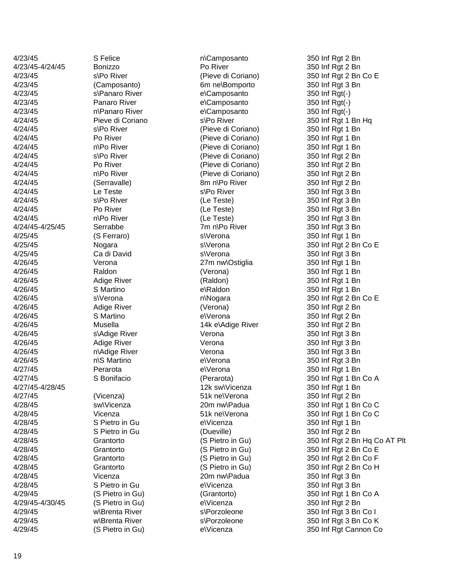| 4/23/45         | S Felice           | n\Camposanto       | 350 Inf Rgt 2 Bn              |
|-----------------|--------------------|--------------------|-------------------------------|
| 4/23/45-4/24/45 | Bonizzo            | Po River           | 350 Inf Rgt 2 Bn              |
| 4/23/45         | s\Po River         | (Pieve di Coriano) | 350 Inf Rgt 2 Bn Co E         |
| 4/23/45         | (Camposanto)       | 6m ne\Bomporto     | 350 Inf Rgt 3 Bn              |
| 4/23/45         | s\Panaro River     | e\Camposanto       | 350 Inf Rgt(-)                |
| 4/23/45         | Panaro River       | e\Camposanto       | 350 Inf Rgt(-)                |
| 4/23/45         | n\Panaro River     | e\Camposanto       | 350 Inf Rgt(-)                |
| 4/24/45         | Pieve di Coriano   | s\Po River         | 350 Inf Rgt 1 Bn Hq           |
| 4/24/45         | s\Po River         | (Pieve di Coriano) | 350 Inf Rgt 1 Bn              |
| 4/24/45         | Po River           | (Pieve di Coriano) | 350 Inf Rgt 1 Bn              |
| 4/24/45         | n\Po River         | (Pieve di Coriano) | 350 Inf Rgt 1 Bn              |
| 4/24/45         | s\Po River         | (Pieve di Coriano) | 350 Inf Rgt 2 Bn              |
| 4/24/45         | Po River           | (Pieve di Coriano) | 350 Inf Rgt 2 Bn              |
| 4/24/45         | n\Po River         | (Pieve di Coriano) | 350 Inf Rgt 2 Bn              |
| 4/24/45         | (Serravalle)       | 8m n\Po River      | 350 Inf Rgt 2 Bn              |
| 4/24/45         | Le Teste           | s\Po River         | 350 Inf Rgt 3 Bn              |
| 4/24/45         | s\Po River         | (Le Teste)         | 350 Inf Rgt 3 Bn              |
| 4/24/45         | Po River           | (Le Teste)         | 350 Inf Rgt 3 Bn              |
| 4/24/45         | n\Po River         | (Le Teste)         | 350 Inf Rgt 3 Bn              |
| 4/24/45-4/25/45 | Serrabbe           | 7m n\Po River      | 350 Inf Rgt 3 Bn              |
| 4/25/45         | (S Ferraro)        | s\Verona           | 350 Inf Rgt 1 Bn              |
| 4/25/45         | Nogara             | s\Verona           | 350 Inf Rgt 2 Bn Co E         |
| 4/25/45         | Ca di David        | s\Verona           | 350 Inf Rgt 3 Bn              |
| 4/26/45         | Verona             | 27m nw\Ostiglia    | 350 Inf Rgt 1 Bn              |
| 4/26/45         | Raldon             | (Verona)           | 350 Inf Rgt 1 Bn              |
| 4/26/45         |                    |                    |                               |
|                 | <b>Adige River</b> | (Raldon)           | 350 Inf Rgt 1 Bn              |
| 4/26/45         | S Martino          | e\Raldon           | 350 Inf Rgt 1 Bn              |
| 4/26/45         | s\Verona           | n\Nogara           | 350 Inf Rgt 2 Bn Co E         |
| 4/26/45         | <b>Adige River</b> | (Verona)           | 350 Inf Rgt 2 Bn              |
| 4/26/45         | S Martino          | e\Verona           | 350 Inf Rgt 2 Bn              |
| 4/26/45         | Musella            | 14k e\Adige River  | 350 Inf Rgt 2 Bn              |
| 4/26/45         | s\Adige River      | Verona             | 350 Inf Rgt 3 Bn              |
| 4/26/45         | <b>Adige River</b> | Verona             | 350 Inf Rgt 3 Bn              |
| 4/26/45         | n\Adige River      | Verona             | 350 Inf Rgt 3 Bn              |
| 4/26/45         | n\S Martino        | e\Verona           | 350 Inf Rgt 3 Bn              |
| 4/27/45         | Perarota           | e\Verona           | 350 Inf Rgt 1 Bn              |
| 4/27/45         | S Bonifacio        | (Perarota)         | 350 Inf Rgt 1 Bn Co A         |
| 4/27/45-4/28/45 |                    | 12k sw\Vicenza     | 350 Inf Rgt 1 Bn              |
| 4/27/45         | (Vicenza)          | 51k nelVerona      | 350 Inf Rgt 2 Bn              |
| 4/28/45         | sw\Vicenza         | 20m nw\Padua       | 350 Inf Rgt 1 Bn Co C         |
| 4/28/45         | Vicenza            | 51k nelVerona      | 350 Inf Rgt 1 Bn Co C         |
| 4/28/45         | S Pietro in Gu     | e\Vicenza          | 350 Inf Rgt 1 Bn              |
| 4/28/45         | S Pietro in Gu     | (Dueville)         | 350 Inf Rgt 2 Bn              |
| 4/28/45         | Grantorto          | (S Pietro in Gu)   | 350 Inf Rgt 2 Bn Hq Co AT Plt |
| 4/28/45         | Grantorto          | (S Pietro in Gu)   | 350 Inf Rgt 2 Bn Co E         |
| 4/28/45         | Grantorto          | (S Pietro in Gu)   | 350 Inf Rgt 2 Bn Co F         |
| 4/28/45         | Grantorto          | (S Pietro in Gu)   | 350 Inf Rgt 2 Bn Co H         |
| 4/28/45         | Vicenza            | 20m nw\Padua       | 350 Inf Rgt 3 Bn              |
| 4/28/45         | S Pietro in Gu     | e\Vicenza          | 350 Inf Rgt 3 Bn              |
| 4/29/45         | (S Pietro in Gu)   | (Grantorto)        | 350 Inf Rgt 1 Bn Co A         |
| 4/29/45-4/30/45 | (S Pietro in Gu)   | e\Vicenza          | 350 Inf Rgt 2 Bn              |
| 4/29/45         | w\Brenta River     | s\Porzoleone       | 350 Inf Rgt 3 Bn Co I         |
| 4/29/45         | w\Brenta River     | s\Porzoleone       | 350 Inf Rgt 3 Bn Co K         |
| 4/29/45         | (S Pietro in Gu)   | e\Vicenza          | 350 Inf Rgt Cannon Co         |
|                 |                    |                    |                               |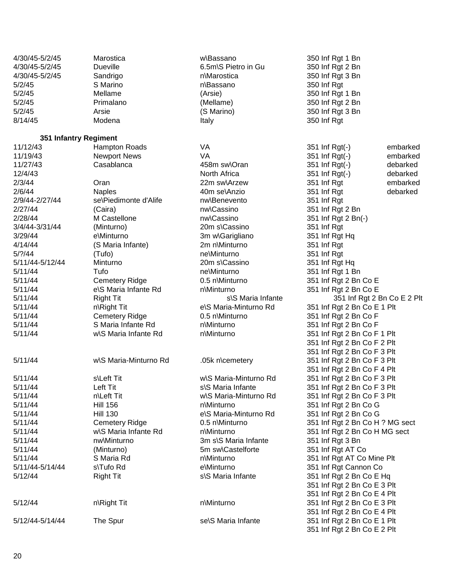| 4/30/45-5/2/45<br>4/30/45-5/2/45<br>4/30/45-5/2/45<br>5/2/45<br>5/2/45<br>5/2/45<br>5/2/45<br>8/14/45 | Marostica<br><b>Dueville</b><br>Sandrigo<br>S Marino<br>Mellame<br>Primalano<br>Arsie<br>Modena | w\Bassano<br>6.5m\S Pietro in Gu<br>n\Marostica<br>n\Bassano<br>(Arsie)<br>(Mellame)<br>(S Marino)<br>Italy | 350 Inf Rgt 1 Bn<br>350 Inf Rgt 2 Bn<br>350 Inf Rgt 3 Bn<br>350 Inf Rgt<br>350 Inf Rgt 1 Bn<br>350 Inf Rgt 2 Bn<br>350 Inf Rgt 3 Bn<br>350 Inf Rgt |
|-------------------------------------------------------------------------------------------------------|-------------------------------------------------------------------------------------------------|-------------------------------------------------------------------------------------------------------------|----------------------------------------------------------------------------------------------------------------------------------------------------|
| 351 Infantry Regiment                                                                                 |                                                                                                 |                                                                                                             |                                                                                                                                                    |
| 11/12/43                                                                                              | Hampton Roads                                                                                   | VA                                                                                                          | 351 Inf Rgt(-)<br>embarked                                                                                                                         |
| 11/19/43                                                                                              | <b>Newport News</b>                                                                             | VA                                                                                                          | 351 Inf Rgt(-)<br>embarked                                                                                                                         |
| 11/27/43                                                                                              | Casablanca                                                                                      | 458m sw\Oran                                                                                                | 351 Inf Rgt(-)<br>debarked                                                                                                                         |
| 12/4/43                                                                                               |                                                                                                 | North Africa                                                                                                | 351 Inf Rgt(-)<br>debarked                                                                                                                         |
| 2/3/44                                                                                                | Oran                                                                                            | 22m sw\Arzew                                                                                                | 351 Inf Rgt<br>embarked                                                                                                                            |
| 2/6/44                                                                                                | <b>Naples</b>                                                                                   | 40m se\Anzio                                                                                                | debarked<br>351 Inf Rgt                                                                                                                            |
| 2/9/44-2/27/44                                                                                        | se\Piedimonte d'Alife                                                                           | nw\Benevento                                                                                                | 351 Inf Rgt                                                                                                                                        |
| 2/27/44                                                                                               | (Caira)                                                                                         | nw\Cassino                                                                                                  | 351 Inf Rgt 2 Bn                                                                                                                                   |
| 2/28/44                                                                                               | M Castellone                                                                                    | nw\Cassino                                                                                                  | 351 Inf Rgt 2 Bn(-)                                                                                                                                |
| 3/4/44-3/31/44                                                                                        | (Minturno)                                                                                      | 20m s\Cassino                                                                                               | 351 Inf Rgt                                                                                                                                        |
| 3/29/44                                                                                               | e\Minturno                                                                                      | 3m w\Garigliano                                                                                             | 351 Inf Rgt Hq                                                                                                                                     |
| 4/14/44                                                                                               | (S Maria Infante)                                                                               | 2m n\Minturno                                                                                               | 351 Inf Rgt                                                                                                                                        |
| 5/? / 44                                                                                              | (Tufo)                                                                                          | ne\Minturno                                                                                                 | 351 Inf Rgt                                                                                                                                        |
| 5/11/44-5/12/44                                                                                       | Minturno                                                                                        | 20m s\Cassino                                                                                               | 351 Inf Rgt Hq                                                                                                                                     |
| 5/11/44                                                                                               | Tufo                                                                                            | ne\Minturno                                                                                                 | 351 Inf Rgt 1 Bn                                                                                                                                   |
| 5/11/44                                                                                               | <b>Cemetery Ridge</b>                                                                           | 0.5 n\Minturno                                                                                              | 351 Inf Rgt 2 Bn Co E                                                                                                                              |
| 5/11/44                                                                                               | e\S Maria Infante Rd                                                                            | n\Minturno                                                                                                  | 351 Inf Rgt 2 Bn Co E                                                                                                                              |
| 5/11/44                                                                                               | <b>Right Tit</b>                                                                                | s\S Maria Infante                                                                                           | 351 Inf Rgt 2 Bn Co E 2 Plt                                                                                                                        |
| 5/11/44<br>5/11/44                                                                                    | n\Right Tit                                                                                     | e\S Maria-Minturno Rd<br>0.5 n\Minturno                                                                     | 351 Inf Rgt 2 Bn Co E 1 Plt                                                                                                                        |
| 5/11/44                                                                                               | <b>Cemetery Ridge</b><br>S Maria Infante Rd                                                     | n\Minturno                                                                                                  | 351 Inf Rgt 2 Bn Co F<br>351 Inf Rgt 2 Bn Co F                                                                                                     |
| 5/11/44                                                                                               | w\S Maria Infante Rd                                                                            | n\Minturno                                                                                                  | 351 Inf Rgt 2 Bn Co F 1 Plt                                                                                                                        |
|                                                                                                       |                                                                                                 |                                                                                                             | 351 Inf Rgt 2 Bn Co F 2 Plt                                                                                                                        |
|                                                                                                       |                                                                                                 |                                                                                                             | 351 Inf Rgt 2 Bn Co F 3 Plt                                                                                                                        |
| 5/11/44                                                                                               | w\S Maria-Minturno Rd                                                                           | .05k n\cemetery                                                                                             | 351 Inf Rgt 2 Bn Co F 3 Plt                                                                                                                        |
|                                                                                                       |                                                                                                 |                                                                                                             | 351 Inf Rgt 2 Bn Co F 4 Plt                                                                                                                        |
| 5/11/44                                                                                               | s\Left Tit                                                                                      | w\S Maria-Minturno Rd                                                                                       | 351 Inf Rgt 2 Bn Co F 3 Plt                                                                                                                        |
| 5/11/44                                                                                               | Left Tit                                                                                        | s\S Maria Infante                                                                                           | 351 Inf Rgt 2 Bn Co F 3 Plt                                                                                                                        |
| 5/11/44                                                                                               | n\Left Tit                                                                                      | w\S Maria-Minturno Rd                                                                                       | 351 Inf Rgt 2 Bn Co F 3 Plt                                                                                                                        |
| 5/11/44                                                                                               | <b>Hill 156</b>                                                                                 | n\Minturno                                                                                                  | 351 Inf Rgt 2 Bn Co G                                                                                                                              |
| 5/11/44                                                                                               | <b>Hill 130</b>                                                                                 | e\S Maria-Minturno Rd                                                                                       | 351 Inf Rgt 2 Bn Co G                                                                                                                              |
| 5/11/44                                                                                               | <b>Cemetery Ridge</b>                                                                           | 0.5 n\Minturno                                                                                              | 351 Inf Rgt 2 Bn Co H ? MG sect                                                                                                                    |
| 5/11/44                                                                                               | w\S Maria Infante Rd                                                                            | n\Minturno                                                                                                  | 351 Inf Rgt 2 Bn Co H MG sect                                                                                                                      |
| 5/11/44                                                                                               | nw\Minturno                                                                                     | 3m s\S Maria Infante                                                                                        | 351 Inf Rgt 3 Bn                                                                                                                                   |
| 5/11/44                                                                                               | (Minturno)                                                                                      | 5m sw\Castelforte                                                                                           | 351 Inf Rgt AT Co                                                                                                                                  |
| 5/11/44                                                                                               | S Maria Rd                                                                                      | n\Minturno                                                                                                  | 351 Inf Rgt AT Co Mine Plt                                                                                                                         |
| 5/11/44-5/14/44                                                                                       | s\Tufo Rd                                                                                       | e\Minturno                                                                                                  | 351 Inf Rgt Cannon Co                                                                                                                              |
| 5/12/44                                                                                               | <b>Right Tit</b>                                                                                | s\S Maria Infante                                                                                           | 351 Inf Rgt 2 Bn Co E Hq                                                                                                                           |
|                                                                                                       |                                                                                                 |                                                                                                             | 351 Inf Rgt 2 Bn Co E 3 Plt                                                                                                                        |
|                                                                                                       |                                                                                                 |                                                                                                             | 351 Inf Rgt 2 Bn Co E 4 Plt                                                                                                                        |
| 5/12/44                                                                                               | n\Right Tit                                                                                     | n\Minturno                                                                                                  | 351 Inf Rgt 2 Bn Co E 3 Plt                                                                                                                        |
|                                                                                                       |                                                                                                 |                                                                                                             | 351 Inf Rgt 2 Bn Co E 4 Plt                                                                                                                        |
| 5/12/44-5/14/44                                                                                       | The Spur                                                                                        | se\S Maria Infante                                                                                          | 351 Inf Rgt 2 Bn Co E 1 Plt                                                                                                                        |
|                                                                                                       |                                                                                                 |                                                                                                             | 351 Inf Rgt 2 Bn Co E 2 Plt                                                                                                                        |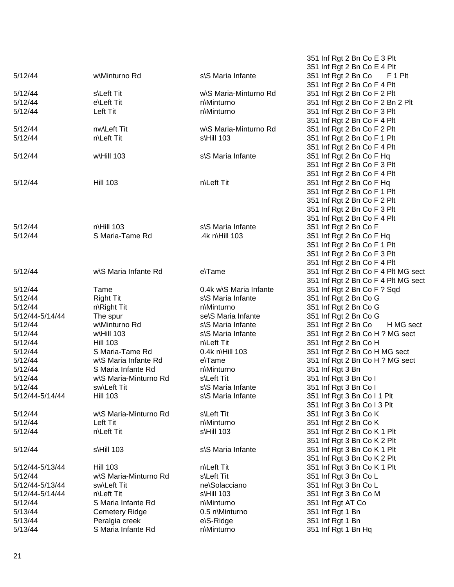|                 |                       |                        | 351 Inf Rgt 2 Bn Co E 3 Plt         |
|-----------------|-----------------------|------------------------|-------------------------------------|
|                 |                       |                        | 351 Inf Rgt 2 Bn Co E 4 Plt         |
| 5/12/44         | w\Minturno Rd         | s\S Maria Infante      | 351 Inf Rgt 2 Bn Co<br>F 1 Plt      |
|                 |                       |                        | 351 Inf Rgt 2 Bn Co F 4 Plt         |
| 5/12/44         | s\Left Tit            | w\S Maria-Minturno Rd  | 351 Inf Rgt 2 Bn Co F 2 Plt         |
| 5/12/44         | e\Left Tit            | n\Minturno             | 351 Inf Rgt 2 Bn Co F 2 Bn 2 Plt    |
| 5/12/44         | Left Tit              | n\Minturno             | 351 Inf Rgt 2 Bn Co F 3 Plt         |
|                 |                       |                        | 351 Inf Rgt 2 Bn Co F 4 Plt         |
| 5/12/44         | nw\Left Tit           | w\S Maria-Minturno Rd  | 351 Inf Rgt 2 Bn Co F 2 Plt         |
| 5/12/44         | n\Left Tit            | s\Hill 103             | 351 Inf Rgt 2 Bn Co F 1 Plt         |
|                 |                       |                        | 351 Inf Rgt 2 Bn Co F 4 Plt         |
| 5/12/44         | w\Hill 103            | s\S Maria Infante      | 351 Inf Rgt 2 Bn Co F Hq            |
|                 |                       |                        | 351 Inf Rgt 2 Bn Co F 3 Plt         |
|                 |                       |                        | 351 Inf Rgt 2 Bn Co F 4 Plt         |
| 5/12/44         | <b>Hill 103</b>       | n\Left Tit             | 351 Inf Rgt 2 Bn Co F Hq            |
|                 |                       |                        | 351 Inf Rgt 2 Bn Co F 1 Plt         |
|                 |                       |                        | 351 Inf Rgt 2 Bn Co F 2 Plt         |
|                 |                       |                        | 351 Inf Rgt 2 Bn Co F 3 Plt         |
|                 |                       |                        | 351 Inf Rgt 2 Bn Co F 4 Plt         |
| 5/12/44         | $n$ Hill 103          | s\S Maria Infante      | 351 Inf Rgt 2 Bn Co F               |
| 5/12/44         | S Maria-Tame Rd       | .4k n\Hill 103         | 351 Inf Rgt 2 Bn Co F Hq            |
|                 |                       |                        | 351 Inf Rgt 2 Bn Co F 1 Plt         |
|                 |                       |                        | 351 Inf Rgt 2 Bn Co F 3 Plt         |
|                 |                       |                        | 351 Inf Rgt 2 Bn Co F 4 Plt         |
| 5/12/44         | w\S Maria Infante Rd  | e\Tame                 | 351 Inf Rgt 2 Bn Co F 4 Plt MG sect |
|                 |                       |                        | 351 Inf Rgt 2 Bn Co F 4 Plt MG sect |
| 5/12/44         | Tame                  | 0.4k w\S Maria Infante | 351 Inf Rgt 2 Bn Co F ? Sqd         |
| 5/12/44         | <b>Right Tit</b>      | s\S Maria Infante      | 351 Inf Rgt 2 Bn Co G               |
| 5/12/44         | n\Right Tit           | n\Minturno             | 351 Inf Rgt 2 Bn Co G               |
| 5/12/44-5/14/44 | The spur              | se\S Maria Infante     | 351 Inf Rgt 2 Bn Co G               |
| 5/12/44         | w\Minturno Rd         | s\S Maria Infante      | 351 Inf Rgt 2 Bn Co<br>H MG sect    |
| 5/12/44         | w\Hill 103            | s\S Maria Infante      | 351 Inf Rgt 2 Bn Co H ? MG sect     |
| 5/12/44         | <b>Hill 103</b>       | n\Left Tit             | 351 Inf Rgt 2 Bn Co H               |
| 5/12/44         | S Maria-Tame Rd       | 0.4k n\Hill 103        | 351 Inf Rgt 2 Bn Co H MG sect       |
| 5/12/44         | w\S Maria Infante Rd  | e\Tame                 | 351 Inf Rgt 2 Bn Co H ? MG sect     |
| 5/12/44         | S Maria Infante Rd    | n\Minturno             | 351 Inf Rgt 3 Bn                    |
| 5/12/44         | w\S Maria-Minturno Rd | s\Left Tit             | 351 Inf Rgt 3 Bn Co I               |
| 5/12/44         | sw\Left Tit           | s\S Maria Infante      | 351 Inf Rgt 3 Bn Co I               |
| 5/12/44-5/14/44 | <b>Hill 103</b>       | s\S Maria Infante      | 351 Inf Rgt 3 Bn Co I 1 Plt         |
|                 |                       |                        | 351 Inf Rgt 3 Bn Co I 3 Plt         |
| 5/12/44         | w\S Maria-Minturno Rd | s\Left Tit             | 351 Inf Rgt 3 Bn Co K               |
| 5/12/44         | Left Tit              | n\Minturno             | 351 Inf Rgt 2 Bn Co K               |
| 5/12/44         | n\Left Tit            | s\Hill 103             | 351 Inf Rgt 2 Bn Co K 1 Plt         |
|                 |                       |                        | 351 Inf Rgt 3 Bn Co K 2 Plt         |
| 5/12/44         | s\Hill 103            | s\S Maria Infante      | 351 Inf Rgt 3 Bn Co K 1 Plt         |
|                 |                       |                        | 351 Inf Rgt 3 Bn Co K 2 Plt         |
| 5/12/44-5/13/44 | <b>Hill 103</b>       | n\Left Tit             | 351 Inf Rgt 3 Bn Co K 1 Plt         |
| 5/12/44         | w\S Maria-Minturno Rd | s\Left Tit             | 351 Inf Rgt 3 Bn Co L               |
| 5/12/44-5/13/44 | sw\Left Tit           | ne\Solacciano          | 351 Inf Rgt 3 Bn Co L               |
| 5/12/44-5/14/44 | n\Left Tit            | s\Hill 103             | 351 Inf Rgt 3 Bn Co M               |
| 5/12/44         | S Maria Infante Rd    | n\Minturno             | 351 Inf Rgt AT Co                   |
| 5/13/44         | <b>Cemetery Ridge</b> | 0.5 n\Minturno         | 351 Inf Rgt 1 Bn                    |
| 5/13/44         | Peralgia creek        | e\S-Ridge              | 351 Inf Rgt 1 Bn                    |
| 5/13/44         | S Maria Infante Rd    | n\Minturno             | 351 Inf Rgt 1 Bn Hq                 |
|                 |                       |                        |                                     |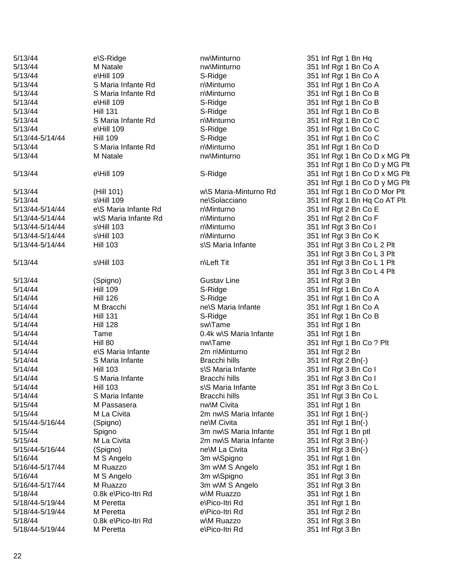| 5/13/44         | e\S-Ridge            | nw\Minturno            | 351 Inf Rgt 1 Bn Hq            |
|-----------------|----------------------|------------------------|--------------------------------|
| 5/13/44         | M Natale             | nw\Minturno            | 351 Inf Rgt 1 Bn Co A          |
| 5/13/44         | e\Hill 109           | S-Ridge                | 351 Inf Rgt 1 Bn Co A          |
| 5/13/44         | S Maria Infante Rd   | n\Minturno             | 351 Inf Rgt 1 Bn Co A          |
| 5/13/44         | S Maria Infante Rd   | n\Minturno             | 351 Inf Rgt 1 Bn Co B          |
| 5/13/44         | e\Hill 109           | S-Ridge                | 351 Inf Rgt 1 Bn Co B          |
| 5/13/44         | <b>Hill 131</b>      | S-Ridge                | 351 Inf Rgt 1 Bn Co B          |
| 5/13/44         | S Maria Infante Rd   | n\Minturno             | 351 Inf Rgt 1 Bn Co C          |
| 5/13/44         | e\Hill 109           | S-Ridge                | 351 Inf Rgt 1 Bn Co C          |
| 5/13/44-5/14/44 | <b>Hill 109</b>      | S-Ridge                | 351 Inf Rgt 1 Bn Co C          |
| 5/13/44         | S Maria Infante Rd   | n\Minturno             | 351 Inf Rgt 1 Bn Co D          |
| 5/13/44         | M Natale             | nw\Minturno            | 351 Inf Rgt 1 Bn Co D x MG Plt |
|                 |                      |                        | 351 Inf Rgt 1 Bn Co D y MG Plt |
| 5/13/44         | e\Hill 109           | S-Ridge                | 351 Inf Rgt 1 Bn Co D x MG Plt |
|                 |                      |                        | 351 Inf Rgt 1 Bn Co D y MG Plt |
| 5/13/44         | (Hill 101)           | w\S Maria-Minturno Rd  | 351 Inf Rgt 1 Bn Co D Mor Plt  |
| 5/13/44         | s\Hill 109           | ne\Solacciano          | 351 Inf Rgt 1 Bn Hq Co AT Plt  |
| 5/13/44-5/14/44 | e\S Maria Infante Rd | n\Minturno             | 351 Inf Rgt 2 Bn Co E          |
| 5/13/44-5/14/44 | w\S Maria Infante Rd | n\Minturno             | 351 Inf Rgt 2 Bn Co F          |
| 5/13/44-5/14/44 | s\Hill 103           | n\Minturno             | 351 Inf Rgt 3 Bn Co I          |
| 5/13/44-5/14/44 | s\Hill 103           | n\Minturno             | 351 Inf Rgt 3 Bn Co K          |
|                 |                      | s\S Maria Infante      |                                |
| 5/13/44-5/14/44 | <b>Hill 103</b>      |                        | 351 Inf Rgt 3 Bn Co L 2 Plt    |
|                 |                      |                        | 351 Inf Rgt 3 Bn Co L 3 Plt    |
| 5/13/44         | $s$ Hill 103         | n\Left Tit             | 351 Inf Rgt 3 Bn Co L 1 Plt    |
|                 |                      |                        | 351 Inf Rgt 3 Bn Co L 4 Plt    |
| 5/13/44         | (Spigno)             | <b>Gustav Line</b>     | 351 Inf Rgt 3 Bn               |
| 5/14/44         | <b>Hill 109</b>      | S-Ridge                | 351 Inf Rgt 1 Bn Co A          |
| 5/14/44         | <b>Hill 126</b>      | S-Ridge                | 351 Inf Rgt 1 Bn Co A          |
| 5/14/44         | M Bracchi            | ne\S Maria Infante     | 351 Inf Rgt 1 Bn Co A          |
| 5/14/44         | <b>Hill 131</b>      | S-Ridge                | 351 Inf Rgt 1 Bn Co B          |
| 5/14/44         | <b>Hill 128</b>      | sw\Tame                | 351 Inf Rgt 1 Bn               |
| 5/14/44         | Tame                 | 0.4k w\S Maria Infante | 351 Inf Rgt 1 Bn               |
| 5/14/44         | Hill 80              | nw\Tame                | 351 Inf Rgt 1 Bn Co ? Plt      |
| 5/14/44         | e\S Maria Infante    | 2m n\Minturno          | 351 Inf Rgt 2 Bn               |
| 5/14/44         | S Maria Infante      | Bracchi hills          | 351 Inf Rgt 2 Bn(-)            |
| 5/14/44         | <b>Hill 103</b>      | s\S Maria Infante      | 351 Inf Rgt 3 Bn Co I          |
| 5/14/44         | S Maria Infante      | Bracchi hills          | 351 Inf Rgt 3 Bn Co I          |
| 5/14/44         | <b>Hill 103</b>      | s\S Maria Infante      | 351 Inf Rgt 3 Bn Co L          |
| 5/14/44         | S Maria Infante      | Bracchi hills          | 351 Inf Rgt 3 Bn Co L          |
| 5/15/44         | M Passasera          | nw\M Civita            | 351 Inf Rgt 1 Bn               |
| 5/15/44         | M La Civita          | 2m nw\S Maria Infante  | 351 Inf Rgt 1 Bn(-)            |
| 5/15/44-5/16/44 | (Spigno)             | ne\M Civita            | 351 Inf Rgt 1 Bn(-)            |
| 5/15/44         | Spigno               | 3m nw\S Maria Infante  | 351 Inf Rgt 1 Bn ptl           |
| 5/15/44         | M La Civita          | 2m nw\S Maria Infante  | 351 Inf Rgt 3 Bn(-)            |
| 5/15/44-5/16/44 | (Spigno)             | ne\M La Civita         | 351 Inf Rgt 3 Bn(-)            |
| 5/16/44         | M S Angelo           | 3m w\Spigno            | 351 Inf Rgt 1 Bn               |
| 5/16/44-5/17/44 | M Ruazzo             | 3m w\M S Angelo        | 351 Inf Rgt 1 Bn               |
| 5/16/44         | M S Angelo           | 3m w\Spigno            | 351 Inf Rgt 3 Bn               |
| 5/16/44-5/17/44 | M Ruazzo             | 3m w\M S Angelo        | 351 Inf Rgt 3 Bn               |
| 5/18/44         | 0.8k e\Pico-Itri Rd  | w\M Ruazzo             | 351 Inf Rgt 1 Bn               |
| 5/18/44-5/19/44 | M Peretta            | e\Pico-Itri Rd         | 351 Inf Rgt 1 Bn               |
| 5/18/44-5/19/44 | M Peretta            | e\Pico-Itri Rd         | 351 Inf Rgt 2 Bn               |
| 5/18/44         | 0.8k e\Pico-Itri Rd  | w\M Ruazzo             | 351 Inf Rgt 3 Bn               |
| 5/18/44-5/19/44 | M Peretta            | e\Pico-Itri Rd         | 351 Inf Rgt 3 Bn               |
|                 |                      |                        |                                |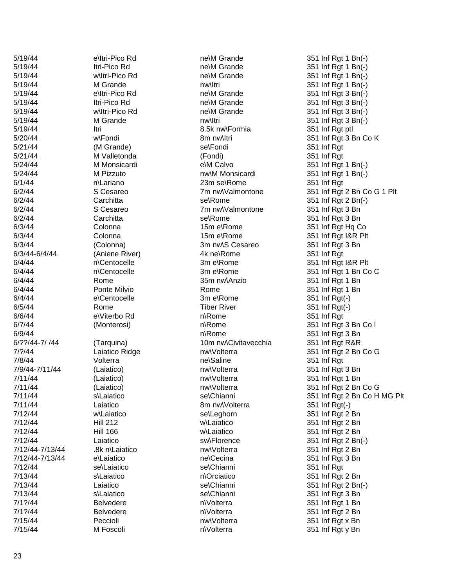| 5/19/44         | e\Itri-Pico Rd   | ne\M Grande          | 351 Inf Rgt 1 Bn(-) |
|-----------------|------------------|----------------------|---------------------|
| 5/19/44         | Itri-Pico Rd     | ne\M Grande          | 351 Inf Rgt 1 Bn(-) |
| 5/19/44         | w\ltri-Pico Rd   | ne\M Grande          | 351 Inf Rgt 1 Bn(-) |
| 5/19/44         | M Grande         | nw\ltri              | 351 Inf Rgt 1 Bn(-) |
| 5/19/44         | e\Itri-Pico Rd   | ne\M Grande          | 351 Inf Rgt 3 Bn(-) |
| 5/19/44         | Itri-Pico Rd     | ne\M Grande          | 351 Inf Rgt 3 Bn(-) |
| 5/19/44         | w\ltri-Pico Rd   | ne\M Grande          | 351 Inf Rgt 3 Bn(-) |
| 5/19/44         | M Grande         | nw\ltri              | 351 Inf Rgt 3 Bn(-) |
| 5/19/44         | Itri             | 8.5k nw\Formia       | 351 Inf Rgt ptl     |
| 5/20/44         | w\Fondi          | 8m nw\ltri           | 351 Inf Rgt 3 Bn C  |
| 5/21/44         | (M Grande)       | se\Fondi             | 351 Inf Rgt         |
| 5/21/44         | M Valletonda     | (Fondi)              | 351 Inf Rgt         |
| 5/24/44         | M Monsicardi     | e\M Calvo            | 351 Inf Rgt 1 Bn(-) |
| 5/24/44         | M Pizzuto        | nw\M Monsicardi      | 351 Inf Rgt 1 Bn(-) |
| 6/1/44          | n\Lariano        | 23m se\Rome          | 351 Inf Rgt         |
| 6/2/44          | S Cesareo        | 7m nw\Valmontone     | 351 Inf Rgt 2 Bn C  |
| 6/2/44          | Carchitta        | se\Rome              | 351 Inf Rgt 2 Bn(-) |
| 6/2/44          | S Cesareo        | 7m nw\Valmontone     | 351 Inf Rgt 3 Bn    |
| 6/2/44          | Carchitta        | se\Rome              | 351 Inf Rgt 3 Bn    |
| 6/3/44          | Colonna          | 15m e\Rome           | 351 Inf Rgt Hq Co   |
| 6/3/44          | Colonna          | 15m e\Rome           | 351 Inf Rgt I&R Plt |
| 6/3/44          | (Colonna)        | 3m nw\S Cesareo      | 351 Inf Rgt 3 Bn    |
| 6/3/44-6/4/44   | (Aniene River)   | 4k ne\Rome           | 351 Inf Rgt         |
| 6/4/44          | n\Centocelle     | 3m e\Rome            | 351 Inf Rgt I&R Plt |
| 6/4/44          | n\Centocelle     | 3m e\Rome            | 351 Inf Rgt 1 Bn C  |
| 6/4/44          | Rome             | 35m nw\Anzio         | 351 Inf Rgt 1 Bn    |
| 6/4/44          | Ponte Milvio     | Rome                 | 351 Inf Rgt 1 Bn    |
| 6/4/44          | e\Centocelle     | 3m e\Rome            | 351 Inf Rgt(-)      |
| 6/5/44          | Rome             | <b>Tiber River</b>   | 351 Inf Rgt(-)      |
| 6/6/44          | e\Viterbo Rd     | n\Rome               | 351 Inf Rgt         |
| 6/7/44          | (Monterosi)      | n\Rome               | 351 Inf Rgt 3 Bn C  |
| 6/9/44          |                  | n\Rome               | 351 Inf Rgt 3 Bn    |
| 6/??/44-7/ /44  | (Tarquina)       | 10m nw\Civitavecchia | 351 Inf Rgt R&R     |
| 7/?/44          | Laiatico Ridge   | nw\Volterra          | 351 Inf Rgt 2 Bn C  |
| 7/8/44          | Volterra         | ne\Saline            | 351 Inf Rgt         |
| 7/9/44-7/11/44  | (Laiatico)       | nw\Volterra          | 351 Inf Rgt 3 Bn    |
| 7/11/44         | (Laiatico)       | nw\Volterra          | 351 Inf Rgt 1 Bn    |
| 7/11/44         | (Laiatico)       | nw\Volterra          | 351 Inf Rgt 2 Bn C  |
| 7/11/44         | s\Laiatico       | se\Chianni           | 351 Inf Rgt 2 Bn C  |
| 7/11/44         | Laiatico         | 8m nw\Volterra       | 351 Inf Rgt(-)      |
| 7/12/44         | w\Laiatico       | se\Leghorn           | 351 Inf Rgt 2 Bn    |
| 7/12/44         | <b>Hill 212</b>  | w\Laiatico           | 351 Inf Rgt 2 Bn    |
| 7/12/44         | <b>Hill 166</b>  | w\Laiatico           | 351 Inf Rgt 2 Bn    |
| 7/12/44         | Laiatico         | sw\Florence          | 351 Inf Rgt 2 Bn(-) |
| 7/12/44-7/13/44 | .8k n\Laiatico   | nw\Volterra          | 351 Inf Rgt 2 Bn    |
| 7/12/44-7/13/44 | e\Laiatico       | ne\Cecina            | 351 Inf Rgt 3 Bn    |
| 7/12/44         | se\Laiatico      | se\Chianni           | 351 Inf Rgt         |
| 7/13/44         | s\Laiatico       | n\Orciatico          | 351 Inf Rgt 2 Bn    |
| 7/13/44         | Laiatico         | se\Chianni           | 351 Inf Rgt 2 Bn(-) |
| 7/13/44         | s\Laiatico       | se\Chianni           | 351 Inf Rgt 3 Bn    |
| 7/1?/44         | <b>Belvedere</b> | n\Volterra           | 351 Inf Rgt 1 Bn    |
| 7/1?/44         | <b>Belvedere</b> | n\Volterra           | 351 Inf Rgt 2 Bn    |
| 7/15/44         | Peccioli         | nw\Volterra          | 351 Inf Rgt x Bn    |
| 7/15/44         | M Foscoli        | n\Volterra           | 351 Inf Rgt y Bn    |

\M Grande 351 Inf Rgt 1 Bn( - ) 351 Inf Rgt ptl 8m nw\Itri 351 Inf Rgt 3 Bn Co K 351 Inf Rgt 7m nw\Valmontone 351 Inf Rgt 2 Bn Co G 1 Plt 351 Inf Rgt I&R Plt 351 Inf Rgt 1 Bn Co C  $(\cdot)$ 351 Inf Rgt 351 Inf Rgt 3 Bn Co I 351 Inf Rgt 3 Bn e mw\Volterra 351 Inf Rgt 2 Bn Co G nw\Volterra 351 Inf Rgt 2 Bn Co G se\Chianni 351 Inf Rgt 2 Bn Co H MG Plt  $(\cdot)$ 351 Inf Rgt 2 Bn 351 Inf Rgt 1 Bn 351 Inf Rgt 2 Bn 351 Inf Rgt y Bn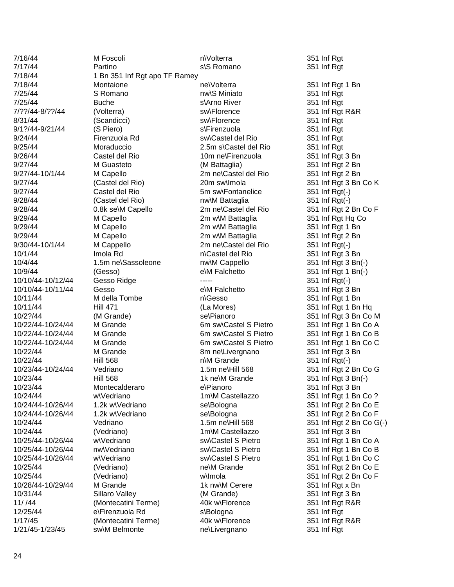| 7/16/44           | M Foscoli                     | n\Volterra            | 351 Inf Rgt         |  |
|-------------------|-------------------------------|-----------------------|---------------------|--|
| 7/17/44           | Partino                       | s\S Romano            | 351 Inf Rgt         |  |
| 7/18/44           | 1 Bn 351 Inf Rgt apo TF Ramey |                       |                     |  |
| 7/18/44           | Montaione                     | ne\Volterra           | 351 Inf Rgt 1 Bn    |  |
| 7/25/44           | S Romano                      | nw\S Miniato          | 351 Inf Rgt         |  |
| 7/25/44           | <b>Buche</b>                  | s\Arno River          | 351 Inf Rgt         |  |
| 7/??/44-8/??/44   | (Volterra)                    | sw\Florence           | 351 Inf Rgt R&R     |  |
| 8/31/44           | (Scandicci)                   | sw\Florence           | 351 Inf Rgt         |  |
| 9/1?/44-9/21/44   | (S Piero)                     | s\Firenzuola          | 351 Inf Rgt         |  |
| 9/24/44           | Firenzuola Rd                 | sw\Castel del Rio     | 351 Inf Rgt         |  |
| 9/25/44           | Moraduccio                    | 2.5m s\Castel del Rio | 351 Inf Rgt         |  |
| 9/26/44           | Castel del Rio                | 10m ne\Firenzuola     | 351 Inf Rgt 3 Bn    |  |
| 9/27/44           | M Guasteto                    | (M Battaglia)         | 351 Inf Rgt 2 Bn    |  |
| 9/27/44-10/1/44   | M Capello                     | 2m ne\Castel del Rio  | 351 Inf Rgt 2 Bn    |  |
| 9/27/44           | (Castel del Rio)              | 20m sw\lmola          | 351 Inf Rgt 3 Bn C  |  |
| 9/27/44           | Castel del Rio                | 5m sw\Fontanelice     | 351 Inf Rgt(-)      |  |
| 9/28/44           | (Castel del Rio)              | nw\M Battaglia        | 351 Inf Rgt(-)      |  |
| 9/28/44           | 0.8k se\M Capello             | 2m ne\Castel del Rio  | 351 Inf Rgt 2 Bn C  |  |
| 9/29/44           | M Capello                     | 2m w\M Battaglia      | 351 Inf Rgt Hq Co   |  |
| 9/29/44           | M Capello                     | 2m w\M Battaglia      | 351 Inf Rgt 1 Bn    |  |
| 9/29/44           | M Capello                     | 2m w\M Battaglia      | 351 Inf Rgt 2 Bn    |  |
| 9/30/44-10/1/44   | M Cappello                    | 2m ne\Castel del Rio  | 351 Inf Rgt(-)      |  |
| 10/1/44           | Imola Rd                      | n\Castel del Rio      | 351 Inf Rgt 3 Bn    |  |
| 10/4/44           | 1.5m ne\Sassoleone            | nw\M Cappello         | 351 Inf Rgt 3 Bn(-) |  |
| 10/9/44           | (Gesso)                       | e\M Falchetto         | 351 Inf Rgt 1 Bn(-) |  |
| 10/10/44-10/12/44 | Gesso Ridge                   |                       | 351 Inf Rgt(-)      |  |
| 10/10/44-10/11/44 | Gesso                         | e\M Falchetto         | 351 Inf Rgt 3 Bn    |  |
| 10/11/44          | M della Tombe                 | n\Gesso               | 351 Inf Rgt 1 Bn    |  |
| 10/11/44          | <b>Hill 471</b>               | (La Mores)            | 351 Inf Rgt 1 Bn H  |  |
| 10/2?/44          | (M Grande)                    | se\Pianoro            | 351 Inf Rgt 3 Bn C  |  |
| 10/22/44-10/24/44 | M Grande                      | 6m sw\Castel S Pietro | 351 Inf Rgt 1 Bn C  |  |
| 10/22/44-10/24/44 | M Grande                      | 6m sw\Castel S Pietro | 351 Inf Rgt 1 Bn C  |  |
| 10/22/44-10/24/44 | M Grande                      | 6m sw\Castel S Pietro | 351 Inf Rgt 1 Bn C  |  |
| 10/22/44          | M Grande                      | 8m ne\Livergnano      | 351 Inf Rgt 3 Bn    |  |
| 10/22/44          | <b>Hill 568</b>               | n\M Grande            | 351 Inf Rgt(-)      |  |
| 10/23/44-10/24/44 | Vedriano                      | 1.5m ne\Hill 568      | 351 Inf Rgt 2 Bn C  |  |
| 10/23/44          | <b>Hill 568</b>               | 1k ne\M Grande        | 351 Inf Rgt 3 Bn(-) |  |
| 10/23/44          | Montecalderaro                | e\Pianoro             | 351 Inf Rgt 3 Bn    |  |
| 10/24/44          | w\Vedriano                    | 1m\M Castellazzo      | 351 Inf Rgt 1 Bn C  |  |
| 10/24/44-10/26/44 | 1.2k w\Vedriano               | se\Bologna            | 351 Inf Rgt 2 Bn C  |  |
| 10/24/44-10/26/44 | 1.2k w\Vedriano               | se\Bologna            | 351 Inf Rgt 2 Bn C  |  |
| 10/24/44          | Vedriano                      | 1.5m ne\Hill 568      | 351 Inf Rgt 2 Bn C  |  |
| 10/24/44          | (Vedriano)                    | 1m\M Castellazzo      | 351 Inf Rgt 3 Bn    |  |
| 10/25/44-10/26/44 | w\Vedriano                    | sw\Castel S Pietro    | 351 Inf Rgt 1 Bn C  |  |
| 10/25/44-10/26/44 | nw\Vedriano                   | sw\Castel S Pietro    | 351 Inf Rgt 1 Bn C  |  |
| 10/25/44-10/26/44 | w\Vedriano                    | sw\Castel S Pietro    | 351 Inf Rgt 1 Bn C  |  |
| 10/25/44          | (Vedriano)                    | ne\M Grande           | 351 Inf Rgt 2 Bn C  |  |
| 10/25/44          | (Vedriano)                    | w\lmola               | 351 Inf Rgt 2 Bn C  |  |
| 10/28/44-10/29/44 | M Grande                      | 1k nw\M Cerere        | 351 Inf Rgt x Bn    |  |
| 10/31/44          | Sillaro Valley                | (M Grande)            | 351 Inf Rgt 3 Bn    |  |
| 11/144            | (Montecatini Terme)           | 40k w\Florence        | 351 Inf Rgt R&R     |  |
| 12/25/44          | e\Firenzuola Rd               | s\Bologna             | 351 Inf Rgt         |  |
| 1/17/45           | (Montecatini Terme)           | 40k w\Florence        | 351 Inf Rgt R&R     |  |
| 1/21/45-1/23/45   | sw\M Belmonte                 | ne\Livergnano         | 351 Inf Rgt         |  |
|                   |                               |                       |                     |  |

Rgt 3 Bn Co K  $\log^2 2$  Bn Co F م<br>10 Mg to 1 Bn Hq 29t 3 Bn Co M 2gt 1 Bn Co A 2gt 1 Bn Co B <mark>Rgt 1 Bn Co C</mark><br>रेgt 3 Bn  $Rgt 2$  Bn Co G  $Rgt$  1 Bn Co ?  $\overline{2}$ gt 2 Bn Co E Puest 2 Bn Co F  $\log t$  2 Bn Co G(-) 2gt 1 Bn Co A oundert Arian Co Bills & Contract Serveston Structure Serveston Structure 3.1 In 1980 Structure 354 Interaction 25 Andrew 2015 Interaction and Return 251 Interaction 250 Interaction 250 Interaction 250 Interaction 250 Inte  $2gt 1$  Bn Co C  $Rgt 2$  Bn Co E  $\overline{2}$ gt 2 Bn Co F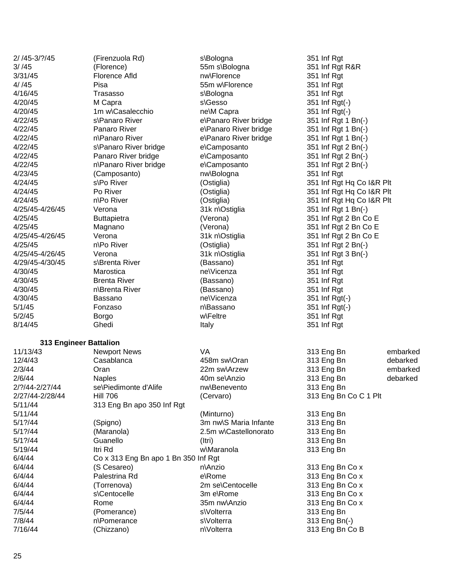| $2/145 - 3/?145$       | (Firenzuola Rd)                      | s\Bologna             | 351 Inf Rgt               |          |
|------------------------|--------------------------------------|-----------------------|---------------------------|----------|
| 3/ / 45                | (Florence)                           | 55m s\Bologna         | 351 Inf Rgt R&R           |          |
| 3/31/45                | <b>Florence Afld</b>                 | nw\Florence           | 351 Inf Rgt               |          |
| 4/ / 45                | Pisa                                 | 55m w\Florence        | 351 Inf Rgt               |          |
| 4/16/45                | Trasasso                             | s\Bologna             | 351 Inf Rgt               |          |
| 4/20/45                | M Capra                              | s\Gesso               | 351 Inf Rgt(-)            |          |
| 4/20/45                | 1m w\Casalecchio                     | ne\M Capra            | 351 Inf Rgt(-)            |          |
| 4/22/45                | s\Panaro River                       | e\Panaro River bridge | 351 Inf Rgt 1 Bn(-)       |          |
| 4/22/45                | Panaro River                         | e\Panaro River bridge | 351 Inf Rgt 1 Bn(-)       |          |
| 4/22/45                | n\Panaro River                       | e\Panaro River bridge | 351 Inf Rgt 1 Bn(-)       |          |
| 4/22/45                | s\Panaro River bridge                | e\Camposanto          | 351 Inf Rgt 2 Bn(-)       |          |
| 4/22/45                | Panaro River bridge                  | e\Camposanto          | 351 Inf Rgt 2 Bn(-)       |          |
| 4/22/45                | n\Panaro River bridge                | e\Camposanto          | 351 Inf Rgt 2 Bn(-)       |          |
| 4/23/45                | (Camposanto)                         | nw\Bologna            | 351 Inf Rgt               |          |
| 4/24/45                | s\Po River                           | (Ostiglia)            | 351 Inf Rgt Hq Co I&R Plt |          |
| 4/24/45                | Po River                             | (Ostiglia)            | 351 Inf Rgt Hq Co I&R Plt |          |
| 4/24/45                | n\Po River                           | (Ostiglia)            | 351 Inf Rgt Hq Co I&R Plt |          |
| 4/25/45-4/26/45        | Verona                               | 31k n\Ostiglia        | 351 Inf Rgt 1 Bn(-)       |          |
| 4/25/45                | <b>Buttapietra</b>                   | (Verona)              | 351 Inf Rgt 2 Bn Co E     |          |
| 4/25/45                | Magnano                              | (Verona)              | 351 Inf Rgt 2 Bn Co E     |          |
| 4/25/45-4/26/45        | Verona                               | 31k n\Ostiglia        | 351 Inf Rgt 2 Bn Co E     |          |
| 4/25/45                | n\Po River                           | (Ostiglia)            | 351 Inf Rgt 2 Bn(-)       |          |
| 4/25/45-4/26/45        | Verona                               | 31k n\Ostiglia        | 351 Inf Rgt 3 Bn(-)       |          |
| 4/29/45-4/30/45        | s\Brenta River                       | (Bassano)             | 351 Inf Rgt               |          |
| 4/30/45                | Marostica                            | ne\Vicenza            | 351 Inf Rgt               |          |
| 4/30/45                | <b>Brenta River</b>                  | (Bassano)             | 351 Inf Rgt               |          |
| 4/30/45                | n\Brenta River                       | (Bassano)             | 351 Inf Rgt               |          |
| 4/30/45                | Bassano                              | ne\Vicenza            | 351 Inf Rgt(-)            |          |
| 5/1/45                 | Fonzaso                              | n\Bassano             | 351 Inf Rgt(-)            |          |
| 5/2/45                 | <b>Borgo</b>                         | w\Feltre              | 351 Inf Rgt               |          |
| 8/14/45                | Ghedi                                | Italy                 | 351 Inf Rgt               |          |
|                        |                                      |                       |                           |          |
| 313 Engineer Battalion |                                      |                       |                           |          |
| 11/13/43               | <b>Newport News</b>                  | VA                    | 313 Eng Bn                | embarked |
| 12/4/43                | Casablanca                           | 458m sw\Oran          | 313 Eng Bn                | debarked |
| 2/3/44                 | Oran                                 | 22m sw\Arzew          | 313 Eng Bn                | embarked |
| 2/6/44                 | <b>Naples</b>                        | 40m se\Anzio          | 313 Eng Bn                | debarked |
| 2/?/44-2/27/44         | se\Piedimonte d'Alife                | nw\Benevento          | 313 Eng Bn                |          |
| 2/27/44-2/28/44        | <b>Hill 706</b>                      | (Cervaro)             | 313 Eng Bn Co C 1 Plt     |          |
| 5/11/44                | 313 Eng Bn apo 350 Inf Rgt           |                       |                           |          |
| 5/11/44                |                                      | (Minturno)            | 313 Eng Bn                |          |
| $5/1$ ?/44             | (Spigno)                             | 3m nw\S Maria Infante | 313 Eng Bn                |          |
| $5/1$ ?/44             | (Maranola)                           | 2.5m w\Castellonorato | 313 Eng Bn                |          |
| $5/1$ ?/44             | Guanello                             | (Itri)                | 313 Eng Bn                |          |
| 5/19/44                | Itri Rd                              | w\Maranola            | 313 Eng Bn                |          |
| 6/4/44                 | Co x 313 Eng Bn apo 1 Bn 350 Inf Rgt |                       |                           |          |
| 6/4/44                 | (S Cesareo)                          | n\Anzio               | 313 Eng Bn Co x           |          |
| 6/4/44                 | Palestrina Rd                        | e\Rome                | 313 Eng Bn Co x           |          |
| 6/4/44                 | (Torrenova)                          | 2m se\Centocelle      | 313 Eng Bn Co x           |          |
| 6/4/44                 | s\Centocelle                         | 3m e\Rome             | 313 Eng Bn Co x           |          |
| 6/4/44                 | Rome                                 | 35m nw\Anzio          | 313 Eng Bn Co x           |          |
| 7/5/44                 | (Pomerance)                          | s\Volterra            | 313 Eng Bn                |          |
| 7/8/44                 | n\Pomerance                          | s\Volterra            | 313 Eng Bn(-)             |          |
| 7/16/44                | (Chizzano)                           | n\Volterra            | 313 Eng Bn Co B           |          |
|                        |                                      |                       |                           |          |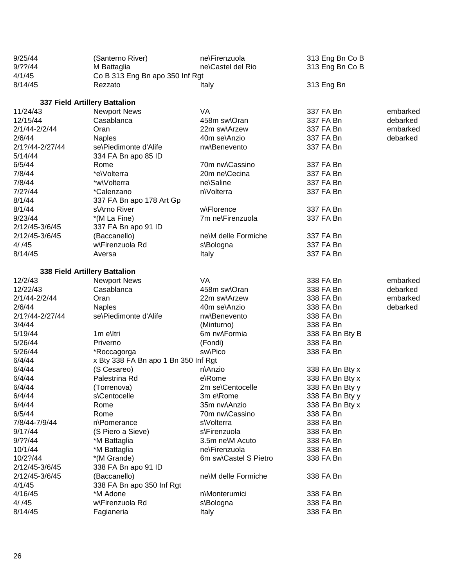| 9/25/44                   | (Santerno River)                     | ne\Firenzuola         | 313 Eng Bn Co B |          |
|---------------------------|--------------------------------------|-----------------------|-----------------|----------|
| $9/?$ ?/44<br>M Battaglia |                                      | ne\Castel del Rio     | 313 Eng Bn Co B |          |
| 4/1/45                    | Co B 313 Eng Bn apo 350 Inf Rgt      |                       |                 |          |
| 8/14/45                   | Rezzato                              | Italy                 | 313 Eng Bn      |          |
|                           | 337 Field Artillery Battalion        |                       |                 |          |
| 11/24/43                  | <b>Newport News</b>                  | VA                    | 337 FA Bn       | embarked |
| 12/15/44                  | Casablanca                           | 458m sw\Oran          | 337 FA Bn       | debarked |
| 2/1/44-2/2/44             | Oran                                 | 22m sw\Arzew          | 337 FA Bn       | embarked |
| 2/6/44                    | <b>Naples</b>                        | 40m se\Anzio          | 337 FA Bn       | debarked |
| 2/1?/44-2/27/44           | se\Piedimonte d'Alife                | nw\Benevento          | 337 FA Bn       |          |
| 5/14/44                   | 334 FA Bn apo 85 ID                  |                       |                 |          |
| 6/5/44                    | Rome                                 | 70m nw\Cassino        | 337 FA Bn       |          |
| 7/8/44                    | *e\Volterra                          | 20m ne\Cecina         | 337 FA Bn       |          |
| 7/8/44                    | *w\Volterra                          | ne\Saline             | 337 FA Bn       |          |
| 7/2?/44                   | *Calenzano                           | n\Volterra            | 337 FA Bn       |          |
| 8/1/44                    | 337 FA Bn apo 178 Art Gp             |                       |                 |          |
| 8/1/44                    | s\Arno River                         | w\Florence            | 337 FA Bn       |          |
| 9/23/44                   | *(M La Fine)                         | 7m ne\Firenzuola      | 337 FA Bn       |          |
| 2/12/45-3/6/45            | 337 FA Bn apo 91 ID                  |                       |                 |          |
| 2/12/45-3/6/45            | (Baccanello)                         | ne\M delle Formiche   | 337 FA Bn       |          |
| 4/145                     | w\Firenzuola Rd                      | s\Bologna             | 337 FA Bn       |          |
| 8/14/45                   | Aversa                               | Italy                 | 337 FA Bn       |          |
|                           | 338 Field Artillery Battalion        |                       |                 |          |
| 12/2/43                   | <b>Newport News</b>                  | <b>VA</b>             | 338 FA Bn       | embarked |
| 12/22/43                  | Casablanca                           | 458m sw\Oran          | 338 FA Bn       | debarked |
| 2/1/44-2/2/44             | Oran                                 | 22m sw\Arzew          | 338 FA Bn       | embarked |
| 2/6/44                    | <b>Naples</b>                        | 40m se\Anzio          | 338 FA Bn       | debarked |
| 2/1?/44-2/27/44           | se\Piedimonte d'Alife                | nw\Benevento          | 338 FA Bn       |          |
| 3/4/44                    |                                      | (Minturno)            | 338 FA Bn       |          |
| 5/19/44                   | 1m elltri                            | 6m nw\Formia          | 338 FA Bn Bty B |          |
| 5/26/44                   | Priverno                             | (Fondi)               | 338 FA Bn       |          |
| 5/26/44                   | *Roccagorga                          | sw\Pico               | 338 FA Bn       |          |
| 6/4/44                    | x Bty 338 FA Bn apo 1 Bn 350 Inf Rgt |                       |                 |          |
| 6/4/44                    | (S Cesareo)                          | n\Anzio               | 338 FA Bn Bty x |          |
| 6/4/44                    | Palestrina Rd                        | e\Rome                | 338 FA Bn Bty x |          |
| 6/4/44                    | (Torrenova)                          | 2m se\Centocelle      | 338 FA Bn Bty y |          |
| 6/4/44                    | s\Centocelle                         | 3m e\Rome             | 338 FA Bn Bty y |          |
| 6/4/44                    | Rome                                 | 35m nw\Anzio          | 338 FA Bn Bty x |          |
| 6/5/44                    | Rome                                 | 70m nw\Cassino        | 338 FA Bn       |          |
| 7/8/44-7/9/44             | n\Pomerance                          | s\Volterra            | 338 FA Bn       |          |
| 9/17/44                   | (S Piero a Sieve)                    | s\Firenzuola          | 338 FA Bn       |          |
| $9/?$ ?/44                | *M Battaglia                         | 3.5m ne\M Acuto       | 338 FA Bn       |          |
| 10/1/44                   | *M Battaglia                         | ne\Firenzuola         | 338 FA Bn       |          |
| 10/2?/44                  | *(M Grande)                          | 6m sw\Castel S Pietro | 338 FA Bn       |          |
| 2/12/45-3/6/45            | 338 FA Bn apo 91 ID                  |                       |                 |          |
| 2/12/45-3/6/45            | (Baccanello)                         | ne\M delle Formiche   | 338 FA Bn       |          |
| 4/1/45                    | 338 FA Bn apo 350 Inf Rgt            |                       |                 |          |
| 4/16/45                   | *M Adone                             | n\Monterumici         | 338 FA Bn       |          |
| 4/145                     | w\Firenzuola Rd                      | s\Bologna             | 338 FA Bn       |          |
| 8/14/45                   | Fagianeria                           | Italy                 | 338 FA Bn       |          |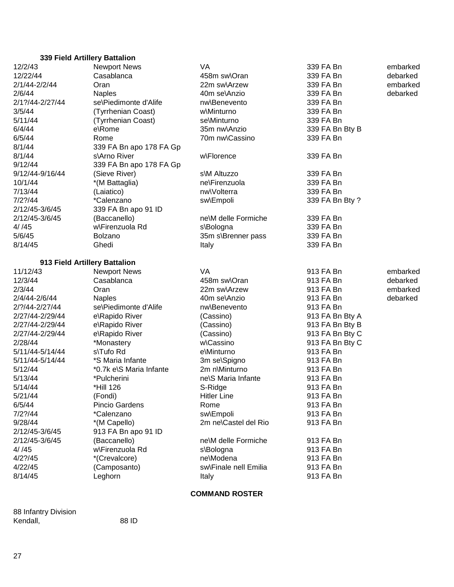| 339 Field Artillery Battalion      |                                             |                               |                        |          |  |  |  |
|------------------------------------|---------------------------------------------|-------------------------------|------------------------|----------|--|--|--|
| 12/2/43                            | <b>Newport News</b>                         | <b>VA</b>                     | 339 FA Bn              | embarked |  |  |  |
| Casablanca<br>12/22/44             |                                             | 458m sw\Oran                  | 339 FA Bn              | debarked |  |  |  |
| 2/1/44-2/2/44<br>Oran              |                                             | 22m sw\Arzew                  | 339 FA Bn              | embarked |  |  |  |
| 2/6/44                             | <b>Naples</b>                               | 40m se\Anzio                  | 339 FA Bn              | debarked |  |  |  |
| 2/1?/44-2/27/44                    | se\Piedimonte d'Alife                       | nw\Benevento                  | 339 FA Bn              |          |  |  |  |
| 3/5/44                             | (Tyrrhenian Coast)                          | w\Minturno                    | 339 FA Bn              |          |  |  |  |
| 5/11/44                            | (Tyrrhenian Coast)                          | se\Minturno                   | 339 FA Bn              |          |  |  |  |
| 6/4/44                             | e\Rome                                      | 35m nw\Anzio                  | 339 FA Bn Bty B        |          |  |  |  |
| 6/5/44                             | Rome                                        | 70m nw\Cassino                | 339 FA Bn              |          |  |  |  |
| 8/1/44                             | 339 FA Bn apo 178 FA Gp                     |                               |                        |          |  |  |  |
| 8/1/44                             | s\Arno River                                | w\Florence                    | 339 FA Bn              |          |  |  |  |
| 9/12/44                            | 339 FA Bn apo 178 FA Gp                     |                               |                        |          |  |  |  |
| 9/12/44-9/16/44                    | (Sieve River)                               | s\M Altuzzo                   | 339 FA Bn              |          |  |  |  |
| 10/1/44                            | *(M Battaglia)                              | ne\Firenzuola                 | 339 FA Bn              |          |  |  |  |
| 7/13/44                            | (Laiatico)                                  | nw\Volterra                   | 339 FA Bn              |          |  |  |  |
| $7/2$ ?/44                         | *Calenzano                                  | sw\Empoli                     | 339 FA Bn Bty ?        |          |  |  |  |
| 2/12/45-3/6/45                     | 339 FA Bn apo 91 ID                         |                               |                        |          |  |  |  |
| 2/12/45-3/6/45                     | (Baccanello)                                | ne\M delle Formiche           | 339 FA Bn              |          |  |  |  |
| 4/ / 45                            | w\Firenzuola Rd                             | s\Bologna                     | 339 FA Bn              |          |  |  |  |
| 5/6/45                             | Bolzano                                     | 35m s\Brenner pass            | 339 FA Bn              |          |  |  |  |
| 8/14/45                            | Ghedi                                       | Italy                         | 339 FA Bn              |          |  |  |  |
|                                    |                                             |                               |                        |          |  |  |  |
| 913 Field Artillery Battalion      |                                             |                               |                        |          |  |  |  |
| 11/12/43                           | <b>Newport News</b>                         | VA                            | 913 FA Bn              | embarked |  |  |  |
| 12/3/44                            | Casablanca                                  | 458m sw\Oran                  | 913 FA Bn              | debarked |  |  |  |
| 2/3/44                             | Oran                                        | 22m sw\Arzew                  | 913 FA Bn              | embarked |  |  |  |
| 2/4/44-2/6/44                      | <b>Naples</b>                               | 40m se\Anzio                  | 913 FA Bn              | debarked |  |  |  |
| 2/?/44-2/27/44                     | se\Piedimonte d'Alife                       | nw\Benevento                  | 913 FA Bn              |          |  |  |  |
| 2/27/44-2/29/44                    | e\Rapido River                              | (Cassino)                     | 913 FA Bn Bty A        |          |  |  |  |
| 2/27/44-2/29/44                    | e\Rapido River                              | (Cassino)                     | 913 FA Bn Bty B        |          |  |  |  |
| 2/27/44-2/29/44                    | e\Rapido River                              | (Cassino)                     | 913 FA Bn Bty C        |          |  |  |  |
| 2/28/44                            | *Monastery                                  | w\Cassino                     | 913 FA Bn Bty C        |          |  |  |  |
| 5/11/44-5/14/44<br>5/11/44-5/14/44 | s\Tufo Rd                                   | e\Minturno                    | 913 FA Bn              |          |  |  |  |
|                                    | *S Maria Infante<br>*0.7k e\S Maria Infante | 3m se\Spigno<br>2m n\Minturno | 913 FA Bn              |          |  |  |  |
| 5/12/44                            |                                             |                               | 913 FA Bn              |          |  |  |  |
| 5/13/44                            | *Pulcherini                                 | ne\S Maria Infante            | 913 FA Bn              |          |  |  |  |
| 5/14/44<br>5/21/44                 | *Hill 126                                   | S-Ridge<br><b>Hitler Line</b> | 913 FA Bn<br>913 FA Bn |          |  |  |  |
| 6/5/44                             | (Fondi)<br>Pincio Gardens                   | Rome                          | 913 FA Bn              |          |  |  |  |
| $7/2$ ?/44                         | *Calenzano                                  | sw\Empoli                     | 913 FA Bn              |          |  |  |  |
| 9/28/44                            | *(M Capello)                                | 2m ne\Castel del Rio          | 913 FA Bn              |          |  |  |  |
| 2/12/45-3/6/45                     | 913 FA Bn apo 91 ID                         |                               |                        |          |  |  |  |
| 2/12/45-3/6/45                     | (Baccanello)                                | ne\M delle Formiche           | 913 FA Bn              |          |  |  |  |
| 4/ / 45                            | w\Firenzuola Rd                             | s\Bologna                     | 913 FA Bn              |          |  |  |  |
| $4/2$ ?/45                         | *(Crevalcore)                               | ne\Modena                     | 913 FA Bn              |          |  |  |  |
| 4/22/45                            | (Camposanto)                                | sw\Finale nell Emilia         | 913 FA Bn              |          |  |  |  |
| 8/14/45                            | Leghorn                                     | Italy                         | 913 FA Bn              |          |  |  |  |
|                                    |                                             |                               |                        |          |  |  |  |

## **COMMAND ROSTER**

88 Infantry Division Kendall, 88 ID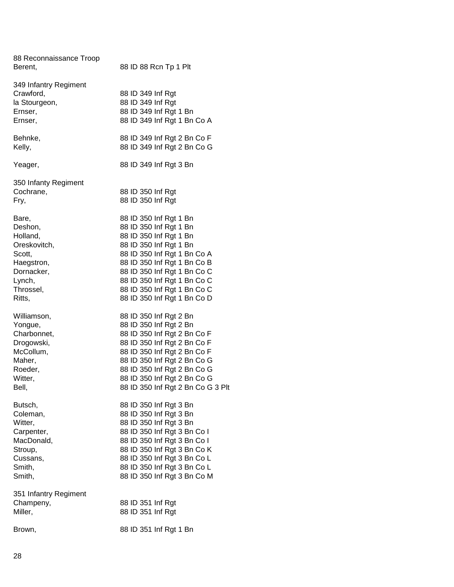| 88 Reconnaissance Troop<br>Berent,                                                                                  | 88 ID 88 Rcn Tp 1 Plt                                                                                                                                                                                                                                                                          |
|---------------------------------------------------------------------------------------------------------------------|------------------------------------------------------------------------------------------------------------------------------------------------------------------------------------------------------------------------------------------------------------------------------------------------|
| 349 Infantry Regiment<br>Crawford,<br>la Stourgeon,<br>Ernser,<br>Ernser,                                           | 88 ID 349 Inf Rgt<br>88 ID 349 Inf Rgt<br>88 ID 349 Inf Rgt 1 Bn<br>88 ID 349 Inf Rgt 1 Bn Co A                                                                                                                                                                                                |
| Behnke,<br>Kelly,                                                                                                   | 88 ID 349 Inf Rgt 2 Bn Co F<br>88 ID 349 Inf Rgt 2 Bn Co G                                                                                                                                                                                                                                     |
| Yeager,                                                                                                             | 88 ID 349 Inf Rgt 3 Bn                                                                                                                                                                                                                                                                         |
| 350 Infanty Regiment<br>Cochrane,<br>Fry,                                                                           | 88 ID 350 Inf Rgt<br>88 ID 350 Inf Rgt                                                                                                                                                                                                                                                         |
| Bare,<br>Deshon,<br>Holland,<br>Oreskovitch,<br>Scott,<br>Haegstron,<br>Dornacker,<br>Lynch,<br>Throssel,<br>Ritts, | 88 ID 350 Inf Rgt 1 Bn<br>88 ID 350 Inf Rgt 1 Bn<br>88 ID 350 Inf Rgt 1 Bn<br>88 ID 350 Inf Rgt 1 Bn<br>88 ID 350 Inf Rgt 1 Bn Co A<br>88 ID 350 Inf Rgt 1 Bn Co B<br>88 ID 350 Inf Rgt 1 Bn Co C<br>88 ID 350 Inf Rgt 1 Bn Co C<br>88 ID 350 Inf Rgt 1 Bn Co C<br>88 ID 350 Inf Rgt 1 Bn Co D |
| Williamson,<br>Yongue,<br>Charbonnet,<br>Drogowski,<br>McCollum,<br>Maher,<br>Roeder,<br>Witter,<br>Bell,           | 88 ID 350 Inf Rgt 2 Bn<br>88 ID 350 Inf Rgt 2 Bn<br>88 ID 350 Inf Rgt 2 Bn Co F<br>88 ID 350 Inf Rgt 2 Bn Co F<br>88 ID 350 Inf Rgt 2 Bn Co F<br>88 ID 350 Inf Rgt 2 Bn Co G<br>88 ID 350 Inf Rgt 2 Bn Co G<br>88 ID 350 Inf Rgt 2 Bn Co G<br>88 ID 350 Inf Rgt 2 Bn Co G 3 Plt                |
| Butsch,<br>Coleman,<br>Witter,<br>Carpenter,<br>MacDonald,<br>Stroup,<br>Cussans,<br>Smith,<br>Smith,               | 88 ID 350 Inf Rgt 3 Bn<br>88 ID 350 Inf Rgt 3 Bn<br>88 ID 350 Inf Rgt 3 Bn<br>88 ID 350 Inf Rgt 3 Bn Co I<br>88 ID 350 Inf Rgt 3 Bn Co I<br>88 ID 350 Inf Rgt 3 Bn Co K<br>88 ID 350 Inf Rgt 3 Bn Co L<br>88 ID 350 Inf Rgt 3 Bn Co L<br>88 ID 350 Inf Rgt 3 Bn Co M                           |
| 351 Infantry Regiment<br>Champeny,<br>Miller,                                                                       | 88 ID 351 Inf Rgt<br>88 ID 351 Inf Rgt                                                                                                                                                                                                                                                         |
| Brown,                                                                                                              | 88 ID 351 Inf Rgt 1 Bn                                                                                                                                                                                                                                                                         |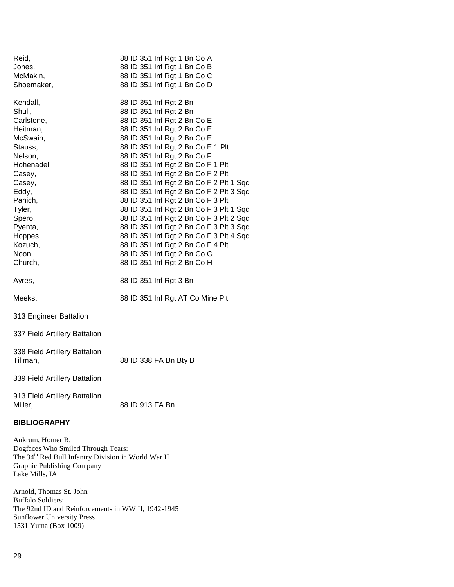| Reid,                                                                                                                                                                     |  |  | 88 ID 351 Inf Rgt 1 Bn Co A                                                  |  |  |  |  |  |  |
|---------------------------------------------------------------------------------------------------------------------------------------------------------------------------|--|--|------------------------------------------------------------------------------|--|--|--|--|--|--|
| Jones,                                                                                                                                                                    |  |  | 88 ID 351 Inf Rgt 1 Bn Co B                                                  |  |  |  |  |  |  |
| McMakin,                                                                                                                                                                  |  |  | 88 ID 351 Inf Rgt 1 Bn Co C                                                  |  |  |  |  |  |  |
| Shoemaker,                                                                                                                                                                |  |  | 88 ID 351 Inf Rgt 1 Bn Co D                                                  |  |  |  |  |  |  |
| Kendall,                                                                                                                                                                  |  |  | 88 ID 351 Inf Rgt 2 Bn                                                       |  |  |  |  |  |  |
| Shull,                                                                                                                                                                    |  |  | 88 ID 351 Inf Rgt 2 Bn                                                       |  |  |  |  |  |  |
| Carlstone,                                                                                                                                                                |  |  | 88 ID 351 Inf Rgt 2 Bn Co E                                                  |  |  |  |  |  |  |
| Heitman,                                                                                                                                                                  |  |  | 88 ID 351 Inf Rgt 2 Bn Co E                                                  |  |  |  |  |  |  |
| McSwain,                                                                                                                                                                  |  |  | 88 ID 351 Inf Rgt 2 Bn Co E                                                  |  |  |  |  |  |  |
| Stauss,                                                                                                                                                                   |  |  | 88 ID 351 Inf Rgt 2 Bn Co E 1 Plt                                            |  |  |  |  |  |  |
| Nelson,                                                                                                                                                                   |  |  | 88 ID 351 Inf Rgt 2 Bn Co F                                                  |  |  |  |  |  |  |
| Hohenadel,                                                                                                                                                                |  |  | 88 ID 351 Inf Rgt 2 Bn Co F 1 Plt                                            |  |  |  |  |  |  |
| Casey,                                                                                                                                                                    |  |  | 88 ID 351 Inf Rgt 2 Bn Co F 2 Plt                                            |  |  |  |  |  |  |
| Casey,                                                                                                                                                                    |  |  | 88 ID 351 Inf Rgt 2 Bn Co F 2 Plt 1 Sqd                                      |  |  |  |  |  |  |
| Eddy,                                                                                                                                                                     |  |  | 88 ID 351 Inf Rgt 2 Bn Co F 2 Plt 3 Sqd                                      |  |  |  |  |  |  |
| Panich,<br>Tyler,                                                                                                                                                         |  |  | 88 ID 351 Inf Rgt 2 Bn Co F 3 Plt<br>88 ID 351 Inf Rgt 2 Bn Co F 3 Plt 1 Sqd |  |  |  |  |  |  |
| Spero,                                                                                                                                                                    |  |  | 88 ID 351 Inf Rgt 2 Bn Co F 3 Plt 2 Sqd                                      |  |  |  |  |  |  |
| Pyenta,                                                                                                                                                                   |  |  | 88 ID 351 Inf Rgt 2 Bn Co F 3 Plt 3 Sqd                                      |  |  |  |  |  |  |
| Hoppes,                                                                                                                                                                   |  |  | 88 ID 351 Inf Rgt 2 Bn Co F 3 Plt 4 Sqd                                      |  |  |  |  |  |  |
| Kozuch,                                                                                                                                                                   |  |  | 88 ID 351 Inf Rgt 2 Bn Co F 4 Plt                                            |  |  |  |  |  |  |
| Noon,                                                                                                                                                                     |  |  | 88 ID 351 Inf Rgt 2 Bn Co G                                                  |  |  |  |  |  |  |
| Church,                                                                                                                                                                   |  |  | 88 ID 351 Inf Rgt 2 Bn Co H                                                  |  |  |  |  |  |  |
|                                                                                                                                                                           |  |  |                                                                              |  |  |  |  |  |  |
| Ayres,                                                                                                                                                                    |  |  | 88 ID 351 Inf Rgt 3 Bn                                                       |  |  |  |  |  |  |
| Meeks,                                                                                                                                                                    |  |  | 88 ID 351 Inf Rgt AT Co Mine Plt                                             |  |  |  |  |  |  |
|                                                                                                                                                                           |  |  |                                                                              |  |  |  |  |  |  |
| 313 Engineer Battalion                                                                                                                                                    |  |  |                                                                              |  |  |  |  |  |  |
| 337 Field Artillery Battalion                                                                                                                                             |  |  |                                                                              |  |  |  |  |  |  |
| 338 Field Artillery Battalion                                                                                                                                             |  |  |                                                                              |  |  |  |  |  |  |
| Tillman,                                                                                                                                                                  |  |  | 88 ID 338 FA Bn Bty B                                                        |  |  |  |  |  |  |
| 339 Field Artillery Battalion                                                                                                                                             |  |  |                                                                              |  |  |  |  |  |  |
| 913 Field Artillery Battalion                                                                                                                                             |  |  |                                                                              |  |  |  |  |  |  |
| Miller,                                                                                                                                                                   |  |  | 88 ID 913 FA Bn                                                              |  |  |  |  |  |  |
| <b>BIBLIOGRAPHY</b>                                                                                                                                                       |  |  |                                                                              |  |  |  |  |  |  |
| Ankrum, Homer R.<br>Dogfaces Who Smiled Through Tears:<br>The 34 <sup>th</sup> Red Bull Infantry Division in World War II<br>Graphic Publishing Company<br>Lake Mills, IA |  |  |                                                                              |  |  |  |  |  |  |
| $\sim$ $\alpha$                                                                                                                                                           |  |  |                                                                              |  |  |  |  |  |  |

Arnold, Thomas St. John Buffalo Soldiers: The 92nd ID and Reinforcements in WW II, 1942-1945 Sunflower University Press 1531 Yuma (Box 1009)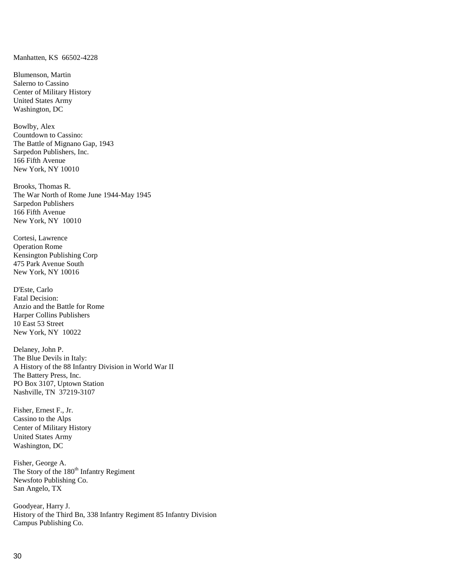Manhatten, KS 66502-4228

Blumenson, Martin Salerno to Cassino Center of Military History United States Army Washington, DC

Bowlby, Alex Countdown to Cassino: The Battle of Mignano Gap, 1943 Sarpedon Publishers, Inc. 166 Fifth Avenue New York, NY 10010

Brooks, Thomas R. The War North of Rome June 1944-May 1945 Sarpedon Publishers 166 Fifth Avenue New York, NY 10010

Cortesi, Lawrence Operation Rome Kensington Publishing Corp 475 Park Avenue South New York, NY 10016

D'Este, Carlo Fatal Decision: Anzio and the Battle for Rome Harper Collins Publishers 10 East 53 Street New York, NY 10022

Delaney, John P. The Blue Devils in Italy: A History of the 88 Infantry Division in World War II The Battery Press, Inc. PO Box 3107, Uptown Station Nashville, TN 37219-3107

Fisher, Ernest F., Jr. Cassino to the Alps Center of Military History United States Army Washington, DC

Fisher, George A. The Story of the 180<sup>th</sup> Infantry Regiment Newsfoto Publishing Co. San Angelo, TX

Goodyear, Harry J. History of the Third Bn, 338 Infantry Regiment 85 Infantry Division Campus Publishing Co.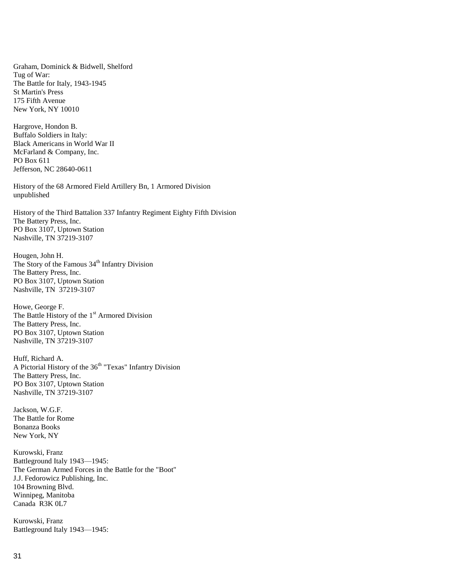Graham, Dominick & Bidwell, Shelford Tug of War: The Battle for Italy, 1943-1945 St Martin's Press 175 Fifth Avenue New York, NY 10010

Hargrove, Hondon B. Buffalo Soldiers in Italy: Black Americans in World War II McFarland & Company, Inc. PO Box 611 Jefferson, NC 28640-0611

History of the 68 Armored Field Artillery Bn, 1 Armored Division unpublished

History of the Third Battalion 337 Infantry Regiment Eighty Fifth Division The Battery Press, Inc. PO Box 3107, Uptown Station Nashville, TN 37219-3107

Hougen, John H. The Story of the Famous 34<sup>th</sup> Infantry Division The Battery Press, Inc. PO Box 3107, Uptown Station Nashville, TN 37219-3107

Howe, George F. The Battle History of the 1<sup>st</sup> Armored Division The Battery Press, Inc. PO Box 3107, Uptown Station Nashville, TN 37219-3107

Huff, Richard A. A Pictorial History of the 36<sup>th</sup> "Texas" Infantry Division The Battery Press, Inc. PO Box 3107, Uptown Station Nashville, TN 37219-3107

Jackson, W.G.F. The Battle for Rome Bonanza Books New York, NY

Kurowski, Franz Battleground Italy 1943—1945: The German Armed Forces in the Battle for the "Boot" J.J. Fedorowicz Publishing, Inc. 104 Browning Blvd. Winnipeg, Manitoba Canada R3K 0L7

Kurowski, Franz Battleground Italy 1943—1945: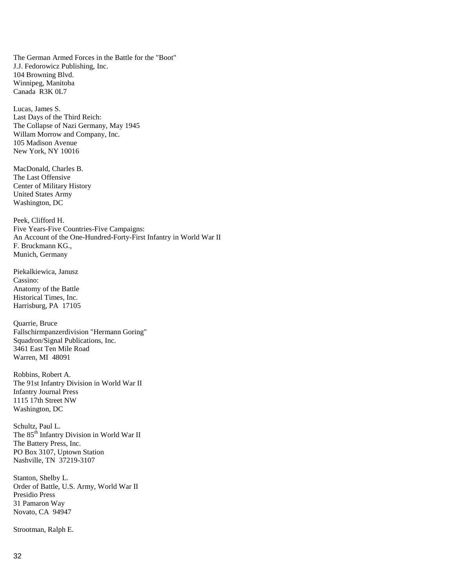The German Armed Forces in the Battle for the "Boot" J.J. Fedorowicz Publishing, Inc. 104 Browning Blvd. Winnipeg, Manitoba Canada R3K 0L7

Lucas, James S. Last Days of the Third Reich: The Collapse of Nazi Germany, May 1945 Willam Morrow and Company, Inc. 105 Madison Avenue New York, NY 10016

MacDonald, Charles B. The Last Offensive Center of Military History United States Army Washington, DC

Peek, Clifford H. Five Years-Five Countries-Five Campaigns: An Account of the One-Hundred-Forty-First Infantry in World War II F. Bruckmann KG., Munich, Germany

Piekalkiewica, Janusz Cassino: Anatomy of the Battle Historical Times, Inc. Harrisburg, PA 17105

Quarrie, Bruce Fallschirmpanzerdivision "Hermann Goring" Squadron/Signal Publications, Inc. 3461 East Ten Mile Road Warren, MI 48091

Robbins, Robert A. The 91st Infantry Division in World War II Infantry Journal Press 1115 17th Street NW Washington, DC

Schultz, Paul L. The 85<sup>th</sup> Infantry Division in World War II The Battery Press, Inc. PO Box 3107, Uptown Station Nashville, TN 37219-3107

Stanton, Shelby L. Order of Battle, U.S. Army, World War II Presidio Press 31 Pamaron Way Novato, CA 94947

Strootman, Ralph E.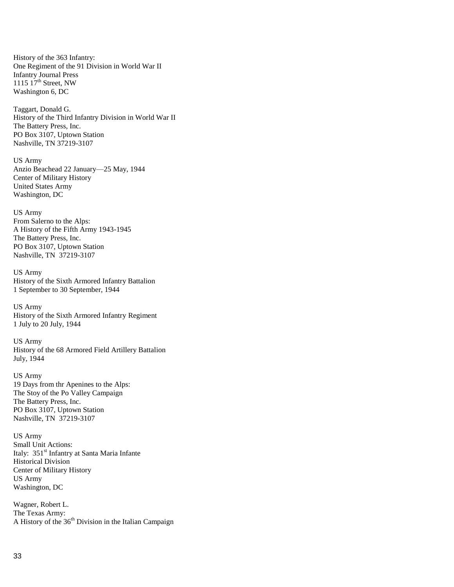History of the 363 Infantry: One Regiment of the 91 Division in World War II Infantry Journal Press 1115  $17<sup>th</sup>$  Street, NW Washington 6, DC

Taggart, Donald G. History of the Third Infantry Division in World War II The Battery Press, Inc. PO Box 3107, Uptown Station Nashville, TN 37219-3107

US Army Anzio Beachead 22 January—25 May, 1944 Center of Military History United States Army Washington, DC

US Army From Salerno to the Alps: A History of the Fifth Army 1943-1945 The Battery Press, Inc. PO Box 3107, Uptown Station Nashville, TN 37219-3107

US Army History of the Sixth Armored Infantry Battalion 1 September to 30 September, 1944

US Army History of the Sixth Armored Infantry Regiment 1 July to 20 July, 1944

US Army History of the 68 Armored Field Artillery Battalion July, 1944

US Army 19 Days from thr Apenines to the Alps: The Stoy of the Po Valley Campaign The Battery Press, Inc. PO Box 3107, Uptown Station Nashville, TN 37219-3107

US Army Small Unit Actions: Italy: 351<sup>st</sup> Infantry at Santa Maria Infante Historical Division Center of Military History US Army Washington, DC

Wagner, Robert L. The Texas Army: A History of the  $36<sup>th</sup>$  Division in the Italian Campaign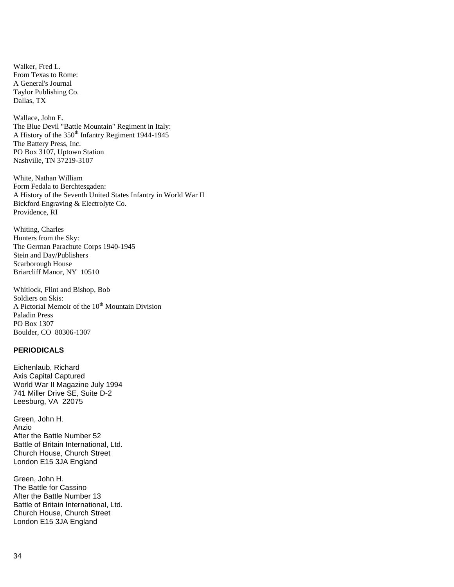Walker, Fred L. From Texas to Rome: A General's Journal Taylor Publishing Co. Dallas, TX

Wallace, John E. The Blue Devil "Battle Mountain" Regiment in Italy: A History of the  $350<sup>th</sup>$  Infantry Regiment 1944-1945 The Battery Press, Inc. PO Box 3107, Uptown Station Nashville, TN 37219-3107

White, Nathan William Form Fedala to Berchtesgaden: A History of the Seventh United States Infantry in World War II Bickford Engraving & Electrolyte Co. Providence, RI

Whiting, Charles Hunters from the Sky: The German Parachute Corps 1940-1945 Stein and Day/Publishers Scarborough House Briarcliff Manor, NY 10510

Whitlock, Flint and Bishop, Bob Soldiers on Skis: A Pictorial Memoir of the 10<sup>th</sup> Mountain Division Paladin Press PO Box 1307 Boulder, CO 80306-1307

## **PERIODICALS**

Eichenlaub, Richard Axis Capital Captured World War II Magazine July 1994 741 Miller Drive SE, Suite D-2 Leesburg, VA 22075

Green, John H. Anzio After the Battle Number 52 Battle of Britain International, Ltd. Church House, Church Street London E15 3JA England

Green, John H. The Battle for Cassino After the Battle Number 13 Battle of Britain International, Ltd. Church House, Church Street London E15 3JA England